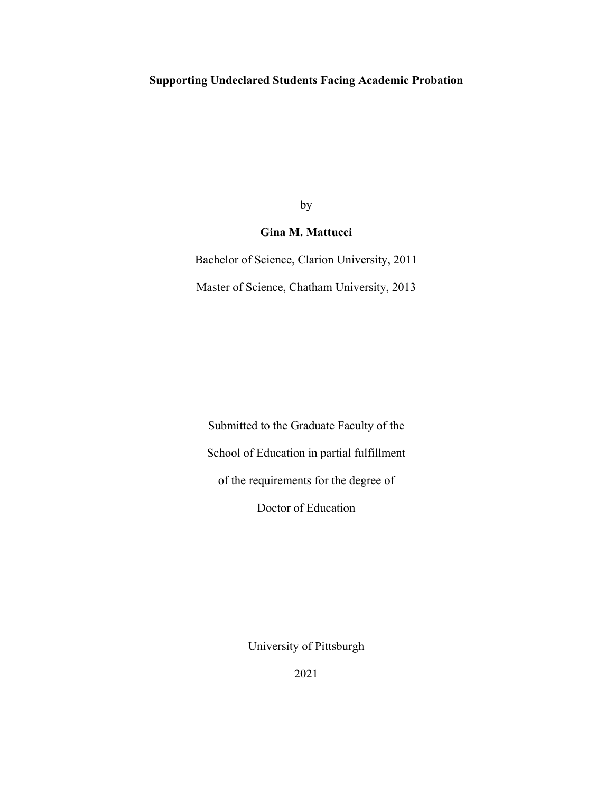# **Supporting Undeclared Students Facing Academic Probation**

by

# **Gina M. Mattucci**

Bachelor of Science, Clarion University, 2011 Master of Science, Chatham University, 2013

Submitted to the Graduate Faculty of the School of Education in partial fulfillment of the requirements for the degree of Doctor of Education

University of Pittsburgh

2021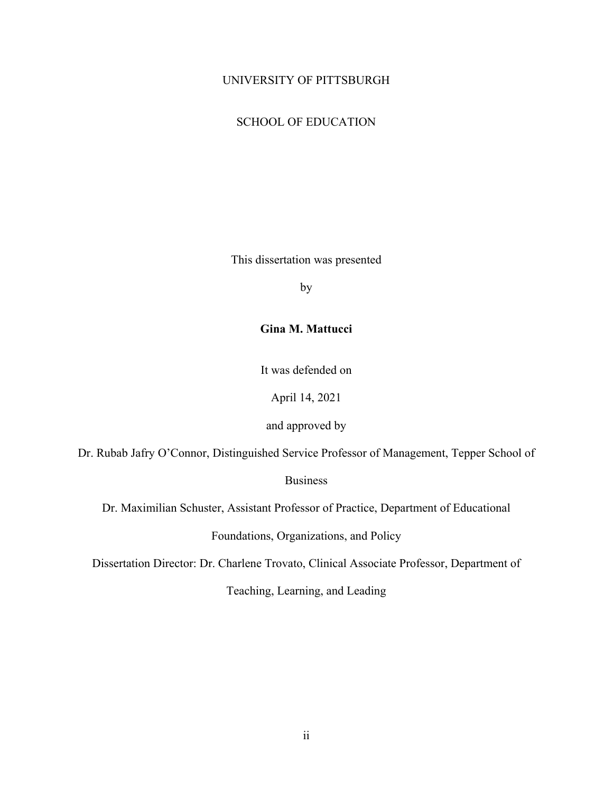# UNIVERSITY OF PITTSBURGH

# SCHOOL OF EDUCATION

This dissertation was presented

by

# **Gina M. Mattucci**

It was defended on

April 14, 2021

and approved by

Dr. Rubab Jafry O'Connor, Distinguished Service Professor of Management, Tepper School of

**Business** 

Dr. Maximilian Schuster, Assistant Professor of Practice, Department of Educational

Foundations, Organizations, and Policy

Dissertation Director: Dr. Charlene Trovato, Clinical Associate Professor, Department of

Teaching, Learning, and Leading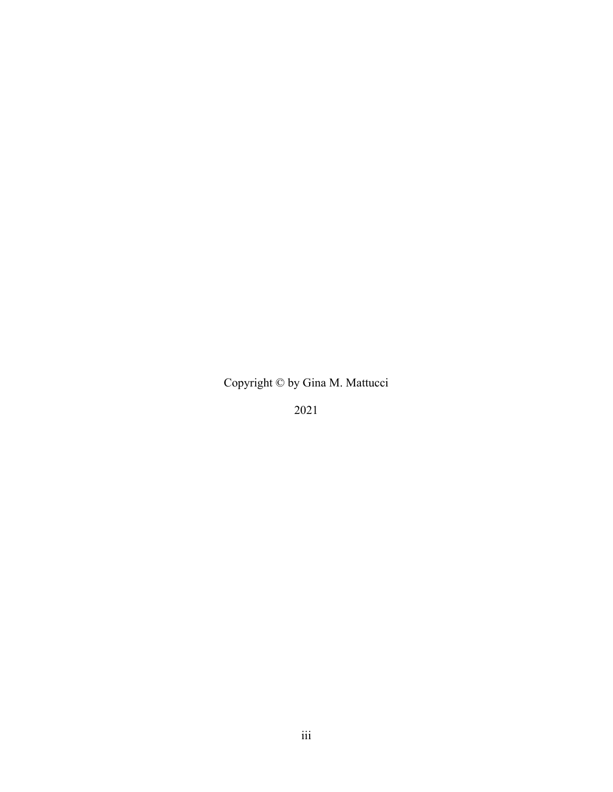Copyright © by Gina M. Mattucci

2021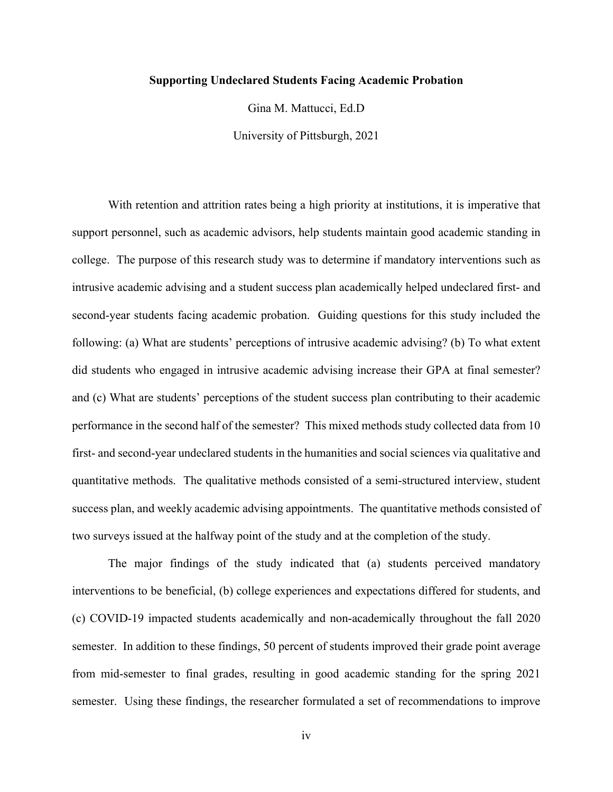# **Supporting Undeclared Students Facing Academic Probation**

Gina M. Mattucci, Ed.D

University of Pittsburgh, 2021

With retention and attrition rates being a high priority at institutions, it is imperative that support personnel, such as academic advisors, help students maintain good academic standing in college. The purpose of this research study was to determine if mandatory interventions such as intrusive academic advising and a student success plan academically helped undeclared first- and second-year students facing academic probation. Guiding questions for this study included the following: (a) What are students' perceptions of intrusive academic advising? (b) To what extent did students who engaged in intrusive academic advising increase their GPA at final semester? and (c) What are students' perceptions of the student success plan contributing to their academic performance in the second half of the semester? This mixed methods study collected data from 10 first- and second-year undeclared students in the humanities and social sciences via qualitative and quantitative methods. The qualitative methods consisted of a semi-structured interview, student success plan, and weekly academic advising appointments. The quantitative methods consisted of two surveys issued at the halfway point of the study and at the completion of the study.

The major findings of the study indicated that (a) students perceived mandatory interventions to be beneficial, (b) college experiences and expectations differed for students, and (c) COVID-19 impacted students academically and non-academically throughout the fall 2020 semester. In addition to these findings, 50 percent of students improved their grade point average from mid-semester to final grades, resulting in good academic standing for the spring 2021 semester. Using these findings, the researcher formulated a set of recommendations to improve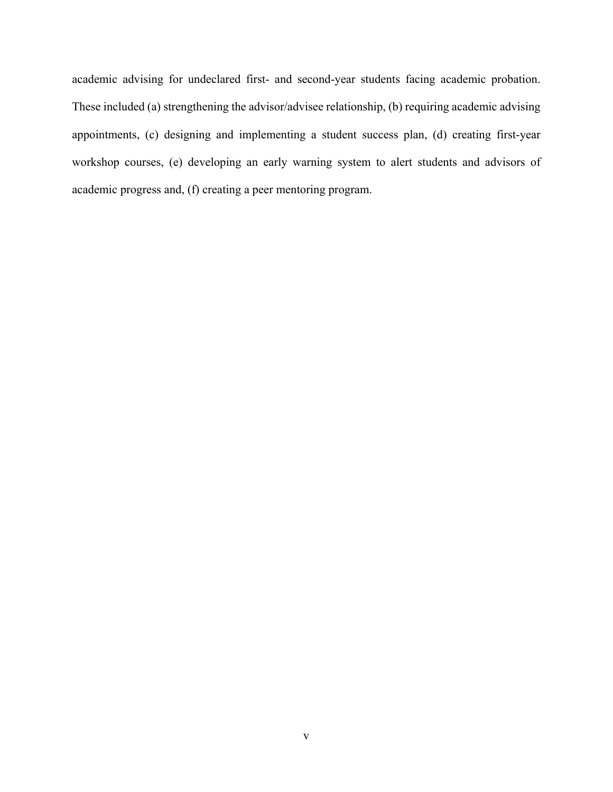academic advising for undeclared first- and second-year students facing academic probation. These included (a) strengthening the advisor/advisee relationship, (b) requiring academic advising appointments, (c) designing and implementing a student success plan, (d) creating first-year workshop courses, (e) developing an early warning system to alert students and advisors of academic progress and, (f) creating a peer mentoring program.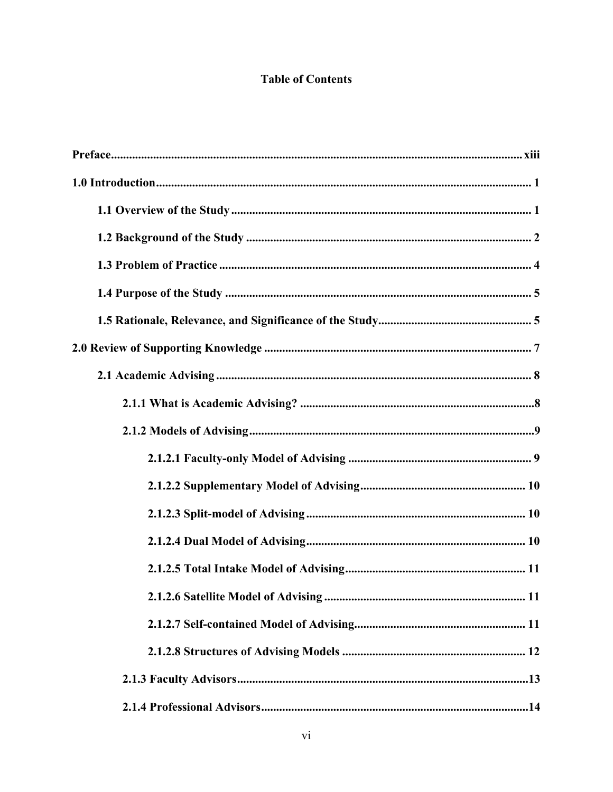# **Table of Contents**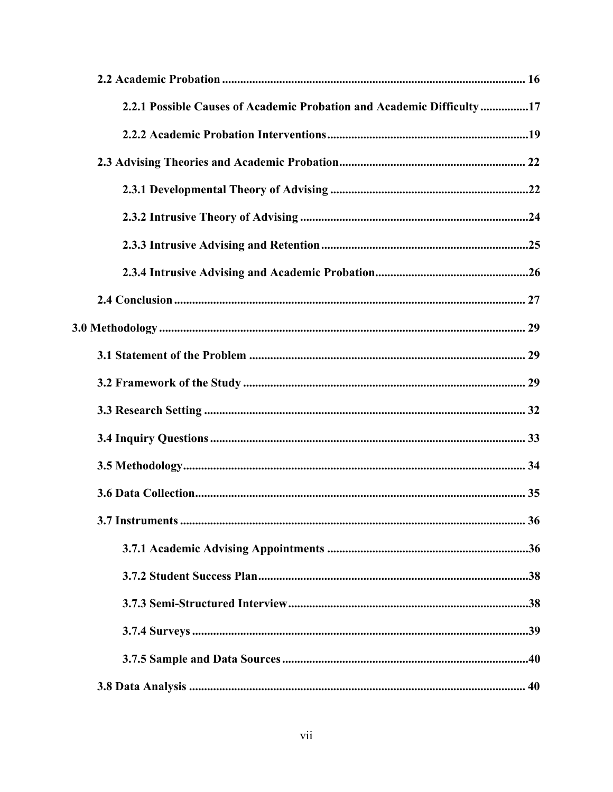| 2.2.1 Possible Causes of Academic Probation and Academic Difficulty17 |  |
|-----------------------------------------------------------------------|--|
|                                                                       |  |
|                                                                       |  |
|                                                                       |  |
|                                                                       |  |
|                                                                       |  |
|                                                                       |  |
|                                                                       |  |
|                                                                       |  |
|                                                                       |  |
|                                                                       |  |
|                                                                       |  |
|                                                                       |  |
|                                                                       |  |
|                                                                       |  |
|                                                                       |  |
|                                                                       |  |
|                                                                       |  |
|                                                                       |  |
|                                                                       |  |
|                                                                       |  |
|                                                                       |  |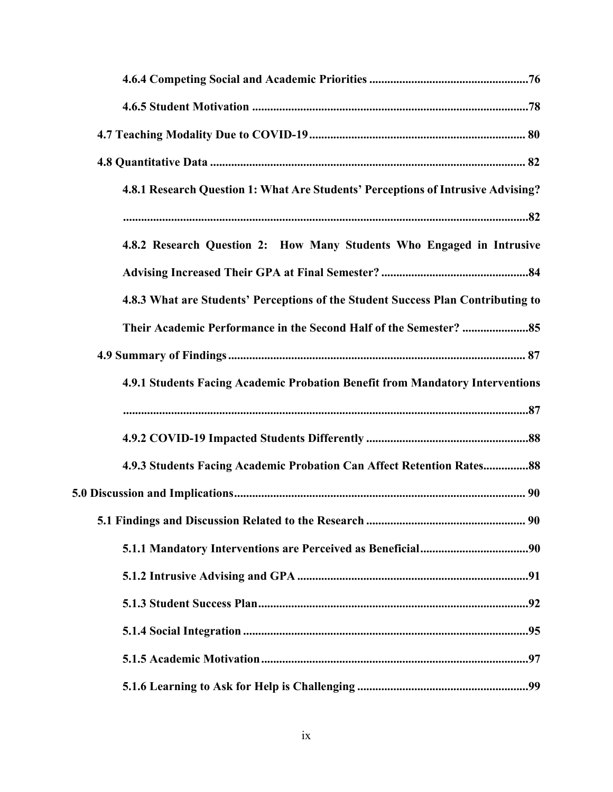| 4.8.1 Research Question 1: What Are Students' Perceptions of Intrusive Advising? |
|----------------------------------------------------------------------------------|
|                                                                                  |
| 4.8.2 Research Question 2: How Many Students Who Engaged in Intrusive            |
|                                                                                  |
| 4.8.3 What are Students' Perceptions of the Student Success Plan Contributing to |
|                                                                                  |
|                                                                                  |
| 4.9.1 Students Facing Academic Probation Benefit from Mandatory Interventions    |
|                                                                                  |
|                                                                                  |
| 4.9.3 Students Facing Academic Probation Can Affect Retention Rates88            |
|                                                                                  |
|                                                                                  |
|                                                                                  |
|                                                                                  |
|                                                                                  |
|                                                                                  |
|                                                                                  |
|                                                                                  |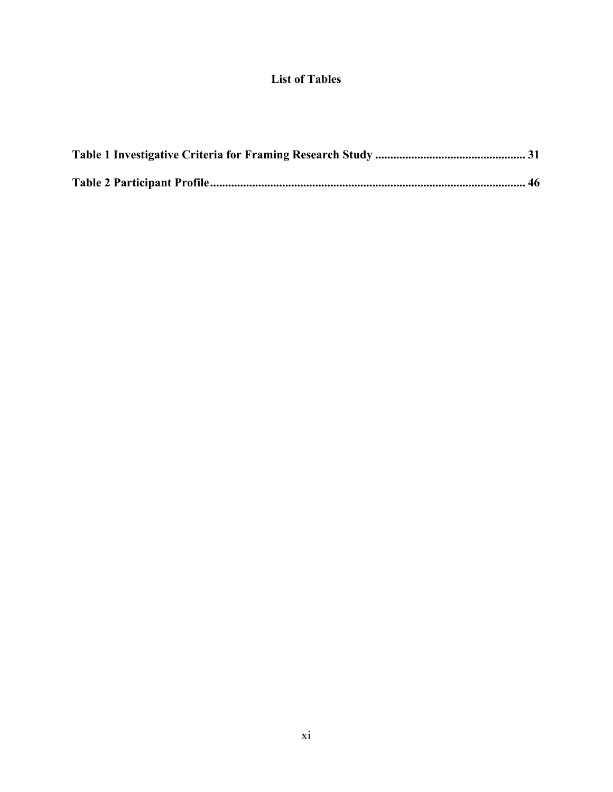# **List of Tables**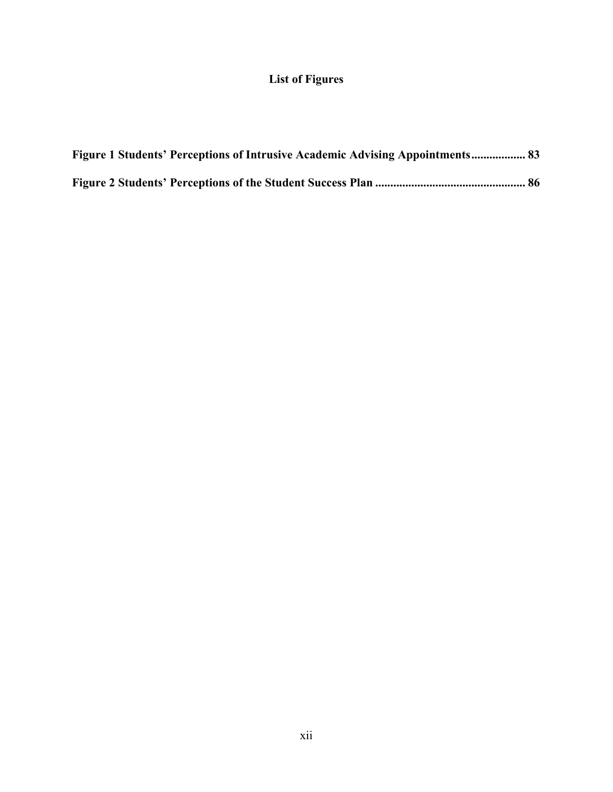# **List of Figures**

| <b>Figure 1 Students' Perceptions of Intrusive Academic Advising Appointments 83</b> |  |
|--------------------------------------------------------------------------------------|--|
|                                                                                      |  |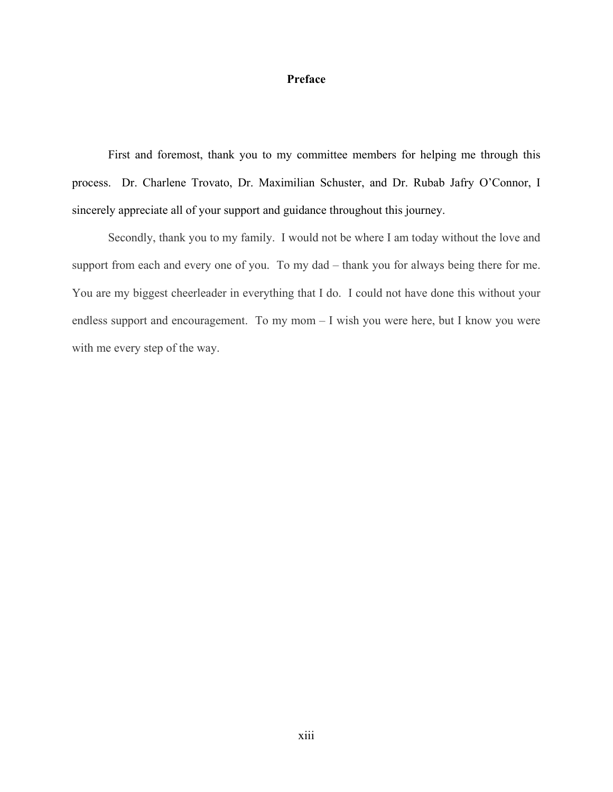# **Preface**

<span id="page-12-0"></span>First and foremost, thank you to my committee members for helping me through this process. Dr. Charlene Trovato, Dr. Maximilian Schuster, and Dr. Rubab Jafry O'Connor, I sincerely appreciate all of your support and guidance throughout this journey.

Secondly, thank you to my family. I would not be where I am today without the love and support from each and every one of you. To my dad – thank you for always being there for me. You are my biggest cheerleader in everything that I do. I could not have done this without your endless support and encouragement. To my mom – I wish you were here, but I know you were with me every step of the way.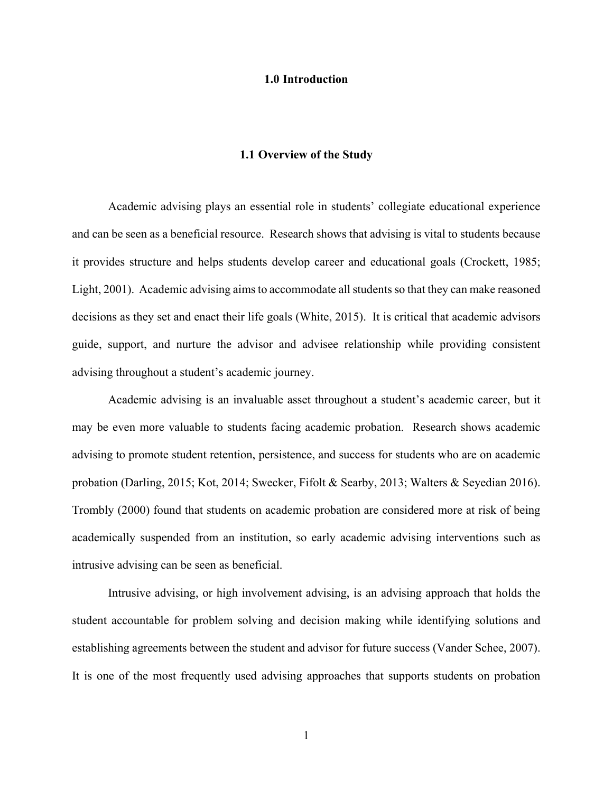#### **1.0 Introduction**

## **1.1 Overview of the Study**

<span id="page-13-1"></span><span id="page-13-0"></span>Academic advising plays an essential role in students' collegiate educational experience and can be seen as a beneficial resource. Research shows that advising is vital to students because it provides structure and helps students develop career and educational goals (Crockett, 1985; Light, 2001). Academic advising aims to accommodate all students so that they can make reasoned decisions as they set and enact their life goals (White, 2015). It is critical that academic advisors guide, support, and nurture the advisor and advisee relationship while providing consistent advising throughout a student's academic journey.

Academic advising is an invaluable asset throughout a student's academic career, but it may be even more valuable to students facing academic probation. Research shows academic advising to promote student retention, persistence, and success for students who are on academic probation (Darling, 2015; Kot, 2014; Swecker, Fifolt & Searby, 2013; Walters & Seyedian 2016). Trombly (2000) found that students on academic probation are considered more at risk of being academically suspended from an institution, so early academic advising interventions such as intrusive advising can be seen as beneficial.

Intrusive advising, or high involvement advising, is an advising approach that holds the student accountable for problem solving and decision making while identifying solutions and establishing agreements between the student and advisor for future success (Vander Schee, 2007). It is one of the most frequently used advising approaches that supports students on probation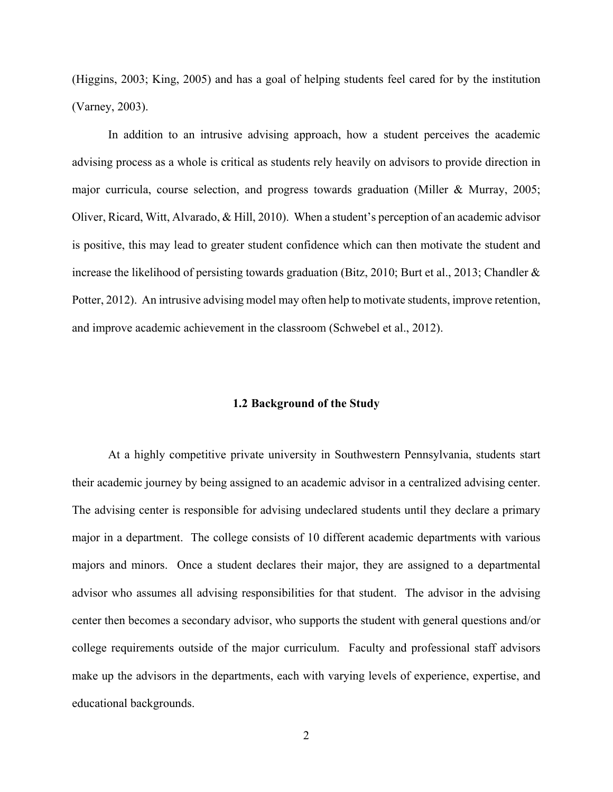(Higgins, 2003; King, 2005) and has a goal of helping students feel cared for by the institution (Varney, 2003).

In addition to an intrusive advising approach, how a student perceives the academic advising process as a whole is critical as students rely heavily on advisors to provide direction in major curricula, course selection, and progress towards graduation (Miller & Murray, 2005; Oliver, Ricard, Witt, Alvarado, & Hill, 2010). When a student's perception of an academic advisor is positive, this may lead to greater student confidence which can then motivate the student and increase the likelihood of persisting towards graduation (Bitz, 2010; Burt et al., 2013; Chandler & Potter, 2012). An intrusive advising model may often help to motivate students, improve retention, and improve academic achievement in the classroom (Schwebel et al., 2012).

# **1.2 Background of the Study**

<span id="page-14-0"></span>At a highly competitive private university in Southwestern Pennsylvania, students start their academic journey by being assigned to an academic advisor in a centralized advising center. The advising center is responsible for advising undeclared students until they declare a primary major in a department. The college consists of 10 different academic departments with various majors and minors. Once a student declares their major, they are assigned to a departmental advisor who assumes all advising responsibilities for that student. The advisor in the advising center then becomes a secondary advisor, who supports the student with general questions and/or college requirements outside of the major curriculum. Faculty and professional staff advisors make up the advisors in the departments, each with varying levels of experience, expertise, and educational backgrounds.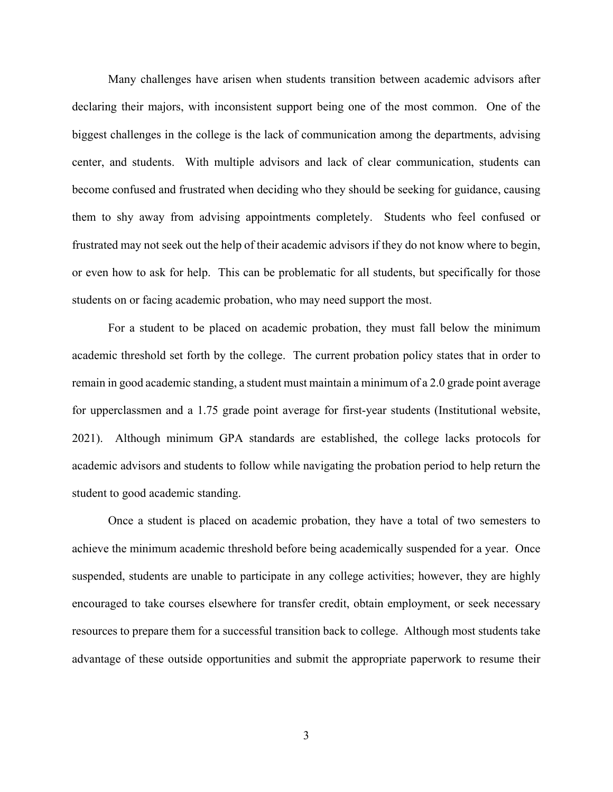Many challenges have arisen when students transition between academic advisors after declaring their majors, with inconsistent support being one of the most common. One of the biggest challenges in the college is the lack of communication among the departments, advising center, and students. With multiple advisors and lack of clear communication, students can become confused and frustrated when deciding who they should be seeking for guidance, causing them to shy away from advising appointments completely. Students who feel confused or frustrated may not seek out the help of their academic advisors if they do not know where to begin, or even how to ask for help. This can be problematic for all students, but specifically for those students on or facing academic probation, who may need support the most.

For a student to be placed on academic probation, they must fall below the minimum academic threshold set forth by the college. The current probation policy states that in order to remain in good academic standing, a student must maintain a minimum of a 2.0 grade point average for upperclassmen and a 1.75 grade point average for first-year students (Institutional website, 2021). Although minimum GPA standards are established, the college lacks protocols for academic advisors and students to follow while navigating the probation period to help return the student to good academic standing.

Once a student is placed on academic probation, they have a total of two semesters to achieve the minimum academic threshold before being academically suspended for a year. Once suspended, students are unable to participate in any college activities; however, they are highly encouraged to take courses elsewhere for transfer credit, obtain employment, or seek necessary resources to prepare them for a successful transition back to college. Although most students take advantage of these outside opportunities and submit the appropriate paperwork to resume their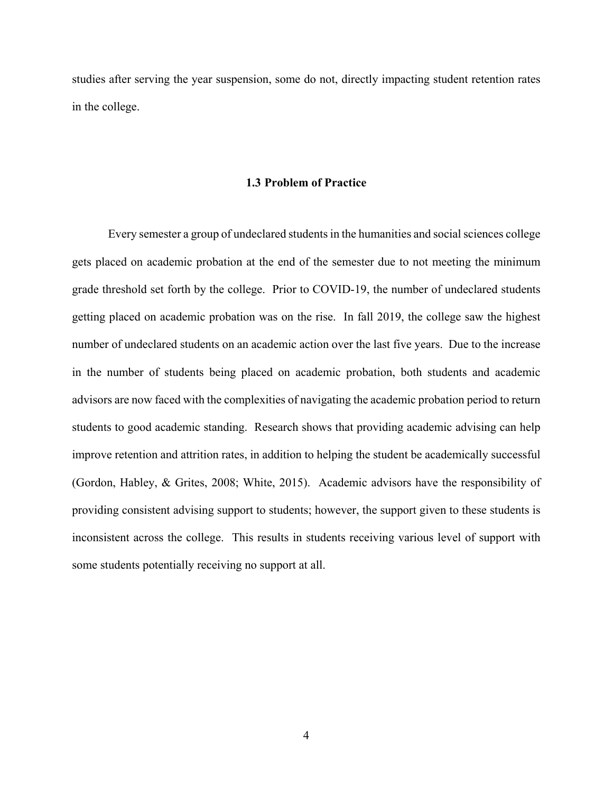<span id="page-16-0"></span>studies after serving the year suspension, some do not, directly impacting student retention rates in the college.

# **1.3 Problem of Practice**

Every semester a group of undeclared students in the humanities and social sciences college gets placed on academic probation at the end of the semester due to not meeting the minimum grade threshold set forth by the college. Prior to COVID-19, the number of undeclared students getting placed on academic probation was on the rise. In fall 2019, the college saw the highest number of undeclared students on an academic action over the last five years. Due to the increase in the number of students being placed on academic probation, both students and academic advisors are now faced with the complexities of navigating the academic probation period to return students to good academic standing. Research shows that providing academic advising can help improve retention and attrition rates, in addition to helping the student be academically successful (Gordon, Habley, & Grites, 2008; White, 2015). Academic advisors have the responsibility of providing consistent advising support to students; however, the support given to these students is inconsistent across the college. This results in students receiving various level of support with some students potentially receiving no support at all.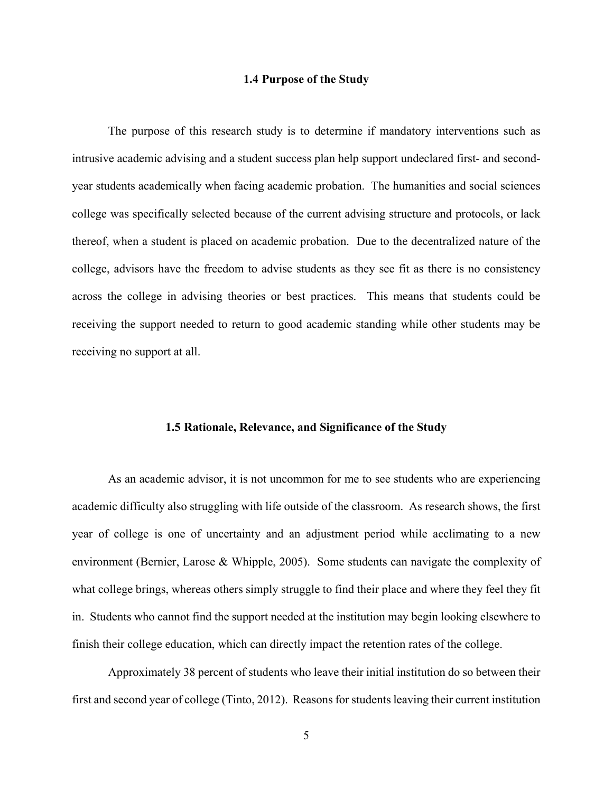# **1.4 Purpose of the Study**

<span id="page-17-0"></span>The purpose of this research study is to determine if mandatory interventions such as intrusive academic advising and a student success plan help support undeclared first- and secondyear students academically when facing academic probation. The humanities and social sciences college was specifically selected because of the current advising structure and protocols, or lack thereof, when a student is placed on academic probation. Due to the decentralized nature of the college, advisors have the freedom to advise students as they see fit as there is no consistency across the college in advising theories or best practices. This means that students could be receiving the support needed to return to good academic standing while other students may be receiving no support at all.

## **1.5 Rationale, Relevance, and Significance of the Study**

<span id="page-17-1"></span>As an academic advisor, it is not uncommon for me to see students who are experiencing academic difficulty also struggling with life outside of the classroom. As research shows, the first year of college is one of uncertainty and an adjustment period while acclimating to a new environment (Bernier, Larose & Whipple, 2005). Some students can navigate the complexity of what college brings, whereas others simply struggle to find their place and where they feel they fit in. Students who cannot find the support needed at the institution may begin looking elsewhere to finish their college education, which can directly impact the retention rates of the college.

Approximately 38 percent of students who leave their initial institution do so between their first and second year of college (Tinto, 2012). Reasons for students leaving their current institution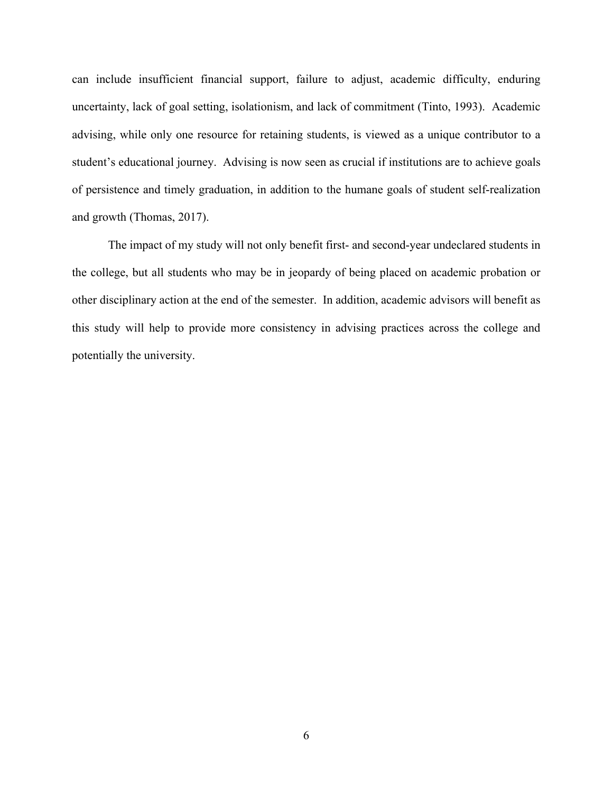can include insufficient financial support, failure to adjust, academic difficulty, enduring uncertainty, lack of goal setting, isolationism, and lack of commitment (Tinto, 1993). Academic advising, while only one resource for retaining students, is viewed as a unique contributor to a student's educational journey. Advising is now seen as crucial if institutions are to achieve goals of persistence and timely graduation, in addition to the humane goals of student self-realization and growth (Thomas, 2017).

The impact of my study will not only benefit first- and second-year undeclared students in the college, but all students who may be in jeopardy of being placed on academic probation or other disciplinary action at the end of the semester. In addition, academic advisors will benefit as this study will help to provide more consistency in advising practices across the college and potentially the university.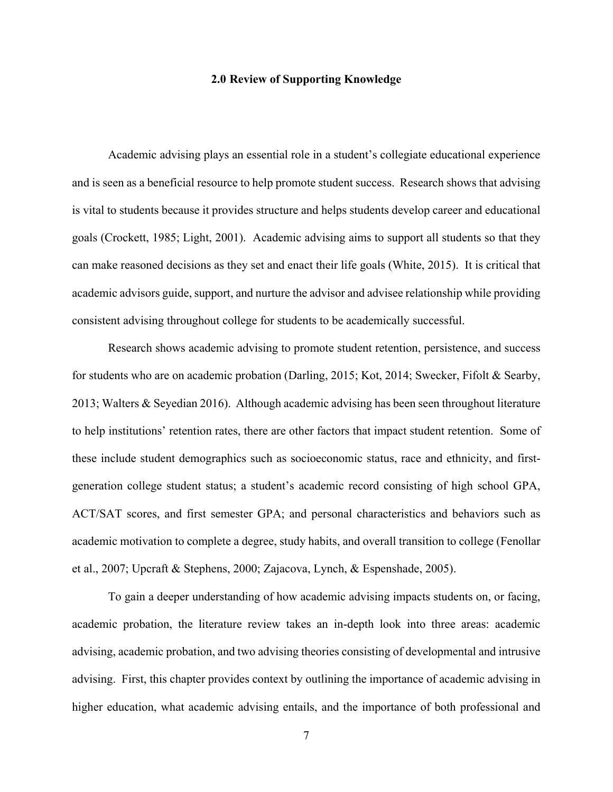# **2.0 Review of Supporting Knowledge**

<span id="page-19-0"></span>Academic advising plays an essential role in a student's collegiate educational experience and is seen as a beneficial resource to help promote student success. Research shows that advising is vital to students because it provides structure and helps students develop career and educational goals (Crockett, 1985; Light, 2001). Academic advising aims to support all students so that they can make reasoned decisions as they set and enact their life goals (White, 2015). It is critical that academic advisors guide, support, and nurture the advisor and advisee relationship while providing consistent advising throughout college for students to be academically successful.

Research shows academic advising to promote student retention, persistence, and success for students who are on academic probation (Darling, 2015; Kot, 2014; Swecker, Fifolt & Searby, 2013; Walters & Seyedian 2016). Although academic advising has been seen throughout literature to help institutions' retention rates, there are other factors that impact student retention. Some of these include student demographics such as socioeconomic status, race and ethnicity, and firstgeneration college student status; a student's academic record consisting of high school GPA, ACT/SAT scores, and first semester GPA; and personal characteristics and behaviors such as academic motivation to complete a degree, study habits, and overall transition to college (Fenollar et al., 2007; Upcraft & Stephens, 2000; Zajacova, Lynch, & Espenshade, 2005).

To gain a deeper understanding of how academic advising impacts students on, or facing, academic probation, the literature review takes an in-depth look into three areas: academic advising, academic probation, and two advising theories consisting of developmental and intrusive advising. First, this chapter provides context by outlining the importance of academic advising in higher education, what academic advising entails, and the importance of both professional and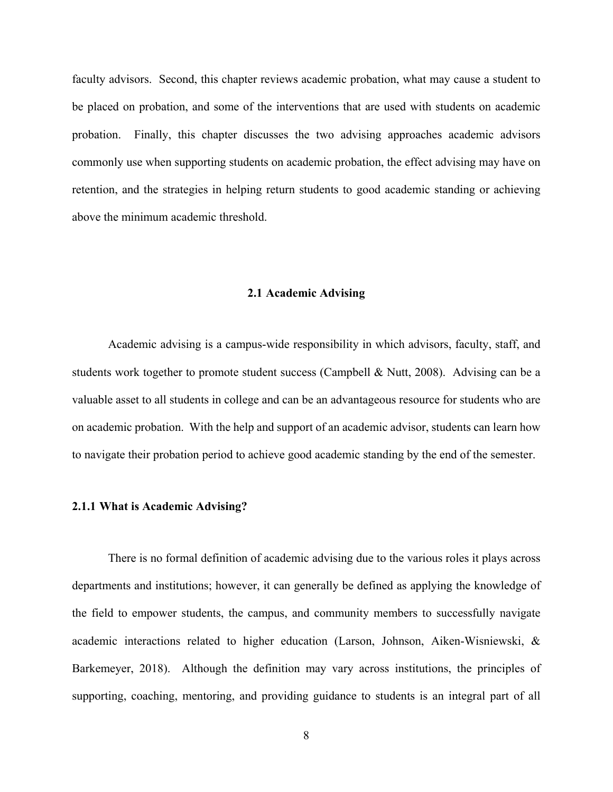faculty advisors. Second, this chapter reviews academic probation, what may cause a student to be placed on probation, and some of the interventions that are used with students on academic probation. Finally, this chapter discusses the two advising approaches academic advisors commonly use when supporting students on academic probation, the effect advising may have on retention, and the strategies in helping return students to good academic standing or achieving above the minimum academic threshold.

## **2.1 Academic Advising**

<span id="page-20-0"></span>Academic advising is a campus-wide responsibility in which advisors, faculty, staff, and students work together to promote student success (Campbell & Nutt, 2008). Advising can be a valuable asset to all students in college and can be an advantageous resource for students who are on academic probation. With the help and support of an academic advisor, students can learn how to navigate their probation period to achieve good academic standing by the end of the semester.

#### <span id="page-20-1"></span>**2.1.1 What is Academic Advising?**

There is no formal definition of academic advising due to the various roles it plays across departments and institutions; however, it can generally be defined as applying the knowledge of the field to empower students, the campus, and community members to successfully navigate academic interactions related to higher education (Larson, Johnson, Aiken-Wisniewski, & Barkemeyer, 2018). Although the definition may vary across institutions, the principles of supporting, coaching, mentoring, and providing guidance to students is an integral part of all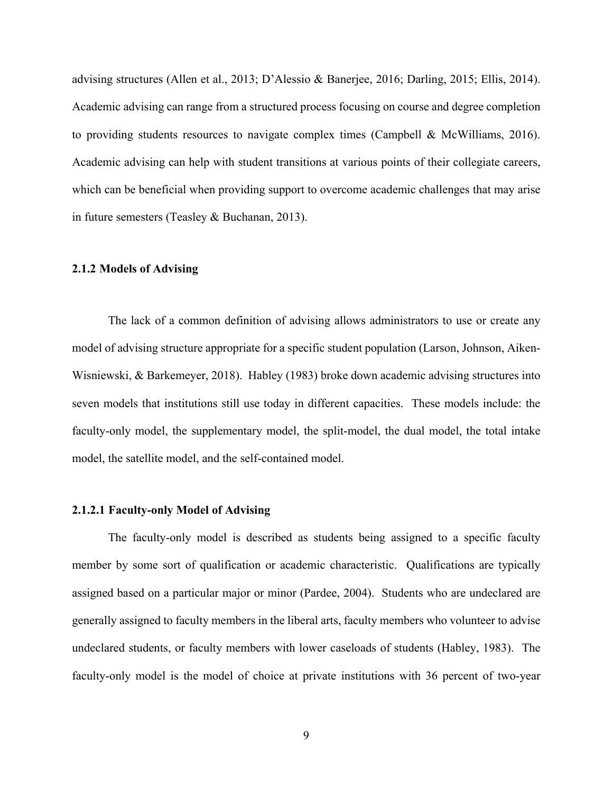advising structures (Allen et al., 2013; D'Alessio & Banerjee, 2016; Darling, 2015; Ellis, 2014). Academic advising can range from a structured process focusing on course and degree completion to providing students resources to navigate complex times (Campbell & McWilliams, 2016). Academic advising can help with student transitions at various points of their collegiate careers, which can be beneficial when providing support to overcome academic challenges that may arise in future semesters (Teasley & Buchanan, 2013).

# <span id="page-21-0"></span>**2.1.2 Models of Advising**

The lack of a common definition of advising allows administrators to use or create any model of advising structure appropriate for a specific student population (Larson, Johnson, Aiken-Wisniewski, & Barkemeyer, 2018). Habley (1983) broke down academic advising structures into seven models that institutions still use today in different capacities. These models include: the faculty-only model, the supplementary model, the split-model, the dual model, the total intake model, the satellite model, and the self-contained model.

#### <span id="page-21-1"></span>**2.1.2.1 Faculty-only Model of Advising**

The faculty-only model is described as students being assigned to a specific faculty member by some sort of qualification or academic characteristic. Qualifications are typically assigned based on a particular major or minor (Pardee, 2004). Students who are undeclared are generally assigned to faculty members in the liberal arts, faculty members who volunteer to advise undeclared students, or faculty members with lower caseloads of students (Habley, 1983). The faculty-only model is the model of choice at private institutions with 36 percent of two-year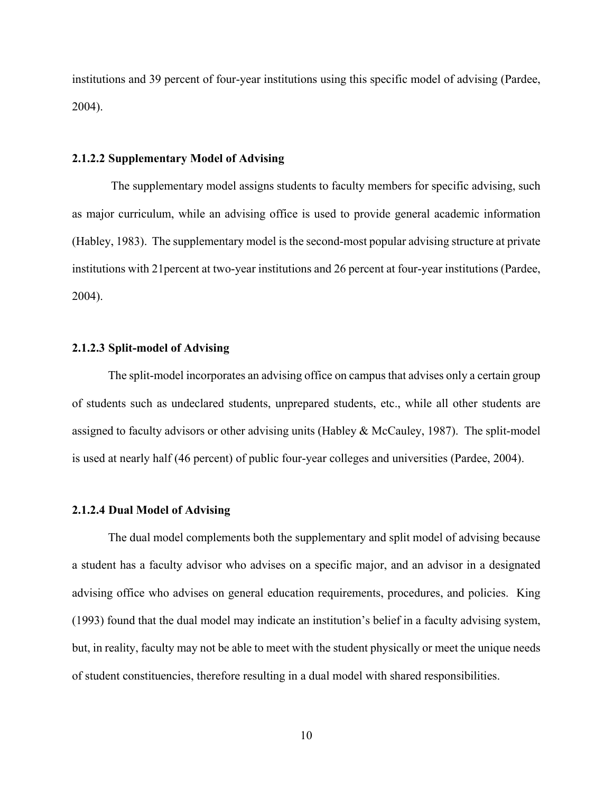institutions and 39 percent of four-year institutions using this specific model of advising (Pardee, 2004).

## <span id="page-22-0"></span>**2.1.2.2 Supplementary Model of Advising**

The supplementary model assigns students to faculty members for specific advising, such as major curriculum, while an advising office is used to provide general academic information (Habley, 1983). The supplementary model is the second-most popular advising structure at private institutions with 21percent at two-year institutions and 26 percent at four-year institutions (Pardee, 2004).

# <span id="page-22-1"></span>**2.1.2.3 Split-model of Advising**

The split-model incorporates an advising office on campus that advises only a certain group of students such as undeclared students, unprepared students, etc., while all other students are assigned to faculty advisors or other advising units (Habley & McCauley, 1987). The split-model is used at nearly half (46 percent) of public four-year colleges and universities (Pardee, 2004).

#### <span id="page-22-2"></span>**2.1.2.4 Dual Model of Advising**

The dual model complements both the supplementary and split model of advising because a student has a faculty advisor who advises on a specific major, and an advisor in a designated advising office who advises on general education requirements, procedures, and policies. King (1993) found that the dual model may indicate an institution's belief in a faculty advising system, but, in reality, faculty may not be able to meet with the student physically or meet the unique needs of student constituencies, therefore resulting in a dual model with shared responsibilities.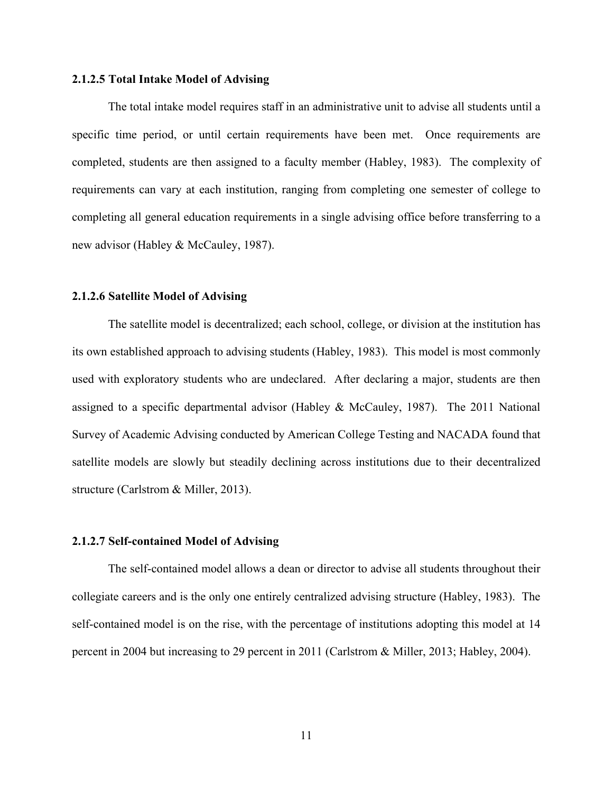# <span id="page-23-0"></span>**2.1.2.5 Total Intake Model of Advising**

The total intake model requires staff in an administrative unit to advise all students until a specific time period, or until certain requirements have been met. Once requirements are completed, students are then assigned to a faculty member (Habley, 1983). The complexity of requirements can vary at each institution, ranging from completing one semester of college to completing all general education requirements in a single advising office before transferring to a new advisor (Habley & McCauley, 1987).

# <span id="page-23-1"></span>**2.1.2.6 Satellite Model of Advising**

The satellite model is decentralized; each school, college, or division at the institution has its own established approach to advising students (Habley, 1983). This model is most commonly used with exploratory students who are undeclared. After declaring a major, students are then assigned to a specific departmental advisor (Habley & McCauley, 1987). The 2011 National Survey of Academic Advising conducted by American College Testing and NACADA found that satellite models are slowly but steadily declining across institutions due to their decentralized structure (Carlstrom & Miller, 2013).

# <span id="page-23-2"></span>**2.1.2.7 Self-contained Model of Advising**

The self-contained model allows a dean or director to advise all students throughout their collegiate careers and is the only one entirely centralized advising structure (Habley, 1983). The self-contained model is on the rise, with the percentage of institutions adopting this model at 14 percent in 2004 but increasing to 29 percent in 2011 (Carlstrom & Miller, 2013; Habley, 2004).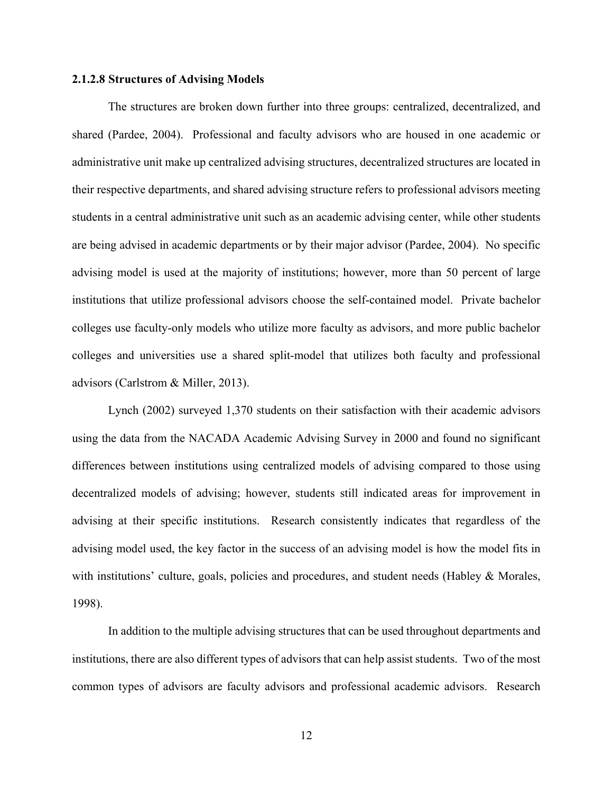#### <span id="page-24-0"></span>**2.1.2.8 Structures of Advising Models**

The structures are broken down further into three groups: centralized, decentralized, and shared (Pardee, 2004). Professional and faculty advisors who are housed in one academic or administrative unit make up centralized advising structures, decentralized structures are located in their respective departments, and shared advising structure refers to professional advisors meeting students in a central administrative unit such as an academic advising center, while other students are being advised in academic departments or by their major advisor (Pardee, 2004). No specific advising model is used at the majority of institutions; however, more than 50 percent of large institutions that utilize professional advisors choose the self-contained model. Private bachelor colleges use faculty-only models who utilize more faculty as advisors, and more public bachelor colleges and universities use a shared split-model that utilizes both faculty and professional advisors (Carlstrom & Miller, 2013).

Lynch (2002) surveyed 1,370 students on their satisfaction with their academic advisors using the data from the NACADA Academic Advising Survey in 2000 and found no significant differences between institutions using centralized models of advising compared to those using decentralized models of advising; however, students still indicated areas for improvement in advising at their specific institutions. Research consistently indicates that regardless of the advising model used, the key factor in the success of an advising model is how the model fits in with institutions' culture, goals, policies and procedures, and student needs (Habley & Morales, 1998).

In addition to the multiple advising structures that can be used throughout departments and institutions, there are also different types of advisors that can help assist students. Two of the most common types of advisors are faculty advisors and professional academic advisors. Research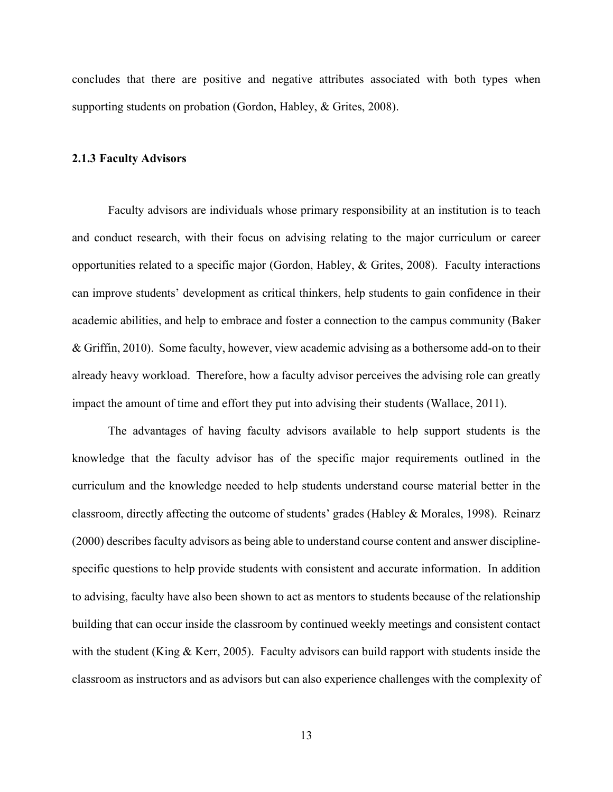concludes that there are positive and negative attributes associated with both types when supporting students on probation (Gordon, Habley, & Grites, 2008).

# <span id="page-25-0"></span>**2.1.3 Faculty Advisors**

Faculty advisors are individuals whose primary responsibility at an institution is to teach and conduct research, with their focus on advising relating to the major curriculum or career opportunities related to a specific major (Gordon, Habley, & Grites, 2008). Faculty interactions can improve students' development as critical thinkers, help students to gain confidence in their academic abilities, and help to embrace and foster a connection to the campus community (Baker & Griffin, 2010). Some faculty, however, view academic advising as a bothersome add-on to their already heavy workload. Therefore, how a faculty advisor perceives the advising role can greatly impact the amount of time and effort they put into advising their students (Wallace, 2011).

The advantages of having faculty advisors available to help support students is the knowledge that the faculty advisor has of the specific major requirements outlined in the curriculum and the knowledge needed to help students understand course material better in the classroom, directly affecting the outcome of students' grades (Habley & Morales, 1998). Reinarz (2000) describes faculty advisors as being able to understand course content and answer disciplinespecific questions to help provide students with consistent and accurate information. In addition to advising, faculty have also been shown to act as mentors to students because of the relationship building that can occur inside the classroom by continued weekly meetings and consistent contact with the student (King & Kerr, 2005). Faculty advisors can build rapport with students inside the classroom as instructors and as advisors but can also experience challenges with the complexity of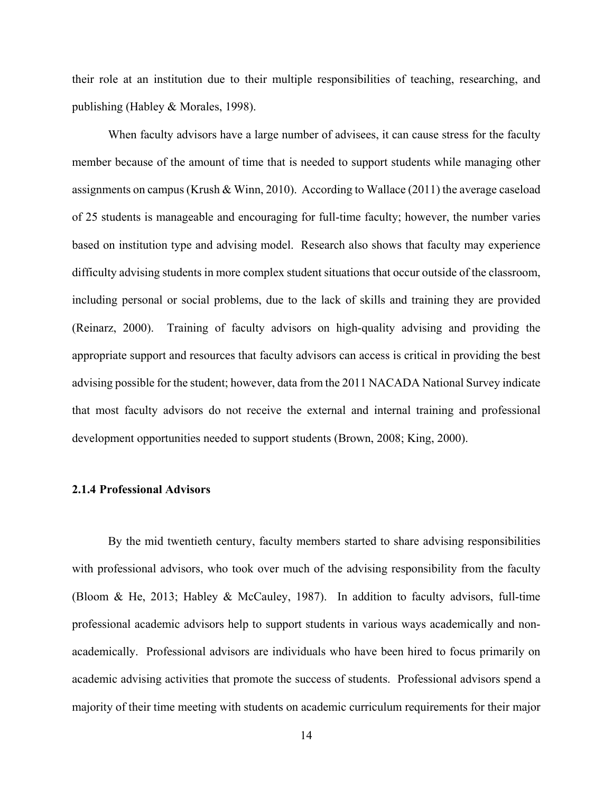their role at an institution due to their multiple responsibilities of teaching, researching, and publishing (Habley & Morales, 1998).

When faculty advisors have a large number of advisees, it can cause stress for the faculty member because of the amount of time that is needed to support students while managing other assignments on campus (Krush & Winn, 2010). According to Wallace (2011) the average caseload of 25 students is manageable and encouraging for full-time faculty; however, the number varies based on institution type and advising model. Research also shows that faculty may experience difficulty advising students in more complex student situations that occur outside of the classroom, including personal or social problems, due to the lack of skills and training they are provided (Reinarz, 2000). Training of faculty advisors on high-quality advising and providing the appropriate support and resources that faculty advisors can access is critical in providing the best advising possible for the student; however, data from the 2011 NACADA National Survey indicate that most faculty advisors do not receive the external and internal training and professional development opportunities needed to support students (Brown, 2008; King, 2000).

# <span id="page-26-0"></span>**2.1.4 Professional Advisors**

By the mid twentieth century, faculty members started to share advising responsibilities with professional advisors, who took over much of the advising responsibility from the faculty (Bloom & He, 2013; Habley & McCauley, 1987). In addition to faculty advisors, full-time professional academic advisors help to support students in various ways academically and nonacademically. Professional advisors are individuals who have been hired to focus primarily on academic advising activities that promote the success of students. Professional advisors spend a majority of their time meeting with students on academic curriculum requirements for their major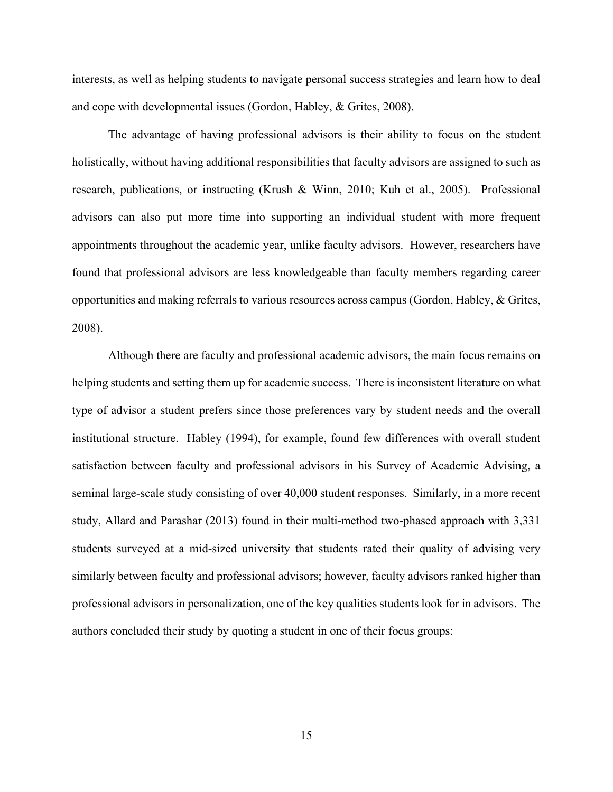interests, as well as helping students to navigate personal success strategies and learn how to deal and cope with developmental issues (Gordon, Habley, & Grites, 2008).

The advantage of having professional advisors is their ability to focus on the student holistically, without having additional responsibilities that faculty advisors are assigned to such as research, publications, or instructing (Krush & Winn, 2010; Kuh et al., 2005). Professional advisors can also put more time into supporting an individual student with more frequent appointments throughout the academic year, unlike faculty advisors. However, researchers have found that professional advisors are less knowledgeable than faculty members regarding career opportunities and making referrals to various resources across campus (Gordon, Habley, & Grites, 2008).

Although there are faculty and professional academic advisors, the main focus remains on helping students and setting them up for academic success. There is inconsistent literature on what type of advisor a student prefers since those preferences vary by student needs and the overall institutional structure. Habley (1994), for example, found few differences with overall student satisfaction between faculty and professional advisors in his Survey of Academic Advising, a seminal large-scale study consisting of over 40,000 student responses. Similarly, in a more recent study, Allard and Parashar (2013) found in their multi-method two-phased approach with 3,331 students surveyed at a mid-sized university that students rated their quality of advising very similarly between faculty and professional advisors; however, faculty advisors ranked higher than professional advisors in personalization, one of the key qualities students look for in advisors. The authors concluded their study by quoting a student in one of their focus groups: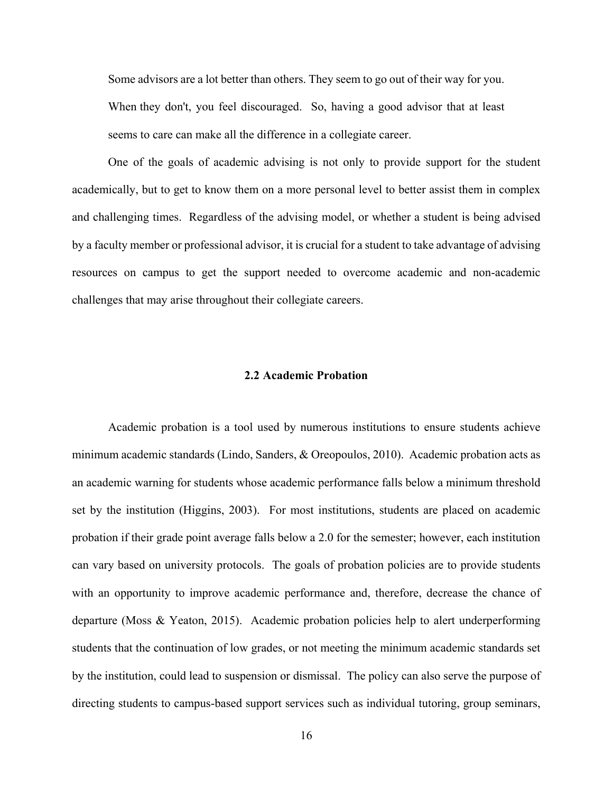Some advisors are a lot better than others. They seem to go out of their way for you. When they don't, you feel discouraged. So, having a good advisor that at least seems to care can make all the difference in a collegiate career.

One of the goals of academic advising is not only to provide support for the student academically, but to get to know them on a more personal level to better assist them in complex and challenging times. Regardless of the advising model, or whether a student is being advised by a faculty member or professional advisor, it is crucial for a student to take advantage of advising resources on campus to get the support needed to overcome academic and non-academic challenges that may arise throughout their collegiate careers.

#### **2.2 Academic Probation**

<span id="page-28-0"></span>Academic probation is a tool used by numerous institutions to ensure students achieve minimum academic standards (Lindo, Sanders, & Oreopoulos, 2010). Academic probation acts as an academic warning for students whose academic performance falls below a minimum threshold set by the institution (Higgins, 2003). For most institutions, students are placed on academic probation if their grade point average falls below a 2.0 for the semester; however, each institution can vary based on university protocols. The goals of probation policies are to provide students with an opportunity to improve academic performance and, therefore, decrease the chance of departure (Moss & Yeaton, 2015). Academic probation policies help to alert underperforming students that the continuation of low grades, or not meeting the minimum academic standards set by the institution, could lead to suspension or dismissal. The policy can also serve the purpose of directing students to campus-based support services such as individual tutoring, group seminars,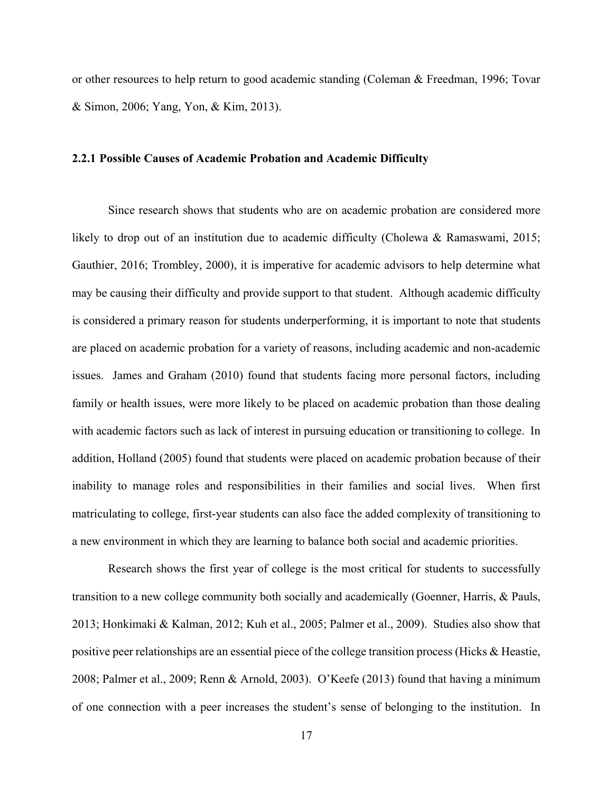or other resources to help return to good academic standing (Coleman & Freedman, 1996; Tovar & Simon, 2006; Yang, Yon, & Kim, 2013).

# <span id="page-29-0"></span>**2.2.1 Possible Causes of Academic Probation and Academic Difficulty**

Since research shows that students who are on academic probation are considered more likely to drop out of an institution due to academic difficulty (Cholewa & Ramaswami, 2015; Gauthier, 2016; Trombley, 2000), it is imperative for academic advisors to help determine what may be causing their difficulty and provide support to that student. Although academic difficulty is considered a primary reason for students underperforming, it is important to note that students are placed on academic probation for a variety of reasons, including academic and non-academic issues. James and Graham (2010) found that students facing more personal factors, including family or health issues, were more likely to be placed on academic probation than those dealing with academic factors such as lack of interest in pursuing education or transitioning to college. In addition, Holland (2005) found that students were placed on academic probation because of their inability to manage roles and responsibilities in their families and social lives. When first matriculating to college, first-year students can also face the added complexity of transitioning to a new environment in which they are learning to balance both social and academic priorities.

Research shows the first year of college is the most critical for students to successfully transition to a new college community both socially and academically (Goenner, Harris, & Pauls, 2013; Honkimaki & Kalman, 2012; Kuh et al., 2005; Palmer et al., 2009). Studies also show that positive peer relationships are an essential piece of the college transition process (Hicks & Heastie, 2008; Palmer et al., 2009; Renn & Arnold, 2003). O'Keefe (2013) found that having a minimum of one connection with a peer increases the student's sense of belonging to the institution. In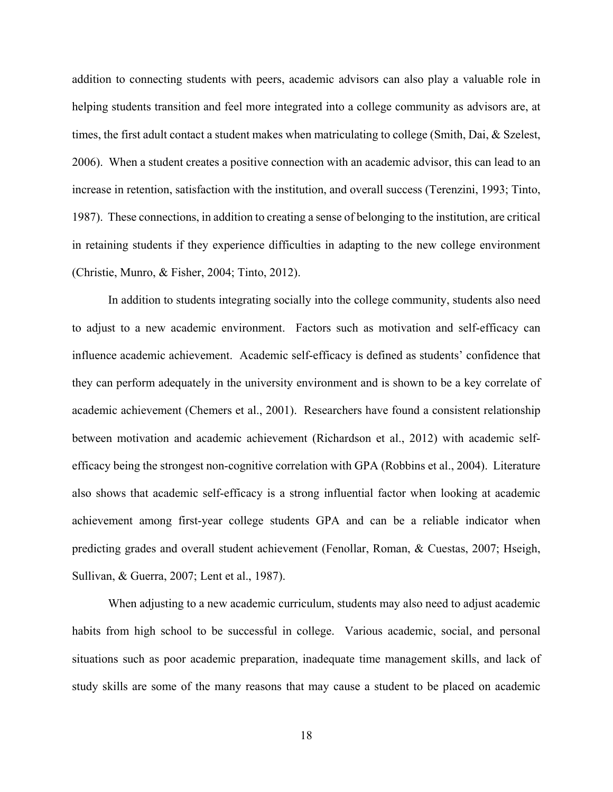addition to connecting students with peers, academic advisors can also play a valuable role in helping students transition and feel more integrated into a college community as advisors are, at times, the first adult contact a student makes when matriculating to college (Smith, Dai, & Szelest, 2006). When a student creates a positive connection with an academic advisor, this can lead to an increase in retention, satisfaction with the institution, and overall success (Terenzini, 1993; Tinto, 1987). These connections, in addition to creating a sense of belonging to the institution, are critical in retaining students if they experience difficulties in adapting to the new college environment (Christie, Munro, & Fisher, 2004; Tinto, 2012).

In addition to students integrating socially into the college community, students also need to adjust to a new academic environment. Factors such as motivation and self-efficacy can influence academic achievement. Academic self-efficacy is defined as students' confidence that they can perform adequately in the university environment and is shown to be a key correlate of academic achievement (Chemers et al., 2001). Researchers have found a consistent relationship between motivation and academic achievement (Richardson et al., 2012) with academic selfefficacy being the strongest non-cognitive correlation with GPA (Robbins et al., 2004). Literature also shows that academic self-efficacy is a strong influential factor when looking at academic achievement among first-year college students GPA and can be a reliable indicator when predicting grades and overall student achievement (Fenollar, Roman, & Cuestas, 2007; Hseigh, Sullivan, & Guerra, 2007; Lent et al., 1987).

When adjusting to a new academic curriculum, students may also need to adjust academic habits from high school to be successful in college. Various academic, social, and personal situations such as poor academic preparation, inadequate time management skills, and lack of study skills are some of the many reasons that may cause a student to be placed on academic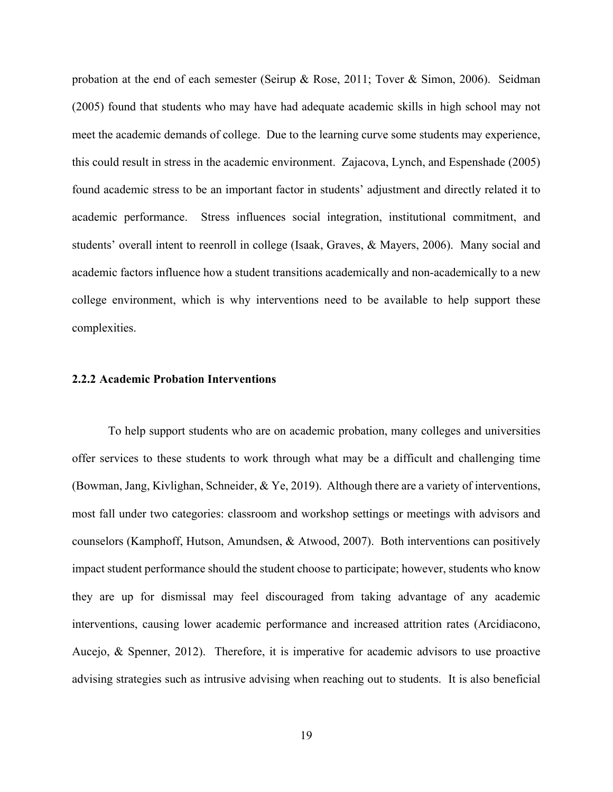probation at the end of each semester (Seirup & Rose, 2011; Tover & Simon, 2006). Seidman (2005) found that students who may have had adequate academic skills in high school may not meet the academic demands of college. Due to the learning curve some students may experience, this could result in stress in the academic environment. Zajacova, Lynch, and Espenshade (2005) found academic stress to be an important factor in students' adjustment and directly related it to academic performance. Stress influences social integration, institutional commitment, and students' overall intent to reenroll in college (Isaak, Graves, & Mayers, 2006). Many social and academic factors influence how a student transitions academically and non-academically to a new college environment, which is why interventions need to be available to help support these complexities.

## <span id="page-31-0"></span>**2.2.2 Academic Probation Interventions**

To help support students who are on academic probation, many colleges and universities offer services to these students to work through what may be a difficult and challenging time (Bowman, Jang, Kivlighan, Schneider, & Ye, 2019). Although there are a variety of interventions, most fall under two categories: classroom and workshop settings or meetings with advisors and counselors (Kamphoff, Hutson, Amundsen, & Atwood, 2007). Both interventions can positively impact student performance should the student choose to participate; however, students who know they are up for dismissal may feel discouraged from taking advantage of any academic interventions, causing lower academic performance and increased attrition rates (Arcidiacono, Aucejo, & Spenner, 2012). Therefore, it is imperative for academic advisors to use proactive advising strategies such as intrusive advising when reaching out to students. It is also beneficial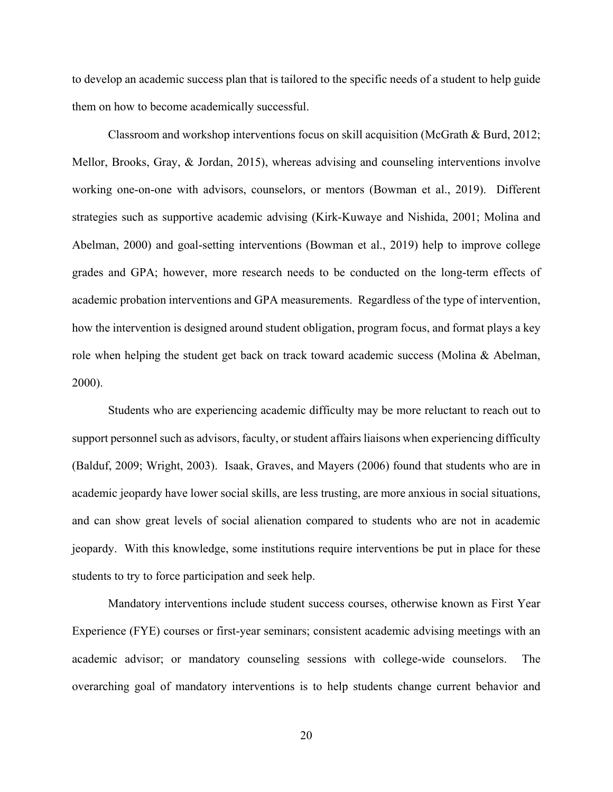to develop an academic success plan that is tailored to the specific needs of a student to help guide them on how to become academically successful.

Classroom and workshop interventions focus on skill acquisition (McGrath & Burd, 2012; Mellor, Brooks, Gray, & Jordan, 2015), whereas advising and counseling interventions involve working one-on-one with advisors, counselors, or mentors (Bowman et al., 2019). Different strategies such as supportive academic advising (Kirk-Kuwaye and Nishida, 2001; Molina and Abelman, 2000) and goal-setting interventions (Bowman et al., 2019) help to improve college grades and GPA; however, more research needs to be conducted on the long-term effects of academic probation interventions and GPA measurements. Regardless of the type of intervention, how the intervention is designed around student obligation, program focus, and format plays a key role when helping the student get back on track toward academic success (Molina & Abelman, 2000).

Students who are experiencing academic difficulty may be more reluctant to reach out to support personnel such as advisors, faculty, or student affairs liaisons when experiencing difficulty (Balduf, 2009; Wright, 2003). Isaak, Graves, and Mayers (2006) found that students who are in academic jeopardy have lower social skills, are less trusting, are more anxious in social situations, and can show great levels of social alienation compared to students who are not in academic jeopardy. With this knowledge, some institutions require interventions be put in place for these students to try to force participation and seek help.

Mandatory interventions include student success courses, otherwise known as First Year Experience (FYE) courses or first-year seminars; consistent academic advising meetings with an academic advisor; or mandatory counseling sessions with college-wide counselors. The overarching goal of mandatory interventions is to help students change current behavior and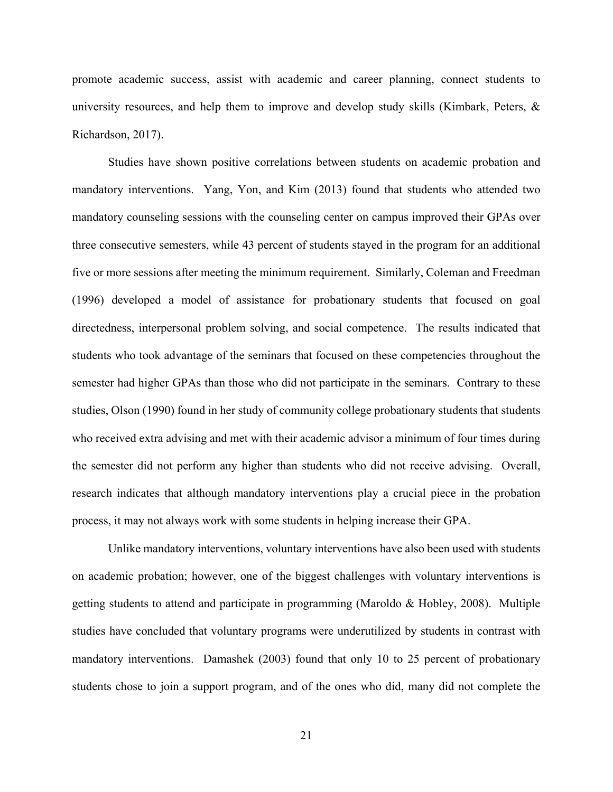promote academic success, assist with academic and career planning, connect students to university resources, and help them to improve and develop study skills (Kimbark, Peters,  $\&$ Richardson, 2017).

Studies have shown positive correlations between students on academic probation and mandatory interventions. Yang, Yon, and Kim (2013) found that students who attended two mandatory counseling sessions with the counseling center on campus improved their GPAs over three consecutive semesters, while 43 percent of students stayed in the program for an additional five or more sessions after meeting the minimum requirement. Similarly, Coleman and Freedman (1996) developed a model of assistance for probationary students that focused on goal directedness, interpersonal problem solving, and social competence. The results indicated that students who took advantage of the seminars that focused on these competencies throughout the semester had higher GPAs than those who did not participate in the seminars. Contrary to these studies, Olson (1990) found in her study of community college probationary students that students who received extra advising and met with their academic advisor a minimum of four times during the semester did not perform any higher than students who did not receive advising. Overall, research indicates that although mandatory interventions play a crucial piece in the probation process, it may not always work with some students in helping increase their GPA.

Unlike mandatory interventions, voluntary interventions have also been used with students on academic probation; however, one of the biggest challenges with voluntary interventions is getting students to attend and participate in programming (Maroldo & Hobley, 2008). Multiple studies have concluded that voluntary programs were underutilized by students in contrast with mandatory interventions. Damashek (2003) found that only 10 to 25 percent of probationary students chose to join a support program, and of the ones who did, many did not complete the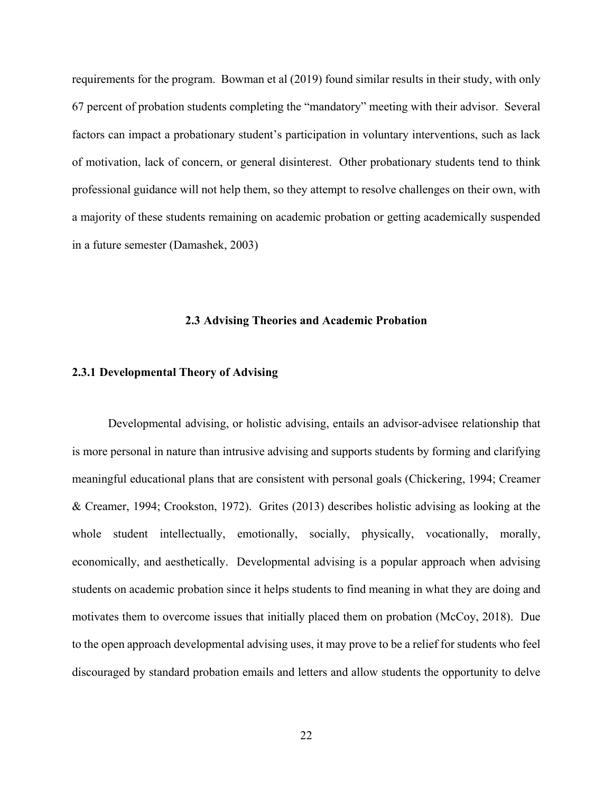requirements for the program. Bowman et al (2019) found similar results in their study, with only 67 percent of probation students completing the "mandatory" meeting with their advisor. Several factors can impact a probationary student's participation in voluntary interventions, such as lack of motivation, lack of concern, or general disinterest. Other probationary students tend to think professional guidance will not help them, so they attempt to resolve challenges on their own, with a majority of these students remaining on academic probation or getting academically suspended in a future semester (Damashek, 2003)

# **2.3 Advising Theories and Academic Probation**

# <span id="page-34-1"></span><span id="page-34-0"></span>**2.3.1 Developmental Theory of Advising**

Developmental advising, or holistic advising, entails an advisor-advisee relationship that is more personal in nature than intrusive advising and supports students by forming and clarifying meaningful educational plans that are consistent with personal goals (Chickering, 1994; Creamer & Creamer, 1994; Crookston, 1972). Grites (2013) describes holistic advising as looking at the whole student intellectually, emotionally, socially, physically, vocationally, morally, economically, and aesthetically. Developmental advising is a popular approach when advising students on academic probation since it helps students to find meaning in what they are doing and motivates them to overcome issues that initially placed them on probation (McCoy, 2018). Due to the open approach developmental advising uses, it may prove to be a relief for students who feel discouraged by standard probation emails and letters and allow students the opportunity to delve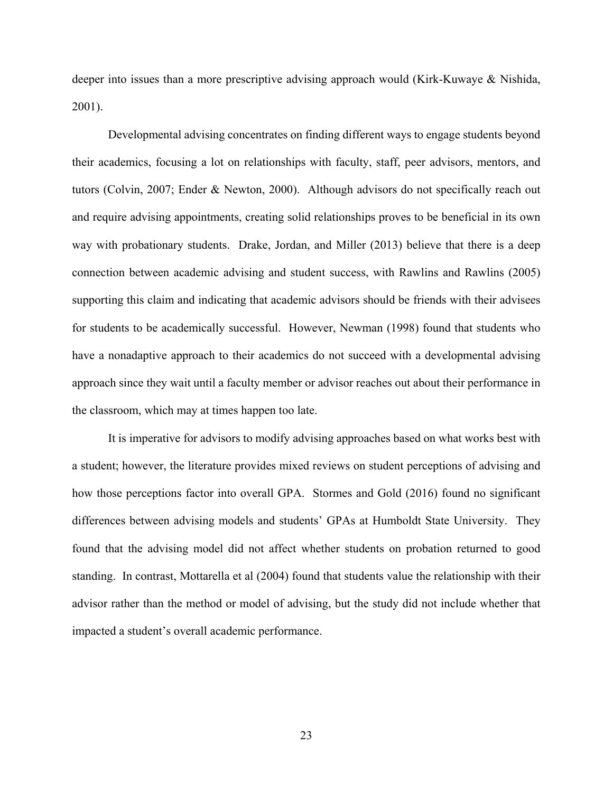deeper into issues than a more prescriptive advising approach would (Kirk-Kuwaye & Nishida, 2001).

Developmental advising concentrates on finding different ways to engage students beyond their academics, focusing a lot on relationships with faculty, staff, peer advisors, mentors, and tutors (Colvin, 2007; Ender & Newton, 2000). Although advisors do not specifically reach out and require advising appointments, creating solid relationships proves to be beneficial in its own way with probationary students. Drake, Jordan, and Miller (2013) believe that there is a deep connection between academic advising and student success, with Rawlins and Rawlins (2005) supporting this claim and indicating that academic advisors should be friends with their advisees for students to be academically successful. However, Newman (1998) found that students who have a nonadaptive approach to their academics do not succeed with a developmental advising approach since they wait until a faculty member or advisor reaches out about their performance in the classroom, which may at times happen too late.

It is imperative for advisors to modify advising approaches based on what works best with a student; however, the literature provides mixed reviews on student perceptions of advising and how those perceptions factor into overall GPA. Stormes and Gold (2016) found no significant differences between advising models and students' GPAs at Humboldt State University. They found that the advising model did not affect whether students on probation returned to good standing. In contrast, Mottarella et al (2004) found that students value the relationship with their advisor rather than the method or model of advising, but the study did not include whether that impacted a student's overall academic performance.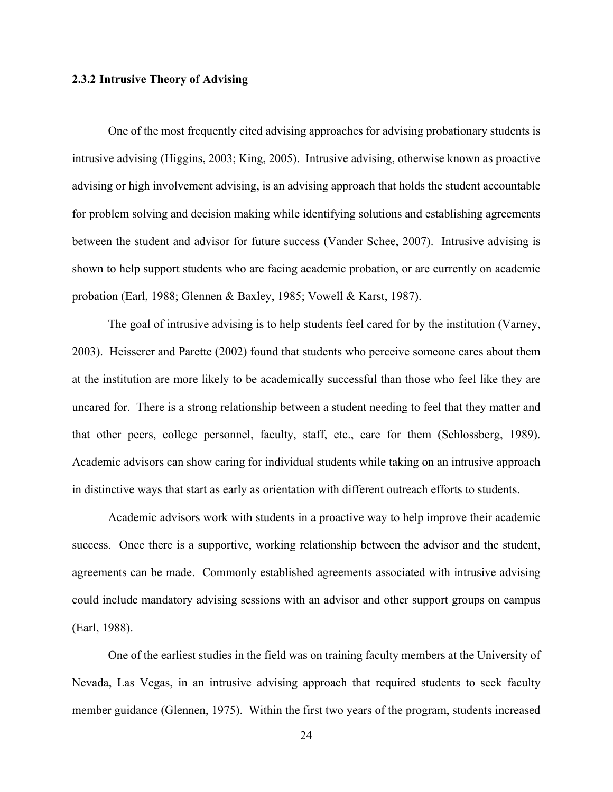## **2.3.2 Intrusive Theory of Advising**

One of the most frequently cited advising approaches for advising probationary students is intrusive advising (Higgins, 2003; King, 2005). Intrusive advising, otherwise known as proactive advising or high involvement advising, is an advising approach that holds the student accountable for problem solving and decision making while identifying solutions and establishing agreements between the student and advisor for future success (Vander Schee, 2007). Intrusive advising is shown to help support students who are facing academic probation, or are currently on academic probation (Earl, 1988; Glennen & Baxley, 1985; Vowell & Karst, 1987).

The goal of intrusive advising is to help students feel cared for by the institution (Varney, 2003). Heisserer and Parette (2002) found that students who perceive someone cares about them at the institution are more likely to be academically successful than those who feel like they are uncared for. There is a strong relationship between a student needing to feel that they matter and that other peers, college personnel, faculty, staff, etc., care for them (Schlossberg, 1989). Academic advisors can show caring for individual students while taking on an intrusive approach in distinctive ways that start as early as orientation with different outreach efforts to students.

Academic advisors work with students in a proactive way to help improve their academic success. Once there is a supportive, working relationship between the advisor and the student, agreements can be made. Commonly established agreements associated with intrusive advising could include mandatory advising sessions with an advisor and other support groups on campus (Earl, 1988).

One of the earliest studies in the field was on training faculty members at the University of Nevada, Las Vegas, in an intrusive advising approach that required students to seek faculty member guidance (Glennen, 1975). Within the first two years of the program, students increased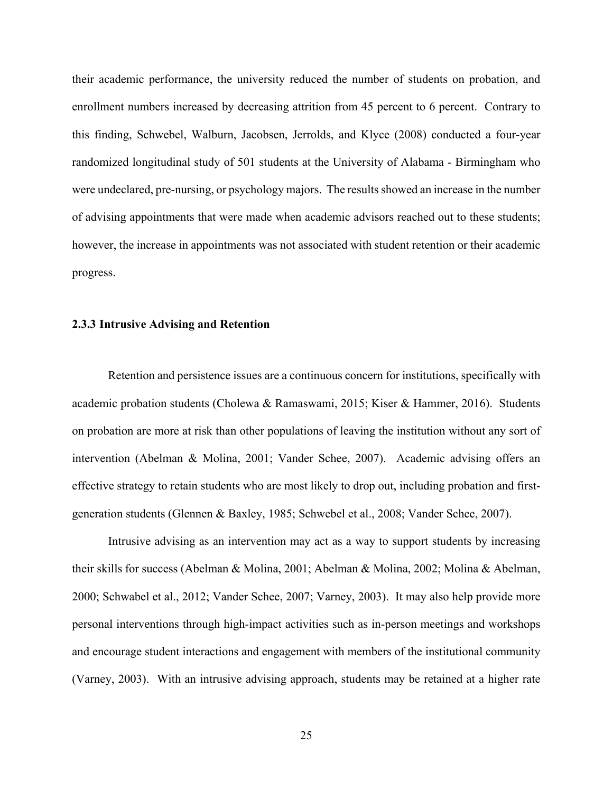their academic performance, the university reduced the number of students on probation, and enrollment numbers increased by decreasing attrition from 45 percent to 6 percent. Contrary to this finding, Schwebel, Walburn, Jacobsen, Jerrolds, and Klyce (2008) conducted a four-year randomized longitudinal study of 501 students at the University of Alabama - Birmingham who were undeclared, pre-nursing, or psychology majors. The results showed an increase in the number of advising appointments that were made when academic advisors reached out to these students; however, the increase in appointments was not associated with student retention or their academic progress.

## **2.3.3 Intrusive Advising and Retention**

Retention and persistence issues are a continuous concern for institutions, specifically with academic probation students (Cholewa & Ramaswami, 2015; Kiser & Hammer, 2016). Students on probation are more at risk than other populations of leaving the institution without any sort of intervention (Abelman & Molina, 2001; Vander Schee, 2007). Academic advising offers an effective strategy to retain students who are most likely to drop out, including probation and firstgeneration students (Glennen & Baxley, 1985; Schwebel et al., 2008; Vander Schee, 2007).

Intrusive advising as an intervention may act as a way to support students by increasing their skills for success (Abelman & Molina, 2001; Abelman & Molina, 2002; Molina & Abelman, 2000; Schwabel et al., 2012; Vander Schee, 2007; Varney, 2003). It may also help provide more personal interventions through high-impact activities such as in-person meetings and workshops and encourage student interactions and engagement with members of the institutional community (Varney, 2003). With an intrusive advising approach, students may be retained at a higher rate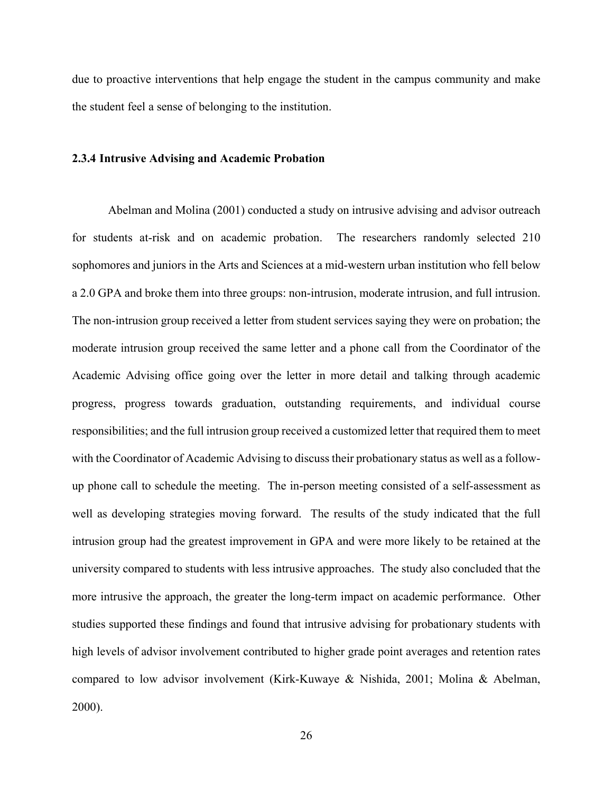due to proactive interventions that help engage the student in the campus community and make the student feel a sense of belonging to the institution.

## **2.3.4 Intrusive Advising and Academic Probation**

Abelman and Molina (2001) conducted a study on intrusive advising and advisor outreach for students at-risk and on academic probation. The researchers randomly selected 210 sophomores and juniors in the Arts and Sciences at a mid-western urban institution who fell below a 2.0 GPA and broke them into three groups: non-intrusion, moderate intrusion, and full intrusion. The non-intrusion group received a letter from student services saying they were on probation; the moderate intrusion group received the same letter and a phone call from the Coordinator of the Academic Advising office going over the letter in more detail and talking through academic progress, progress towards graduation, outstanding requirements, and individual course responsibilities; and the full intrusion group received a customized letter that required them to meet with the Coordinator of Academic Advising to discuss their probationary status as well as a followup phone call to schedule the meeting. The in-person meeting consisted of a self-assessment as well as developing strategies moving forward. The results of the study indicated that the full intrusion group had the greatest improvement in GPA and were more likely to be retained at the university compared to students with less intrusive approaches. The study also concluded that the more intrusive the approach, the greater the long-term impact on academic performance. Other studies supported these findings and found that intrusive advising for probationary students with high levels of advisor involvement contributed to higher grade point averages and retention rates compared to low advisor involvement (Kirk-Kuwaye & Nishida, 2001; Molina & Abelman, 2000).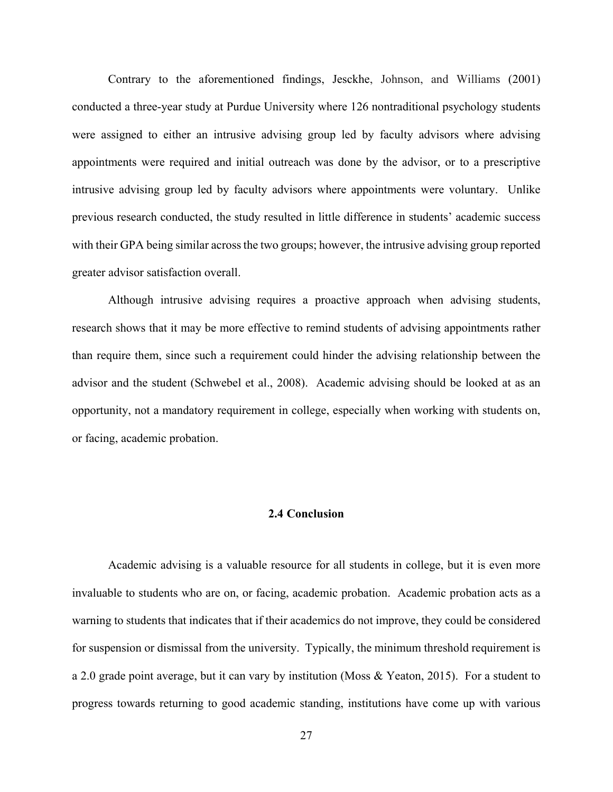Contrary to the aforementioned findings, Jesckhe, Johnson, and Williams (2001) conducted a three-year study at Purdue University where 126 nontraditional psychology students were assigned to either an intrusive advising group led by faculty advisors where advising appointments were required and initial outreach was done by the advisor, or to a prescriptive intrusive advising group led by faculty advisors where appointments were voluntary. Unlike previous research conducted, the study resulted in little difference in students' academic success with their GPA being similar across the two groups; however, the intrusive advising group reported greater advisor satisfaction overall.

Although intrusive advising requires a proactive approach when advising students, research shows that it may be more effective to remind students of advising appointments rather than require them, since such a requirement could hinder the advising relationship between the advisor and the student (Schwebel et al., 2008). Academic advising should be looked at as an opportunity, not a mandatory requirement in college, especially when working with students on, or facing, academic probation.

## **2.4 Conclusion**

Academic advising is a valuable resource for all students in college, but it is even more invaluable to students who are on, or facing, academic probation. Academic probation acts as a warning to students that indicates that if their academics do not improve, they could be considered for suspension or dismissal from the university. Typically, the minimum threshold requirement is a 2.0 grade point average, but it can vary by institution (Moss & Yeaton, 2015). For a student to progress towards returning to good academic standing, institutions have come up with various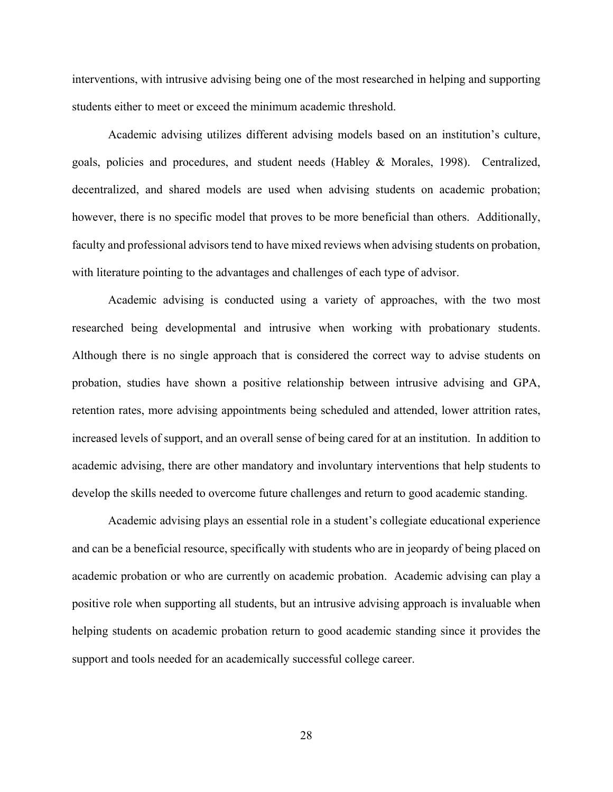interventions, with intrusive advising being one of the most researched in helping and supporting students either to meet or exceed the minimum academic threshold.

Academic advising utilizes different advising models based on an institution's culture, goals, policies and procedures, and student needs (Habley & Morales, 1998). Centralized, decentralized, and shared models are used when advising students on academic probation; however, there is no specific model that proves to be more beneficial than others. Additionally, faculty and professional advisors tend to have mixed reviews when advising students on probation, with literature pointing to the advantages and challenges of each type of advisor.

Academic advising is conducted using a variety of approaches, with the two most researched being developmental and intrusive when working with probationary students. Although there is no single approach that is considered the correct way to advise students on probation, studies have shown a positive relationship between intrusive advising and GPA, retention rates, more advising appointments being scheduled and attended, lower attrition rates, increased levels of support, and an overall sense of being cared for at an institution. In addition to academic advising, there are other mandatory and involuntary interventions that help students to develop the skills needed to overcome future challenges and return to good academic standing.

Academic advising plays an essential role in a student's collegiate educational experience and can be a beneficial resource, specifically with students who are in jeopardy of being placed on academic probation or who are currently on academic probation. Academic advising can play a positive role when supporting all students, but an intrusive advising approach is invaluable when helping students on academic probation return to good academic standing since it provides the support and tools needed for an academically successful college career.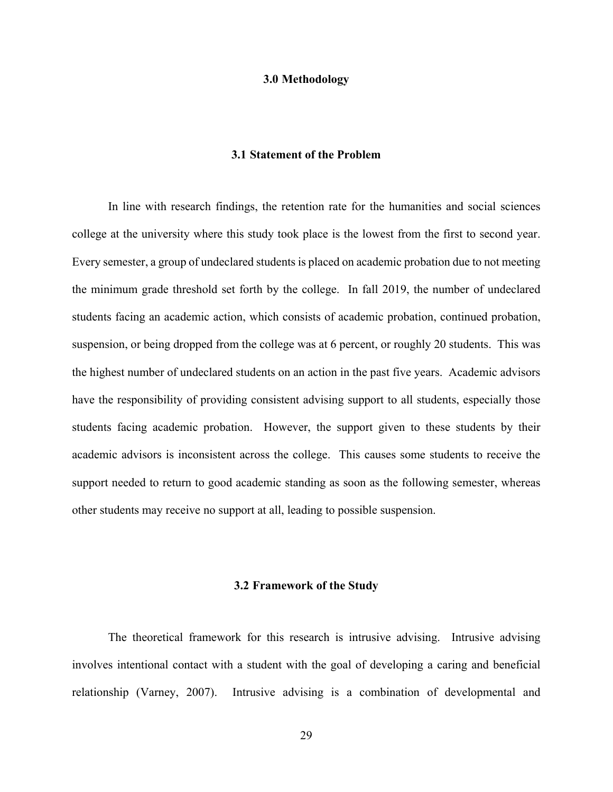### **3.0 Methodology**

# **3.1 Statement of the Problem**

In line with research findings, the retention rate for the humanities and social sciences college at the university where this study took place is the lowest from the first to second year. Every semester, a group of undeclared students is placed on academic probation due to not meeting the minimum grade threshold set forth by the college. In fall 2019, the number of undeclared students facing an academic action, which consists of academic probation, continued probation, suspension, or being dropped from the college was at 6 percent, or roughly 20 students. This was the highest number of undeclared students on an action in the past five years. Academic advisors have the responsibility of providing consistent advising support to all students, especially those students facing academic probation. However, the support given to these students by their academic advisors is inconsistent across the college. This causes some students to receive the support needed to return to good academic standing as soon as the following semester, whereas other students may receive no support at all, leading to possible suspension.

#### **3.2 Framework of the Study**

The theoretical framework for this research is intrusive advising. Intrusive advising involves intentional contact with a student with the goal of developing a caring and beneficial relationship (Varney, 2007). Intrusive advising is a combination of developmental and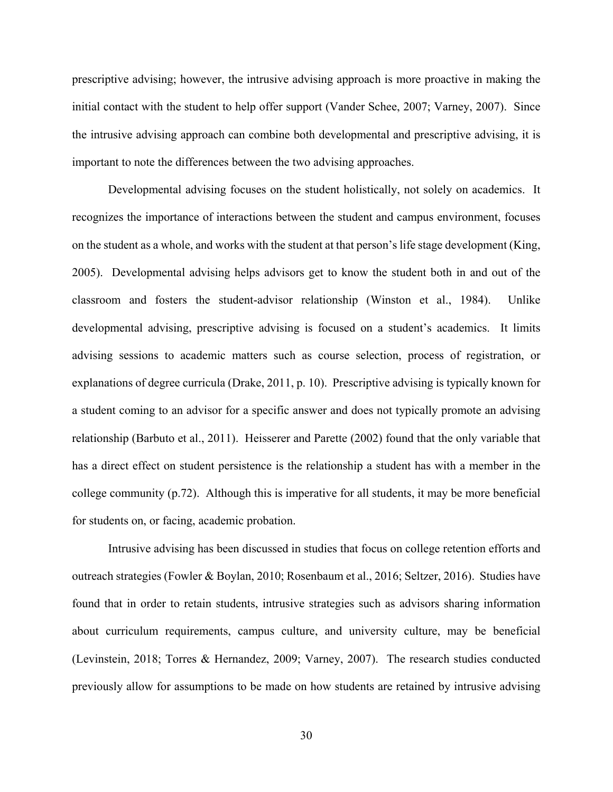prescriptive advising; however, the intrusive advising approach is more proactive in making the initial contact with the student to help offer support (Vander Schee, 2007; Varney, 2007). Since the intrusive advising approach can combine both developmental and prescriptive advising, it is important to note the differences between the two advising approaches.

Developmental advising focuses on the student holistically, not solely on academics. It recognizes the importance of interactions between the student and campus environment, focuses on the student as a whole, and works with the student at that person's life stage development (King, 2005). Developmental advising helps advisors get to know the student both in and out of the classroom and fosters the student-advisor relationship (Winston et al., 1984). Unlike developmental advising, prescriptive advising is focused on a student's academics. It limits advising sessions to academic matters such as course selection, process of registration, or explanations of degree curricula (Drake, 2011, p. 10). Prescriptive advising is typically known for a student coming to an advisor for a specific answer and does not typically promote an advising relationship (Barbuto et al., 2011). Heisserer and Parette (2002) found that the only variable that has a direct effect on student persistence is the relationship a student has with a member in the college community (p.72). Although this is imperative for all students, it may be more beneficial for students on, or facing, academic probation.

Intrusive advising has been discussed in studies that focus on college retention efforts and outreach strategies (Fowler & Boylan, 2010; Rosenbaum et al., 2016; Seltzer, 2016). Studies have found that in order to retain students, intrusive strategies such as advisors sharing information about curriculum requirements, campus culture, and university culture, may be beneficial (Levinstein, 2018; Torres & Hernandez, 2009; Varney, 2007). The research studies conducted previously allow for assumptions to be made on how students are retained by intrusive advising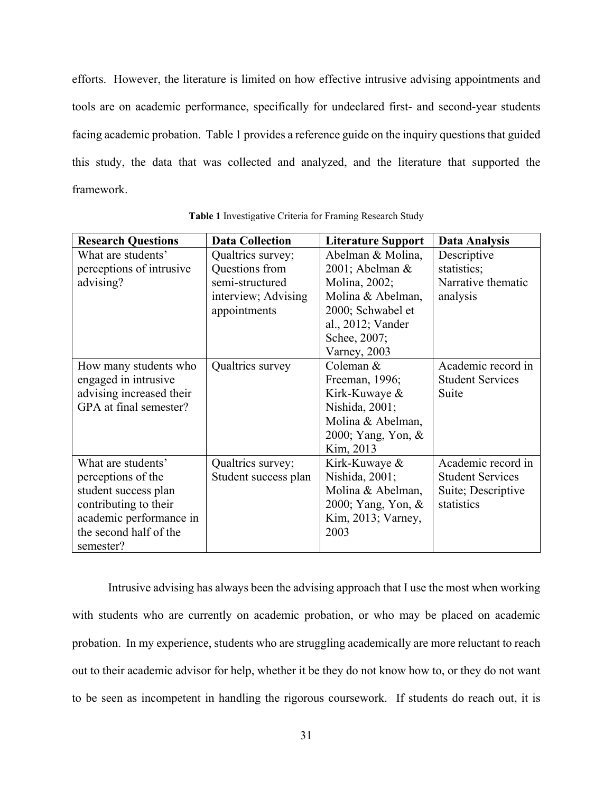efforts. However, the literature is limited on how effective intrusive advising appointments and tools are on academic performance, specifically for undeclared first- and second-year students facing academic probation. Table 1 provides a reference guide on the inquiry questions that guided this study, the data that was collected and analyzed, and the literature that supported the framework.

| <b>Research Questions</b> | <b>Data Collection</b> | <b>Literature Support</b> | Data Analysis           |
|---------------------------|------------------------|---------------------------|-------------------------|
| What are students'        | Qualtrics survey;      | Abelman & Molina,         | Descriptive             |
| perceptions of intrusive  | Questions from         | 2001; Abelman &           | statistics;             |
| advising?                 | semi-structured        | Molina, 2002;             | Narrative thematic      |
|                           | interview; Advising    | Molina & Abelman,         | analysis                |
|                           | appointments           | 2000; Schwabel et         |                         |
|                           |                        | al., 2012; Vander         |                         |
|                           |                        | Schee, 2007;              |                         |
|                           |                        | Varney, 2003              |                         |
| How many students who     | Qualtrics survey       | Coleman &                 | Academic record in      |
| engaged in intrusive      |                        | Freeman, 1996;            | <b>Student Services</b> |
| advising increased their  |                        | Kirk-Kuwaye &             | Suite                   |
| GPA at final semester?    |                        | Nishida, 2001;            |                         |
|                           |                        | Molina & Abelman,         |                         |
|                           |                        | 2000; Yang, Yon, &        |                         |
|                           |                        | Kim, 2013                 |                         |
| What are students'        | Qualtrics survey;      | Kirk-Kuwaye &             | Academic record in      |
| perceptions of the        | Student success plan   | Nishida, 2001;            | <b>Student Services</b> |
| student success plan      |                        | Molina & Abelman,         | Suite; Descriptive      |
| contributing to their     |                        | 2000; Yang, Yon, &        | statistics              |
| academic performance in   |                        | Kim, 2013; Varney,        |                         |
| the second half of the    |                        | 2003                      |                         |
| semester?                 |                        |                           |                         |

**Table 1** Investigative Criteria for Framing Research Study

Intrusive advising has always been the advising approach that I use the most when working with students who are currently on academic probation, or who may be placed on academic probation. In my experience, students who are struggling academically are more reluctant to reach out to their academic advisor for help, whether it be they do not know how to, or they do not want to be seen as incompetent in handling the rigorous coursework. If students do reach out, it is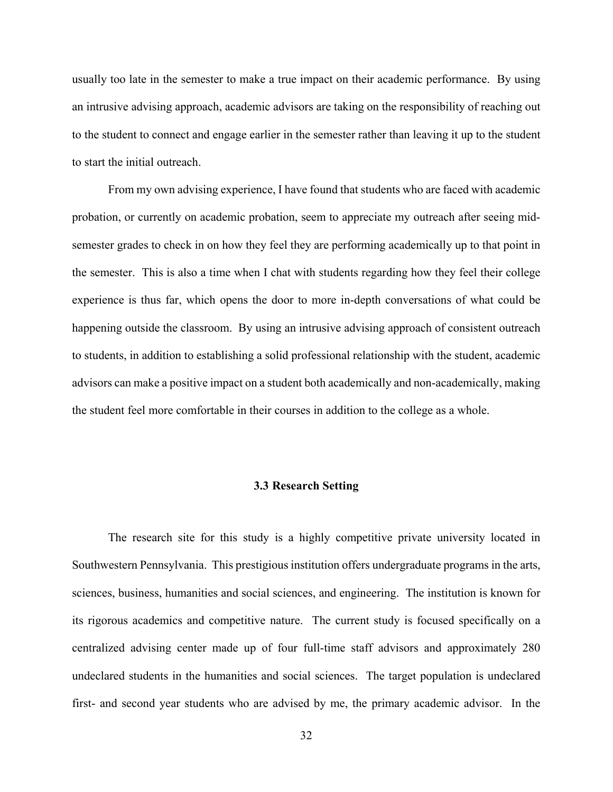usually too late in the semester to make a true impact on their academic performance. By using an intrusive advising approach, academic advisors are taking on the responsibility of reaching out to the student to connect and engage earlier in the semester rather than leaving it up to the student to start the initial outreach.

From my own advising experience, I have found that students who are faced with academic probation, or currently on academic probation, seem to appreciate my outreach after seeing midsemester grades to check in on how they feel they are performing academically up to that point in the semester. This is also a time when I chat with students regarding how they feel their college experience is thus far, which opens the door to more in-depth conversations of what could be happening outside the classroom. By using an intrusive advising approach of consistent outreach to students, in addition to establishing a solid professional relationship with the student, academic advisors can make a positive impact on a student both academically and non-academically, making the student feel more comfortable in their courses in addition to the college as a whole.

## **3.3 Research Setting**

The research site for this study is a highly competitive private university located in Southwestern Pennsylvania. This prestigious institution offers undergraduate programs in the arts, sciences, business, humanities and social sciences, and engineering. The institution is known for its rigorous academics and competitive nature. The current study is focused specifically on a centralized advising center made up of four full-time staff advisors and approximately 280 undeclared students in the humanities and social sciences. The target population is undeclared first- and second year students who are advised by me, the primary academic advisor. In the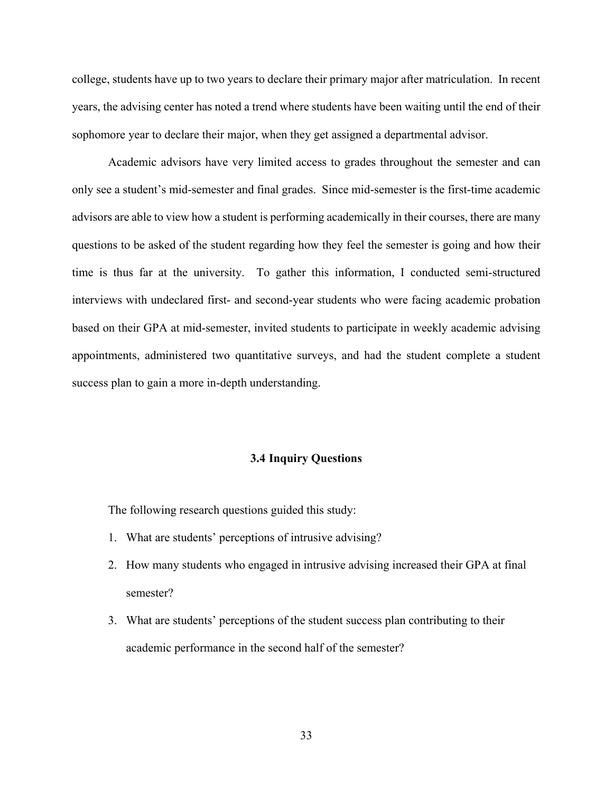college, students have up to two years to declare their primary major after matriculation. In recent years, the advising center has noted a trend where students have been waiting until the end of their sophomore year to declare their major, when they get assigned a departmental advisor.

Academic advisors have very limited access to grades throughout the semester and can only see a student's mid-semester and final grades. Since mid-semester is the first-time academic advisors are able to view how a student is performing academically in their courses, there are many questions to be asked of the student regarding how they feel the semester is going and how their time is thus far at the university. To gather this information, I conducted semi-structured interviews with undeclared first- and second-year students who were facing academic probation based on their GPA at mid-semester, invited students to participate in weekly academic advising appointments, administered two quantitative surveys, and had the student complete a student success plan to gain a more in-depth understanding.

### **3.4 Inquiry Questions**

The following research questions guided this study:

- 1. What are students' perceptions of intrusive advising?
- 2. How many students who engaged in intrusive advising increased their GPA at final semester?
- 3. What are students' perceptions of the student success plan contributing to their academic performance in the second half of the semester?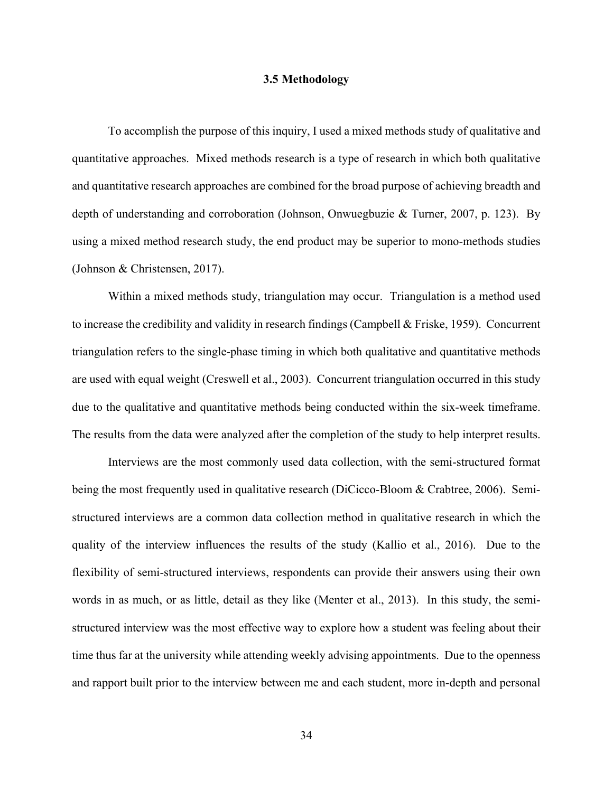### **3.5 Methodology**

To accomplish the purpose of this inquiry, I used a mixed methods study of qualitative and quantitative approaches. Mixed methods research is a type of research in which both qualitative and quantitative research approaches are combined for the broad purpose of achieving breadth and depth of understanding and corroboration (Johnson, Onwuegbuzie & Turner, 2007, p. 123). By using a mixed method research study, the end product may be superior to mono-methods studies (Johnson & Christensen, 2017).

Within a mixed methods study, triangulation may occur. Triangulation is a method used to increase the credibility and validity in research findings (Campbell & Friske, 1959). Concurrent triangulation refers to the single-phase timing in which both qualitative and quantitative methods are used with equal weight (Creswell et al., 2003). Concurrent triangulation occurred in this study due to the qualitative and quantitative methods being conducted within the six-week timeframe. The results from the data were analyzed after the completion of the study to help interpret results.

Interviews are the most commonly used data collection, with the semi-structured format being the most frequently used in qualitative research (DiCicco-Bloom & Crabtree, 2006). Semistructured interviews are a common data collection method in qualitative research in which the quality of the interview influences the results of the study (Kallio et al., 2016). Due to the flexibility of semi-structured interviews, respondents can provide their answers using their own words in as much, or as little, detail as they like (Menter et al., 2013). In this study, the semistructured interview was the most effective way to explore how a student was feeling about their time thus far at the university while attending weekly advising appointments. Due to the openness and rapport built prior to the interview between me and each student, more in-depth and personal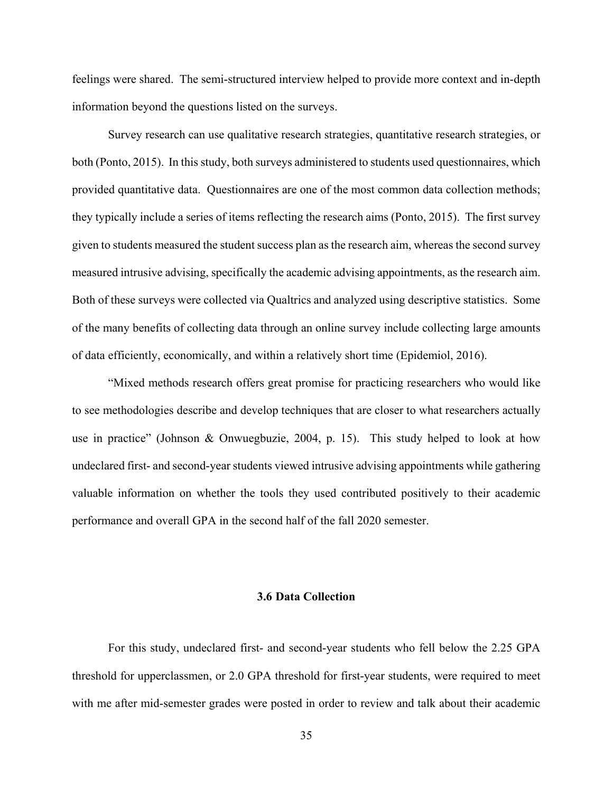feelings were shared. The semi-structured interview helped to provide more context and in-depth information beyond the questions listed on the surveys.

Survey research can use qualitative research strategies, quantitative research strategies, or both (Ponto, 2015). In this study, both surveys administered to students used questionnaires, which provided quantitative data. Questionnaires are one of the most common data collection methods; they typically include a series of items reflecting the research aims (Ponto, 2015). The first survey given to students measured the student success plan as the research aim, whereas the second survey measured intrusive advising, specifically the academic advising appointments, as the research aim. Both of these surveys were collected via Qualtrics and analyzed using descriptive statistics. Some of the many benefits of collecting data through an online survey include collecting large amounts of data efficiently, economically, and within a relatively short time (Epidemiol, 2016).

"Mixed methods research offers great promise for practicing researchers who would like to see methodologies describe and develop techniques that are closer to what researchers actually use in practice" (Johnson & Onwuegbuzie, 2004, p. 15). This study helped to look at how undeclared first- and second-year students viewed intrusive advising appointments while gathering valuable information on whether the tools they used contributed positively to their academic performance and overall GPA in the second half of the fall 2020 semester.

## **3.6 Data Collection**

For this study, undeclared first- and second-year students who fell below the 2.25 GPA threshold for upperclassmen, or 2.0 GPA threshold for first-year students, were required to meet with me after mid-semester grades were posted in order to review and talk about their academic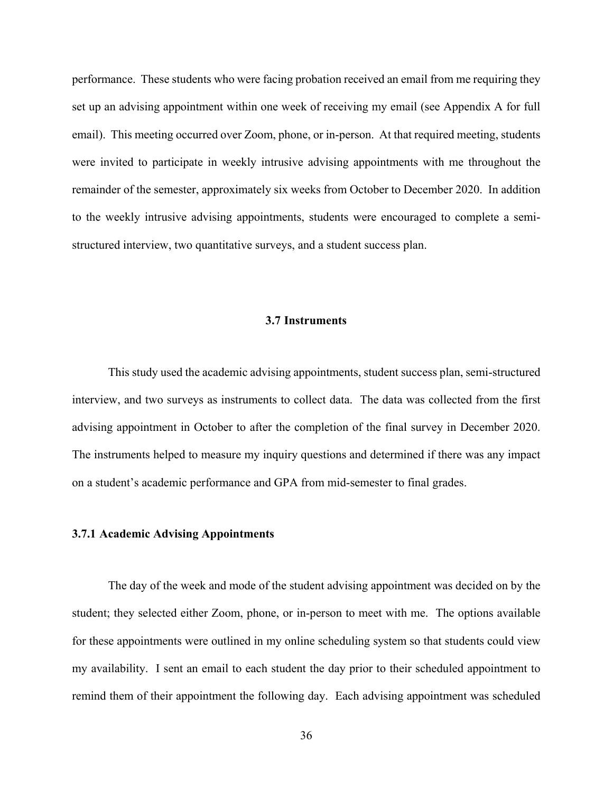performance. These students who were facing probation received an email from me requiring they set up an advising appointment within one week of receiving my email (see Appendix A for full email). This meeting occurred over Zoom, phone, or in-person. At that required meeting, students were invited to participate in weekly intrusive advising appointments with me throughout the remainder of the semester, approximately six weeks from October to December 2020. In addition to the weekly intrusive advising appointments, students were encouraged to complete a semistructured interview, two quantitative surveys, and a student success plan.

## **3.7 Instruments**

This study used the academic advising appointments, student success plan, semi-structured interview, and two surveys as instruments to collect data. The data was collected from the first advising appointment in October to after the completion of the final survey in December 2020. The instruments helped to measure my inquiry questions and determined if there was any impact on a student's academic performance and GPA from mid-semester to final grades.

### **3.7.1 Academic Advising Appointments**

The day of the week and mode of the student advising appointment was decided on by the student; they selected either Zoom, phone, or in-person to meet with me. The options available for these appointments were outlined in my online scheduling system so that students could view my availability. I sent an email to each student the day prior to their scheduled appointment to remind them of their appointment the following day. Each advising appointment was scheduled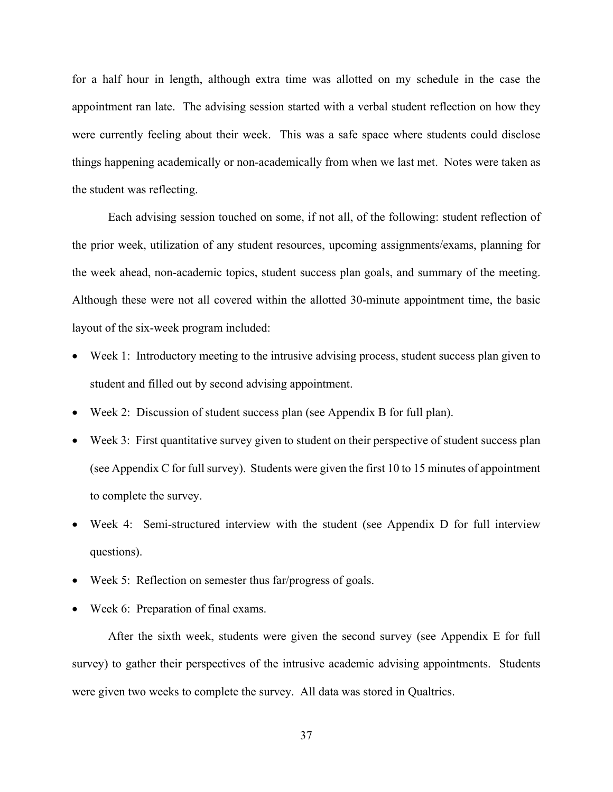for a half hour in length, although extra time was allotted on my schedule in the case the appointment ran late. The advising session started with a verbal student reflection on how they were currently feeling about their week. This was a safe space where students could disclose things happening academically or non-academically from when we last met. Notes were taken as the student was reflecting.

Each advising session touched on some, if not all, of the following: student reflection of the prior week, utilization of any student resources, upcoming assignments/exams, planning for the week ahead, non-academic topics, student success plan goals, and summary of the meeting. Although these were not all covered within the allotted 30-minute appointment time, the basic layout of the six-week program included:

- Week 1: Introductory meeting to the intrusive advising process, student success plan given to student and filled out by second advising appointment.
- Week 2: Discussion of student success plan (see Appendix B for full plan).
- Week 3: First quantitative survey given to student on their perspective of student success plan (see Appendix C for full survey). Students were given the first 10 to 15 minutes of appointment to complete the survey.
- Week 4: Semi-structured interview with the student (see Appendix D for full interview questions).
- Week 5: Reflection on semester thus far/progress of goals.
- Week 6: Preparation of final exams.

After the sixth week, students were given the second survey (see Appendix E for full survey) to gather their perspectives of the intrusive academic advising appointments. Students were given two weeks to complete the survey. All data was stored in Qualtrics.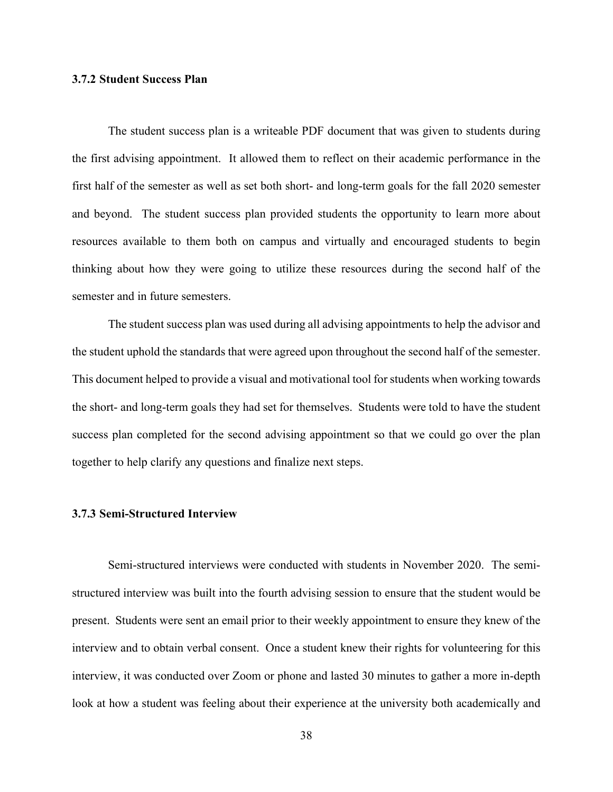## **3.7.2 Student Success Plan**

The student success plan is a writeable PDF document that was given to students during the first advising appointment. It allowed them to reflect on their academic performance in the first half of the semester as well as set both short- and long-term goals for the fall 2020 semester and beyond. The student success plan provided students the opportunity to learn more about resources available to them both on campus and virtually and encouraged students to begin thinking about how they were going to utilize these resources during the second half of the semester and in future semesters.

The student success plan was used during all advising appointments to help the advisor and the student uphold the standards that were agreed upon throughout the second half of the semester. This document helped to provide a visual and motivational tool for students when working towards the short- and long-term goals they had set for themselves. Students were told to have the student success plan completed for the second advising appointment so that we could go over the plan together to help clarify any questions and finalize next steps.

## **3.7.3 Semi-Structured Interview**

Semi-structured interviews were conducted with students in November 2020. The semistructured interview was built into the fourth advising session to ensure that the student would be present. Students were sent an email prior to their weekly appointment to ensure they knew of the interview and to obtain verbal consent. Once a student knew their rights for volunteering for this interview, it was conducted over Zoom or phone and lasted 30 minutes to gather a more in-depth look at how a student was feeling about their experience at the university both academically and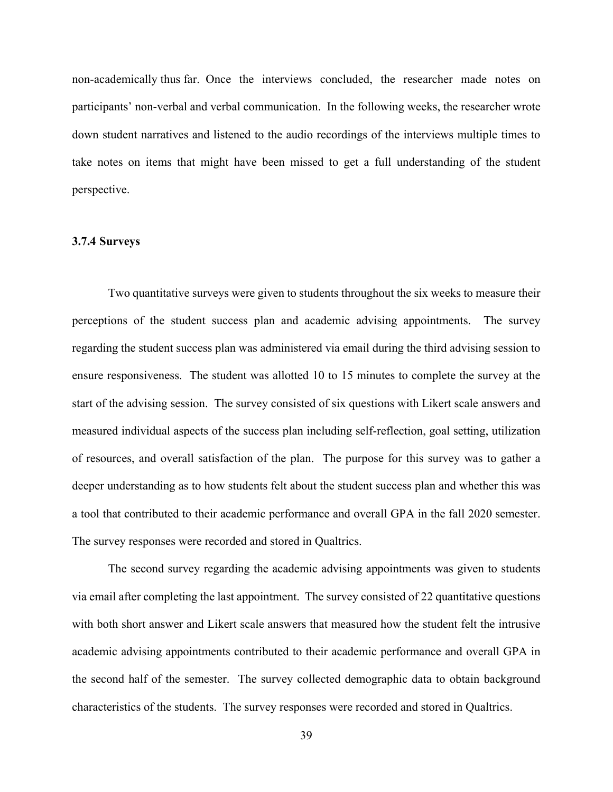non-academically thus far. Once the interviews concluded, the researcher made notes on participants' non-verbal and verbal communication. In the following weeks, the researcher wrote down student narratives and listened to the audio recordings of the interviews multiple times to take notes on items that might have been missed to get a full understanding of the student perspective.

## **3.7.4 Surveys**

Two quantitative surveys were given to students throughout the six weeks to measure their perceptions of the student success plan and academic advising appointments. The survey regarding the student success plan was administered via email during the third advising session to ensure responsiveness. The student was allotted 10 to 15 minutes to complete the survey at the start of the advising session. The survey consisted of six questions with Likert scale answers and measured individual aspects of the success plan including self-reflection, goal setting, utilization of resources, and overall satisfaction of the plan. The purpose for this survey was to gather a deeper understanding as to how students felt about the student success plan and whether this was a tool that contributed to their academic performance and overall GPA in the fall 2020 semester. The survey responses were recorded and stored in Qualtrics.

The second survey regarding the academic advising appointments was given to students via email after completing the last appointment. The survey consisted of 22 quantitative questions with both short answer and Likert scale answers that measured how the student felt the intrusive academic advising appointments contributed to their academic performance and overall GPA in the second half of the semester. The survey collected demographic data to obtain background characteristics of the students. The survey responses were recorded and stored in Qualtrics.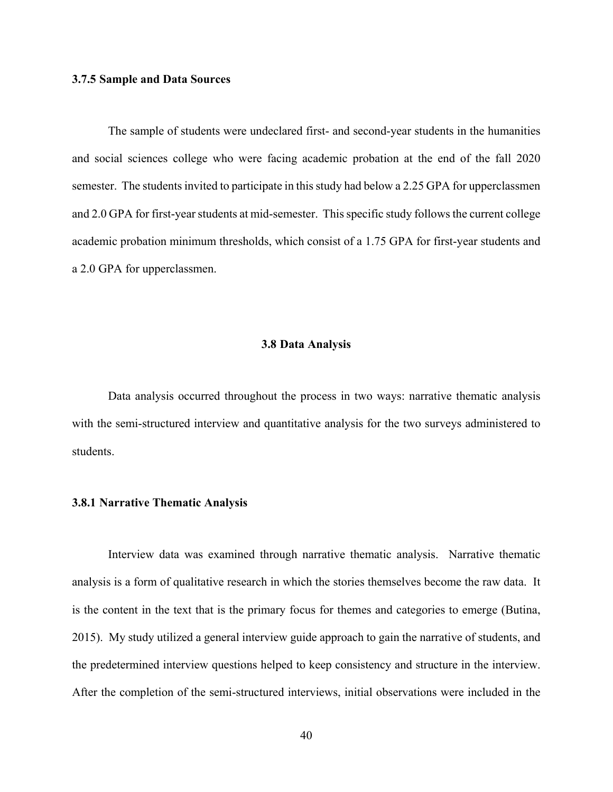## **3.7.5 Sample and Data Sources**

The sample of students were undeclared first- and second-year students in the humanities and social sciences college who were facing academic probation at the end of the fall 2020 semester. The students invited to participate in this study had below a 2.25 GPA for upperclassmen and 2.0 GPA for first-year students at mid-semester. This specific study follows the current college academic probation minimum thresholds, which consist of a 1.75 GPA for first-year students and a 2.0 GPA for upperclassmen.

#### **3.8 Data Analysis**

Data analysis occurred throughout the process in two ways: narrative thematic analysis with the semi-structured interview and quantitative analysis for the two surveys administered to students.

## **3.8.1 Narrative Thematic Analysis**

Interview data was examined through narrative thematic analysis. Narrative thematic analysis is a form of qualitative research in which the stories themselves become the raw data. It is the content in the text that is the primary focus for themes and categories to emerge (Butina, 2015). My study utilized a general interview guide approach to gain the narrative of students, and the predetermined interview questions helped to keep consistency and structure in the interview. After the completion of the semi-structured interviews, initial observations were included in the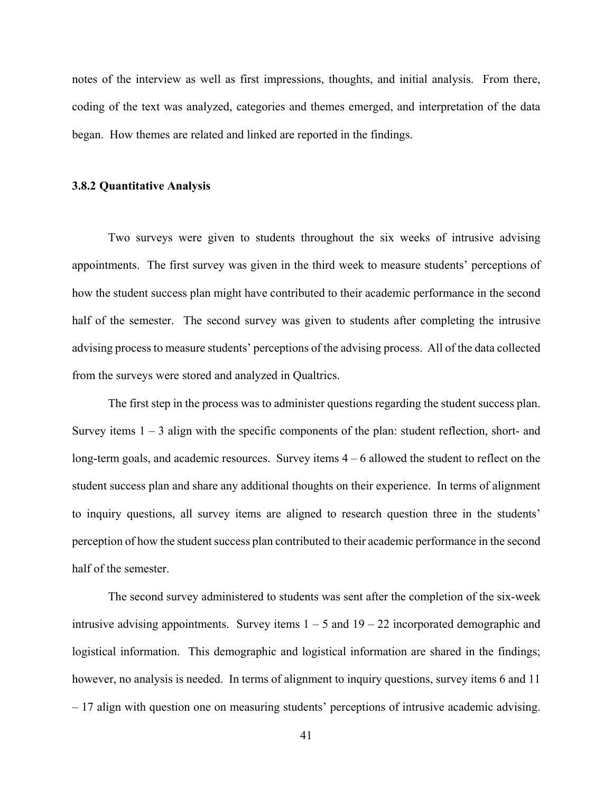notes of the interview as well as first impressions, thoughts, and initial analysis. From there, coding of the text was analyzed, categories and themes emerged, and interpretation of the data began. How themes are related and linked are reported in the findings.

### **3.8.2 Quantitative Analysis**

Two surveys were given to students throughout the six weeks of intrusive advising appointments. The first survey was given in the third week to measure students' perceptions of how the student success plan might have contributed to their academic performance in the second half of the semester. The second survey was given to students after completing the intrusive advising process to measure students' perceptions of the advising process. All of the data collected from the surveys were stored and analyzed in Qualtrics.

The first step in the process was to administer questions regarding the student success plan. Survey items  $1 - 3$  align with the specific components of the plan: student reflection, short- and long-term goals, and academic resources. Survey items  $4 - 6$  allowed the student to reflect on the student success plan and share any additional thoughts on their experience. In terms of alignment to inquiry questions, all survey items are aligned to research question three in the students' perception of how the student success plan contributed to their academic performance in the second half of the semester.

The second survey administered to students was sent after the completion of the six-week intrusive advising appointments. Survey items  $1 - 5$  and  $19 - 22$  incorporated demographic and logistical information. This demographic and logistical information are shared in the findings; however, no analysis is needed. In terms of alignment to inquiry questions, survey items 6 and 11 – 17 align with question one on measuring students' perceptions of intrusive academic advising.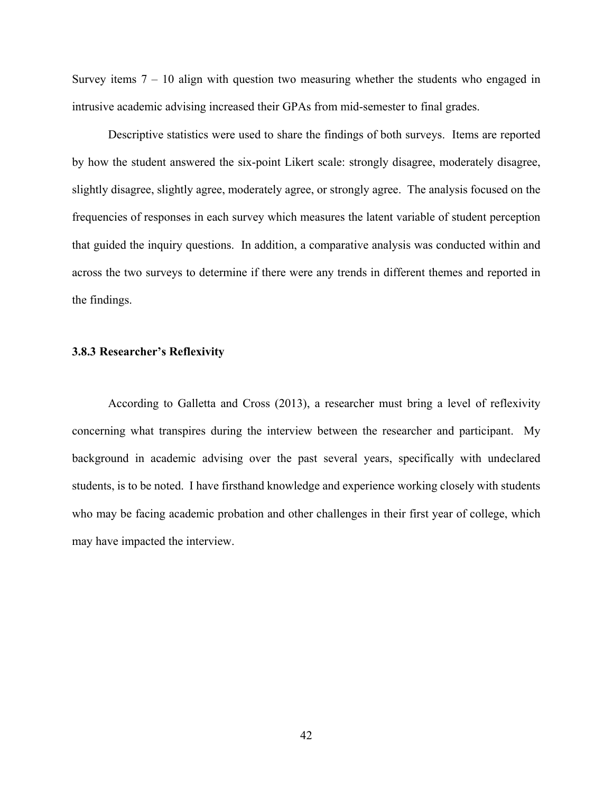Survey items  $7 - 10$  align with question two measuring whether the students who engaged in intrusive academic advising increased their GPAs from mid-semester to final grades.

Descriptive statistics were used to share the findings of both surveys. Items are reported by how the student answered the six-point Likert scale: strongly disagree, moderately disagree, slightly disagree, slightly agree, moderately agree, or strongly agree. The analysis focused on the frequencies of responses in each survey which measures the latent variable of student perception that guided the inquiry questions. In addition, a comparative analysis was conducted within and across the two surveys to determine if there were any trends in different themes and reported in the findings.

## **3.8.3 Researcher's Reflexivity**

According to Galletta and Cross (2013), a researcher must bring a level of reflexivity concerning what transpires during the interview between the researcher and participant. My background in academic advising over the past several years, specifically with undeclared students, is to be noted. I have firsthand knowledge and experience working closely with students who may be facing academic probation and other challenges in their first year of college, which may have impacted the interview.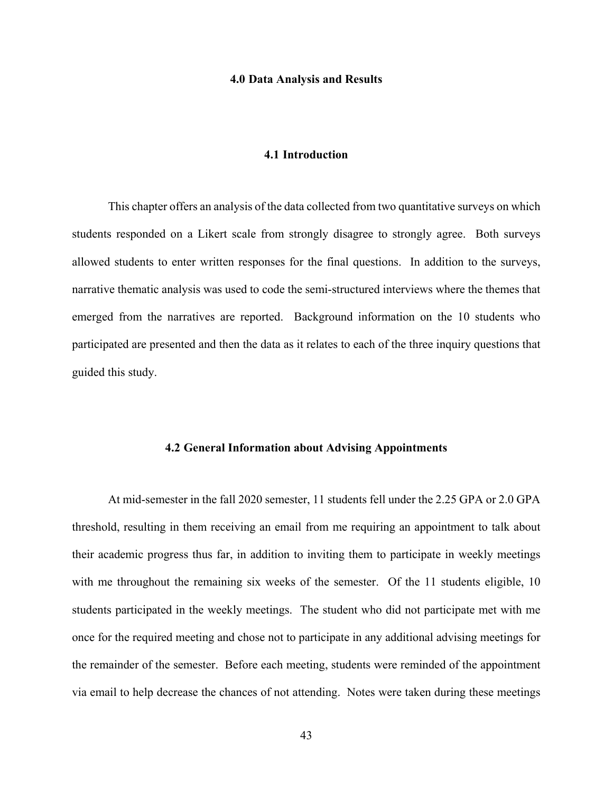#### **4.0 Data Analysis and Results**

## **4.1 Introduction**

This chapter offers an analysis of the data collected from two quantitative surveys on which students responded on a Likert scale from strongly disagree to strongly agree. Both surveys allowed students to enter written responses for the final questions. In addition to the surveys, narrative thematic analysis was used to code the semi-structured interviews where the themes that emerged from the narratives are reported. Background information on the 10 students who participated are presented and then the data as it relates to each of the three inquiry questions that guided this study.

## **4.2 General Information about Advising Appointments**

At mid-semester in the fall 2020 semester, 11 students fell under the 2.25 GPA or 2.0 GPA threshold, resulting in them receiving an email from me requiring an appointment to talk about their academic progress thus far, in addition to inviting them to participate in weekly meetings with me throughout the remaining six weeks of the semester. Of the 11 students eligible, 10 students participated in the weekly meetings. The student who did not participate met with me once for the required meeting and chose not to participate in any additional advising meetings for the remainder of the semester. Before each meeting, students were reminded of the appointment via email to help decrease the chances of not attending. Notes were taken during these meetings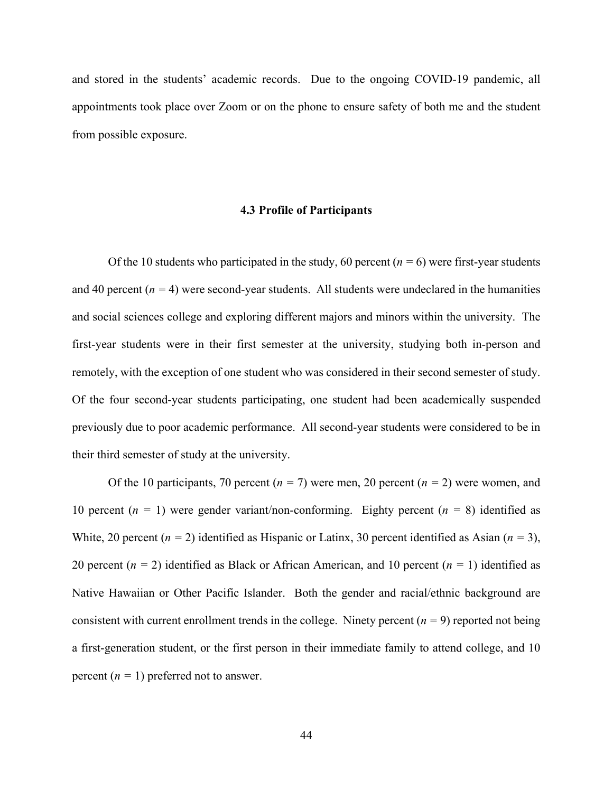and stored in the students' academic records. Due to the ongoing COVID-19 pandemic, all appointments took place over Zoom or on the phone to ensure safety of both me and the student from possible exposure.

#### **4.3 Profile of Participants**

Of the 10 students who participated in the study, 60 percent  $(n = 6)$  were first-year students and 40 percent  $(n = 4)$  were second-year students. All students were undeclared in the humanities and social sciences college and exploring different majors and minors within the university. The first-year students were in their first semester at the university, studying both in-person and remotely, with the exception of one student who was considered in their second semester of study. Of the four second-year students participating, one student had been academically suspended previously due to poor academic performance. All second-year students were considered to be in their third semester of study at the university.

Of the 10 participants, 70 percent (*n =* 7) were men, 20 percent (*n =* 2) were women, and 10 percent  $(n = 1)$  were gender variant/non-conforming. Eighty percent  $(n = 8)$  identified as White, 20 percent ( $n = 2$ ) identified as Hispanic or Latinx, 30 percent identified as Asian ( $n = 3$ ), 20 percent (*n =* 2) identified as Black or African American, and 10 percent (*n =* 1) identified as Native Hawaiian or Other Pacific Islander. Both the gender and racial/ethnic background are consistent with current enrollment trends in the college. Ninety percent (*n =* 9) reported not being a first-generation student, or the first person in their immediate family to attend college, and 10 percent  $(n = 1)$  preferred not to answer.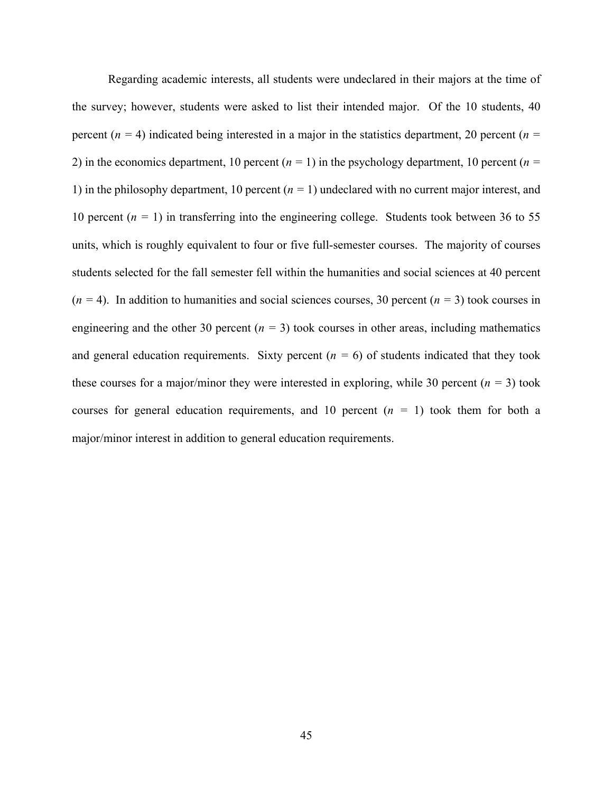Regarding academic interests, all students were undeclared in their majors at the time of the survey; however, students were asked to list their intended major. Of the 10 students, 40 percent (*n =* 4) indicated being interested in a major in the statistics department, 20 percent (*n =*  2) in the economics department, 10 percent  $(n = 1)$  in the psychology department, 10 percent  $(n = 1)$ 1) in the philosophy department, 10 percent (*n =* 1) undeclared with no current major interest, and 10 percent (*n =* 1) in transferring into the engineering college. Students took between 36 to 55 units, which is roughly equivalent to four or five full-semester courses. The majority of courses students selected for the fall semester fell within the humanities and social sciences at 40 percent  $(n = 4)$ . In addition to humanities and social sciences courses, 30 percent  $(n = 3)$  took courses in engineering and the other 30 percent  $(n = 3)$  took courses in other areas, including mathematics and general education requirements. Sixty percent  $(n = 6)$  of students indicated that they took these courses for a major/minor they were interested in exploring, while 30 percent  $(n = 3)$  took courses for general education requirements, and 10 percent  $(n = 1)$  took them for both a major/minor interest in addition to general education requirements.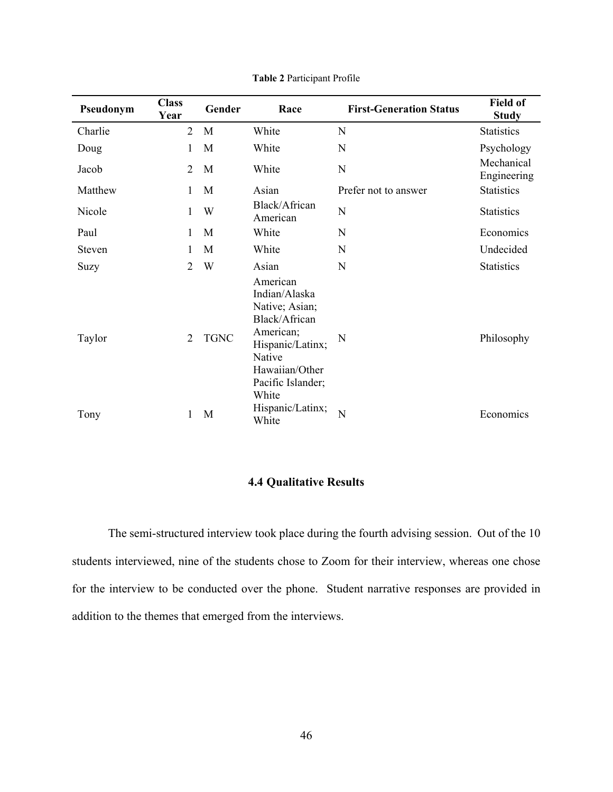| Pseudonym | <b>Class</b><br>Year | Gender      | Race                                                                                                                                                    | <b>First-Generation Status</b> | <b>Field of</b><br><b>Study</b> |
|-----------|----------------------|-------------|---------------------------------------------------------------------------------------------------------------------------------------------------------|--------------------------------|---------------------------------|
| Charlie   | 2                    | M           | White                                                                                                                                                   | N                              | <b>Statistics</b>               |
| Doug      | 1                    | M           | White                                                                                                                                                   | N                              | Psychology                      |
| Jacob     | 2                    | M           | White                                                                                                                                                   | N                              | Mechanical<br>Engineering       |
| Matthew   | 1                    | M           | Asian                                                                                                                                                   | Prefer not to answer           | <b>Statistics</b>               |
| Nicole    | 1                    | W           | Black/African<br>American                                                                                                                               | $\mathbf N$                    | <b>Statistics</b>               |
| Paul      | 1                    | M           | White                                                                                                                                                   | N                              | Economics                       |
| Steven    | 1                    | M           | White                                                                                                                                                   | N                              | Undecided                       |
| Suzy      | $\overline{2}$       | W           | Asian                                                                                                                                                   | N                              | <b>Statistics</b>               |
| Taylor    | 2                    | <b>TGNC</b> | American<br>Indian/Alaska<br>Native; Asian;<br>Black/African<br>American;<br>Hispanic/Latinx;<br>Native<br>Hawaiian/Other<br>Pacific Islander;<br>White | N                              | Philosophy                      |
| Tony      | 1                    | M           | Hispanic/Latinx;<br>White                                                                                                                               | N                              | Economics                       |

# **4.4 Qualitative Results**

The semi-structured interview took place during the fourth advising session. Out of the 10 students interviewed, nine of the students chose to Zoom for their interview, whereas one chose for the interview to be conducted over the phone. Student narrative responses are provided in addition to the themes that emerged from the interviews.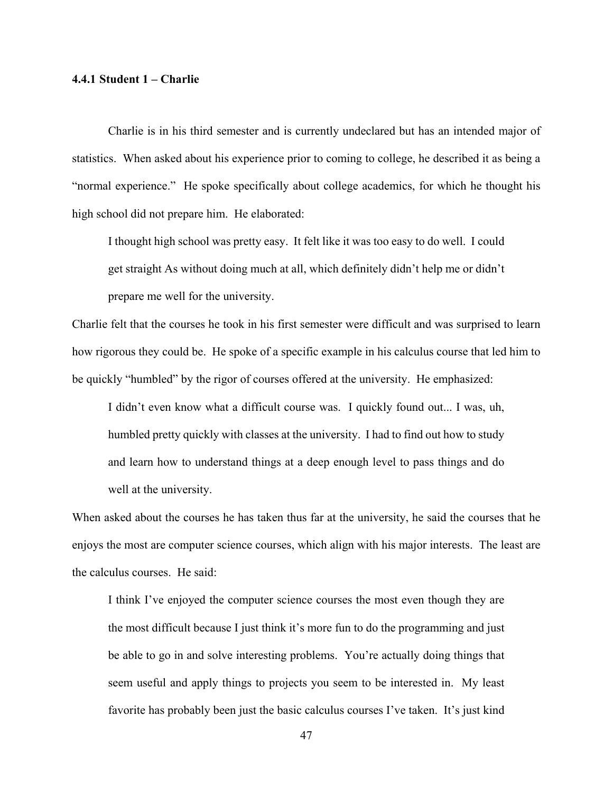### **4.4.1 Student 1 – Charlie**

Charlie is in his third semester and is currently undeclared but has an intended major of statistics. When asked about his experience prior to coming to college, he described it as being a "normal experience." He spoke specifically about college academics, for which he thought his high school did not prepare him. He elaborated:

I thought high school was pretty easy. It felt like it was too easy to do well. I could get straight As without doing much at all, which definitely didn't help me or didn't prepare me well for the university.

Charlie felt that the courses he took in his first semester were difficult and was surprised to learn how rigorous they could be. He spoke of a specific example in his calculus course that led him to be quickly "humbled" by the rigor of courses offered at the university. He emphasized:

I didn't even know what a difficult course was. I quickly found out... I was, uh, humbled pretty quickly with classes at the university. I had to find out how to study and learn how to understand things at a deep enough level to pass things and do well at the university.

When asked about the courses he has taken thus far at the university, he said the courses that he enjoys the most are computer science courses, which align with his major interests. The least are the calculus courses. He said:

I think I've enjoyed the computer science courses the most even though they are the most difficult because I just think it's more fun to do the programming and just be able to go in and solve interesting problems. You're actually doing things that seem useful and apply things to projects you seem to be interested in. My least favorite has probably been just the basic calculus courses I've taken. It's just kind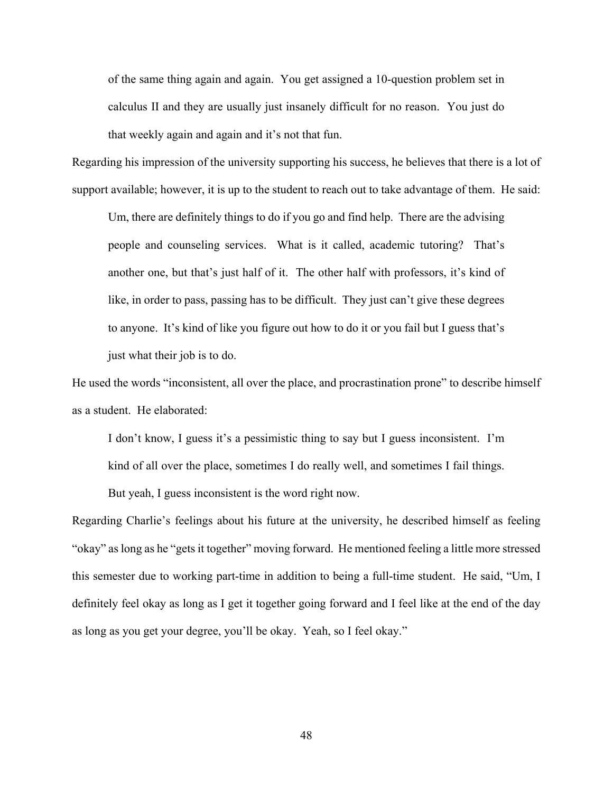of the same thing again and again. You get assigned a 10-question problem set in calculus II and they are usually just insanely difficult for no reason. You just do that weekly again and again and it's not that fun.

Regarding his impression of the university supporting his success, he believes that there is a lot of support available; however, it is up to the student to reach out to take advantage of them. He said:

Um, there are definitely things to do if you go and find help. There are the advising people and counseling services. What is it called, academic tutoring? That's another one, but that's just half of it. The other half with professors, it's kind of like, in order to pass, passing has to be difficult. They just can't give these degrees to anyone. It's kind of like you figure out how to do it or you fail but I guess that's just what their job is to do.

He used the words "inconsistent, all over the place, and procrastination prone" to describe himself as a student. He elaborated:

I don't know, I guess it's a pessimistic thing to say but I guess inconsistent. I'm

kind of all over the place, sometimes I do really well, and sometimes I fail things.

But yeah, I guess inconsistent is the word right now.

Regarding Charlie's feelings about his future at the university, he described himself as feeling "okay" as long as he "gets it together" moving forward. He mentioned feeling a little more stressed this semester due to working part-time in addition to being a full-time student. He said, "Um, I definitely feel okay as long as I get it together going forward and I feel like at the end of the day as long as you get your degree, you'll be okay. Yeah, so I feel okay."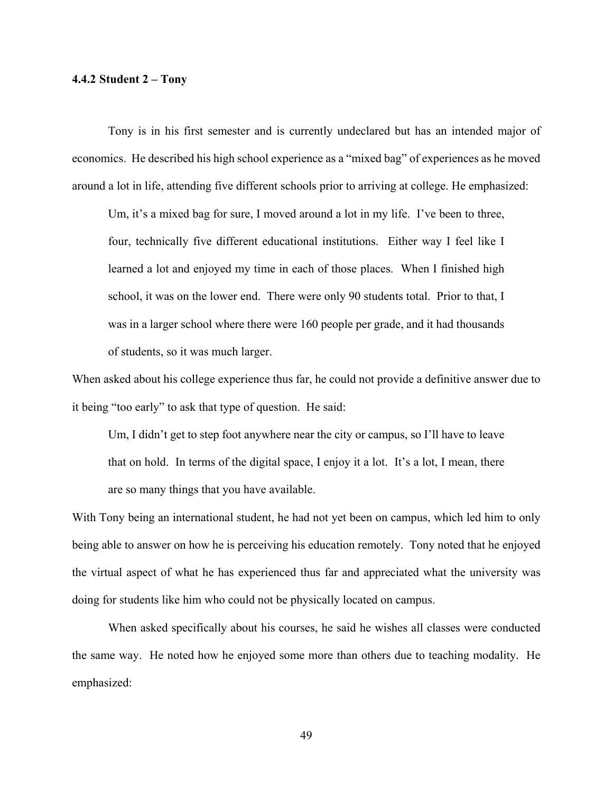### **4.4.2 Student 2 – Tony**

Tony is in his first semester and is currently undeclared but has an intended major of economics. He described his high school experience as a "mixed bag" of experiences as he moved around a lot in life, attending five different schools prior to arriving at college. He emphasized:

Um, it's a mixed bag for sure, I moved around a lot in my life. I've been to three, four, technically five different educational institutions. Either way I feel like I learned a lot and enjoyed my time in each of those places. When I finished high school, it was on the lower end. There were only 90 students total. Prior to that, I was in a larger school where there were 160 people per grade, and it had thousands of students, so it was much larger.

When asked about his college experience thus far, he could not provide a definitive answer due to it being "too early" to ask that type of question. He said:

Um, I didn't get to step foot anywhere near the city or campus, so I'll have to leave that on hold. In terms of the digital space, I enjoy it a lot. It's a lot, I mean, there are so many things that you have available.

With Tony being an international student, he had not yet been on campus, which led him to only being able to answer on how he is perceiving his education remotely. Tony noted that he enjoyed the virtual aspect of what he has experienced thus far and appreciated what the university was doing for students like him who could not be physically located on campus.

When asked specifically about his courses, he said he wishes all classes were conducted the same way. He noted how he enjoyed some more than others due to teaching modality. He emphasized:

49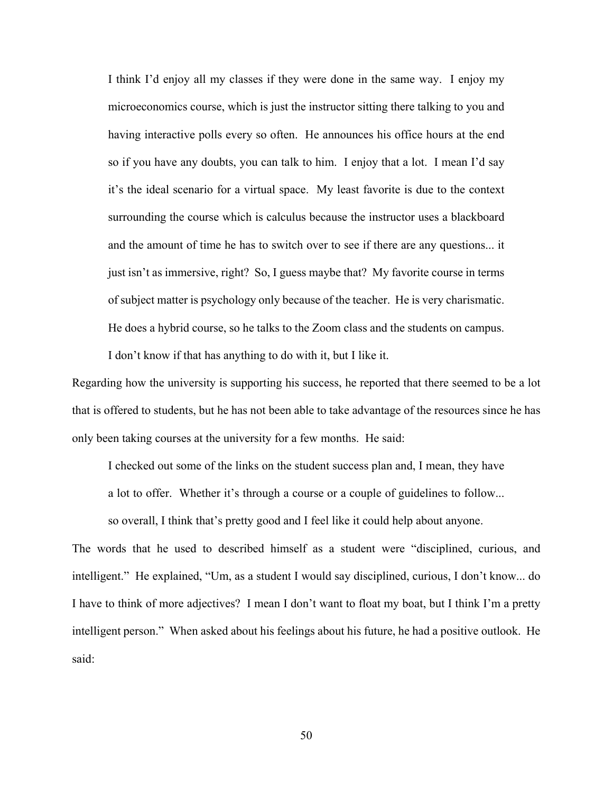I think I'd enjoy all my classes if they were done in the same way. I enjoy my microeconomics course, which is just the instructor sitting there talking to you and having interactive polls every so often. He announces his office hours at the end so if you have any doubts, you can talk to him. I enjoy that a lot. I mean I'd say it's the ideal scenario for a virtual space. My least favorite is due to the context surrounding the course which is calculus because the instructor uses a blackboard and the amount of time he has to switch over to see if there are any questions... it just isn't as immersive, right? So, I guess maybe that? My favorite course in terms of subject matter is psychology only because of the teacher. He is very charismatic. He does a hybrid course, so he talks to the Zoom class and the students on campus.

I don't know if that has anything to do with it, but I like it.

Regarding how the university is supporting his success, he reported that there seemed to be a lot that is offered to students, but he has not been able to take advantage of the resources since he has only been taking courses at the university for a few months. He said:

I checked out some of the links on the student success plan and, I mean, they have

a lot to offer. Whether it's through a course or a couple of guidelines to follow...

so overall, I think that's pretty good and I feel like it could help about anyone.

The words that he used to described himself as a student were "disciplined, curious, and intelligent." He explained, "Um, as a student I would say disciplined, curious, I don't know... do I have to think of more adjectives? I mean I don't want to float my boat, but I think I'm a pretty intelligent person." When asked about his feelings about his future, he had a positive outlook. He said: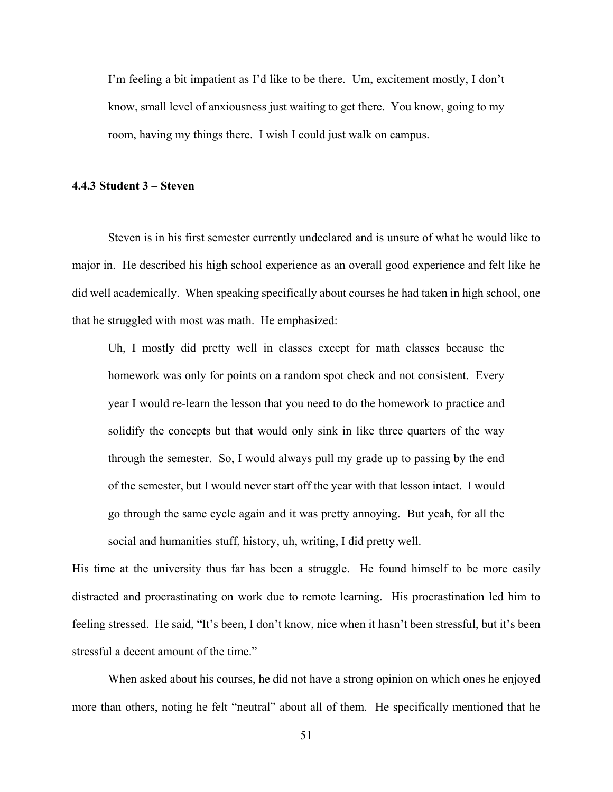I'm feeling a bit impatient as I'd like to be there. Um, excitement mostly, I don't know, small level of anxiousness just waiting to get there. You know, going to my room, having my things there. I wish I could just walk on campus.

### **4.4.3 Student 3 – Steven**

Steven is in his first semester currently undeclared and is unsure of what he would like to major in. He described his high school experience as an overall good experience and felt like he did well academically. When speaking specifically about courses he had taken in high school, one that he struggled with most was math. He emphasized:

Uh, I mostly did pretty well in classes except for math classes because the homework was only for points on a random spot check and not consistent. Every year I would re-learn the lesson that you need to do the homework to practice and solidify the concepts but that would only sink in like three quarters of the way through the semester. So, I would always pull my grade up to passing by the end of the semester, but I would never start off the year with that lesson intact. I would go through the same cycle again and it was pretty annoying. But yeah, for all the social and humanities stuff, history, uh, writing, I did pretty well.

His time at the university thus far has been a struggle. He found himself to be more easily distracted and procrastinating on work due to remote learning. His procrastination led him to feeling stressed. He said, "It's been, I don't know, nice when it hasn't been stressful, but it's been stressful a decent amount of the time."

When asked about his courses, he did not have a strong opinion on which ones he enjoyed more than others, noting he felt "neutral" about all of them. He specifically mentioned that he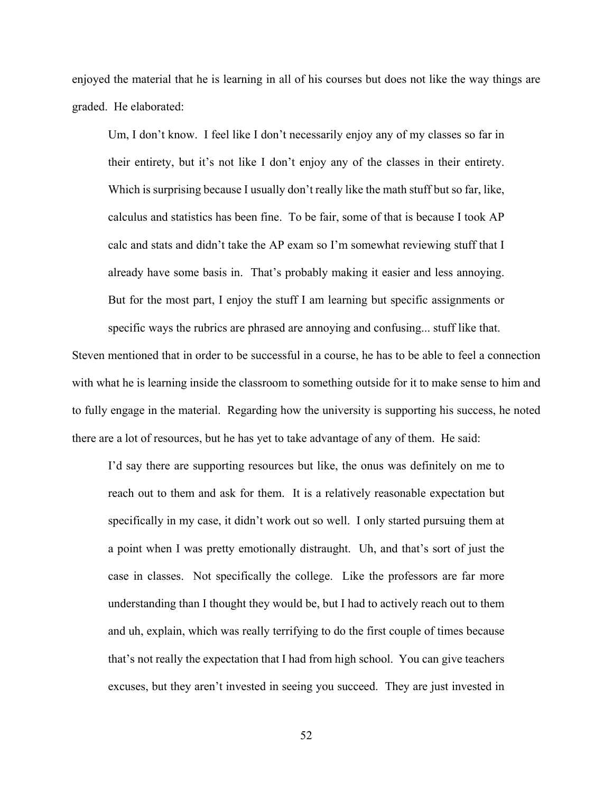enjoyed the material that he is learning in all of his courses but does not like the way things are graded. He elaborated:

Um, I don't know. I feel like I don't necessarily enjoy any of my classes so far in their entirety, but it's not like I don't enjoy any of the classes in their entirety. Which is surprising because I usually don't really like the math stuff but so far, like, calculus and statistics has been fine. To be fair, some of that is because I took AP calc and stats and didn't take the AP exam so I'm somewhat reviewing stuff that I already have some basis in. That's probably making it easier and less annoying. But for the most part, I enjoy the stuff I am learning but specific assignments or specific ways the rubrics are phrased are annoying and confusing... stuff like that.

Steven mentioned that in order to be successful in a course, he has to be able to feel a connection with what he is learning inside the classroom to something outside for it to make sense to him and to fully engage in the material. Regarding how the university is supporting his success, he noted there are a lot of resources, but he has yet to take advantage of any of them. He said:

I'd say there are supporting resources but like, the onus was definitely on me to reach out to them and ask for them. It is a relatively reasonable expectation but specifically in my case, it didn't work out so well. I only started pursuing them at a point when I was pretty emotionally distraught. Uh, and that's sort of just the case in classes. Not specifically the college. Like the professors are far more understanding than I thought they would be, but I had to actively reach out to them and uh, explain, which was really terrifying to do the first couple of times because that's not really the expectation that I had from high school. You can give teachers excuses, but they aren't invested in seeing you succeed. They are just invested in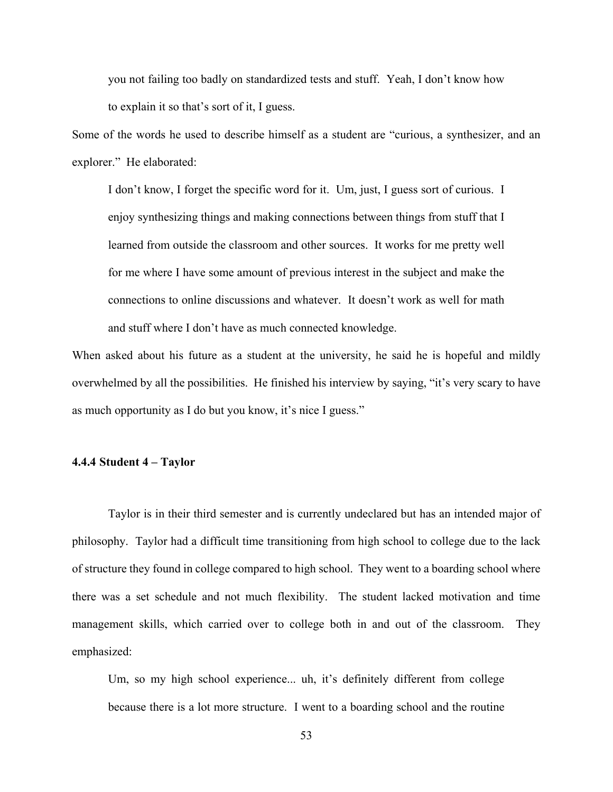you not failing too badly on standardized tests and stuff. Yeah, I don't know how to explain it so that's sort of it, I guess.

Some of the words he used to describe himself as a student are "curious, a synthesizer, and an explorer." He elaborated:

I don't know, I forget the specific word for it. Um, just, I guess sort of curious. I enjoy synthesizing things and making connections between things from stuff that I learned from outside the classroom and other sources. It works for me pretty well for me where I have some amount of previous interest in the subject and make the connections to online discussions and whatever. It doesn't work as well for math and stuff where I don't have as much connected knowledge.

When asked about his future as a student at the university, he said he is hopeful and mildly overwhelmed by all the possibilities. He finished his interview by saying, "it's very scary to have as much opportunity as I do but you know, it's nice I guess."

## **4.4.4 Student 4 – Taylor**

Taylor is in their third semester and is currently undeclared but has an intended major of philosophy. Taylor had a difficult time transitioning from high school to college due to the lack of structure they found in college compared to high school. They went to a boarding school where there was a set schedule and not much flexibility. The student lacked motivation and time management skills, which carried over to college both in and out of the classroom. They emphasized:

Um, so my high school experience... uh, it's definitely different from college because there is a lot more structure. I went to a boarding school and the routine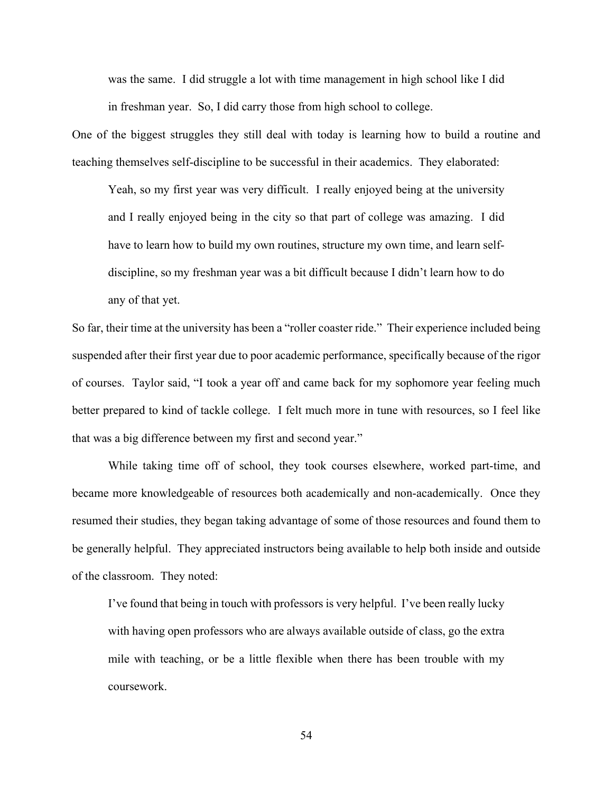was the same. I did struggle a lot with time management in high school like I did in freshman year. So, I did carry those from high school to college.

One of the biggest struggles they still deal with today is learning how to build a routine and teaching themselves self-discipline to be successful in their academics. They elaborated:

Yeah, so my first year was very difficult. I really enjoyed being at the university and I really enjoyed being in the city so that part of college was amazing. I did have to learn how to build my own routines, structure my own time, and learn selfdiscipline, so my freshman year was a bit difficult because I didn't learn how to do any of that yet.

So far, their time at the university has been a "roller coaster ride." Their experience included being suspended after their first year due to poor academic performance, specifically because of the rigor of courses. Taylor said, "I took a year off and came back for my sophomore year feeling much better prepared to kind of tackle college. I felt much more in tune with resources, so I feel like that was a big difference between my first and second year."

While taking time off of school, they took courses elsewhere, worked part-time, and became more knowledgeable of resources both academically and non-academically. Once they resumed their studies, they began taking advantage of some of those resources and found them to be generally helpful. They appreciated instructors being available to help both inside and outside of the classroom. They noted:

I've found that being in touch with professors is very helpful. I've been really lucky with having open professors who are always available outside of class, go the extra mile with teaching, or be a little flexible when there has been trouble with my coursework.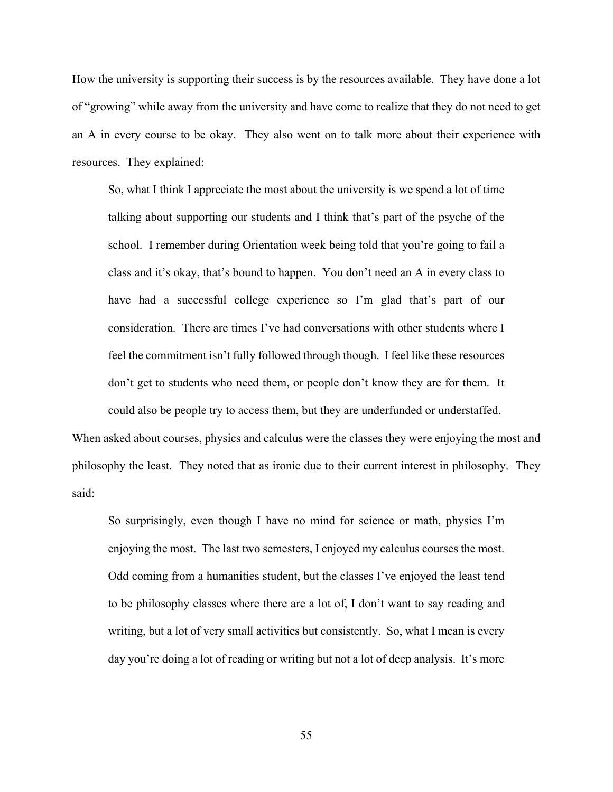How the university is supporting their success is by the resources available. They have done a lot of "growing" while away from the university and have come to realize that they do not need to get an A in every course to be okay. They also went on to talk more about their experience with resources. They explained:

So, what I think I appreciate the most about the university is we spend a lot of time talking about supporting our students and I think that's part of the psyche of the school. I remember during Orientation week being told that you're going to fail a class and it's okay, that's bound to happen. You don't need an A in every class to have had a successful college experience so I'm glad that's part of our consideration. There are times I've had conversations with other students where I feel the commitment isn't fully followed through though. I feel like these resources don't get to students who need them, or people don't know they are for them. It could also be people try to access them, but they are underfunded or understaffed.

When asked about courses, physics and calculus were the classes they were enjoying the most and philosophy the least. They noted that as ironic due to their current interest in philosophy. They said:

So surprisingly, even though I have no mind for science or math, physics I'm enjoying the most. The last two semesters, I enjoyed my calculus courses the most. Odd coming from a humanities student, but the classes I've enjoyed the least tend to be philosophy classes where there are a lot of, I don't want to say reading and writing, but a lot of very small activities but consistently. So, what I mean is every day you're doing a lot of reading or writing but not a lot of deep analysis. It's more

55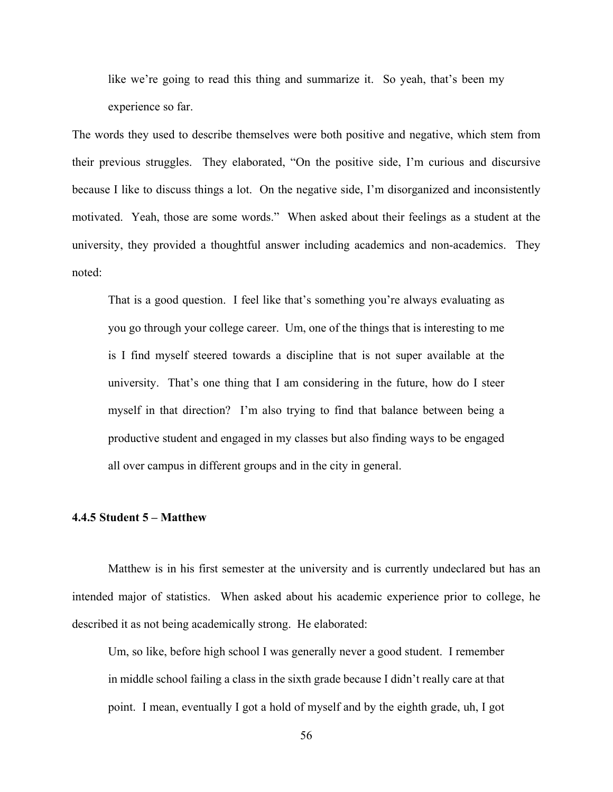like we're going to read this thing and summarize it. So yeah, that's been my experience so far.

The words they used to describe themselves were both positive and negative, which stem from their previous struggles. They elaborated, "On the positive side, I'm curious and discursive because I like to discuss things a lot. On the negative side, I'm disorganized and inconsistently motivated. Yeah, those are some words." When asked about their feelings as a student at the university, they provided a thoughtful answer including academics and non-academics. They noted:

That is a good question. I feel like that's something you're always evaluating as you go through your college career. Um, one of the things that is interesting to me is I find myself steered towards a discipline that is not super available at the university. That's one thing that I am considering in the future, how do I steer myself in that direction? I'm also trying to find that balance between being a productive student and engaged in my classes but also finding ways to be engaged all over campus in different groups and in the city in general.

### **4.4.5 Student 5 – Matthew**

Matthew is in his first semester at the university and is currently undeclared but has an intended major of statistics. When asked about his academic experience prior to college, he described it as not being academically strong. He elaborated:

Um, so like, before high school I was generally never a good student. I remember in middle school failing a class in the sixth grade because I didn't really care at that point. I mean, eventually I got a hold of myself and by the eighth grade, uh, I got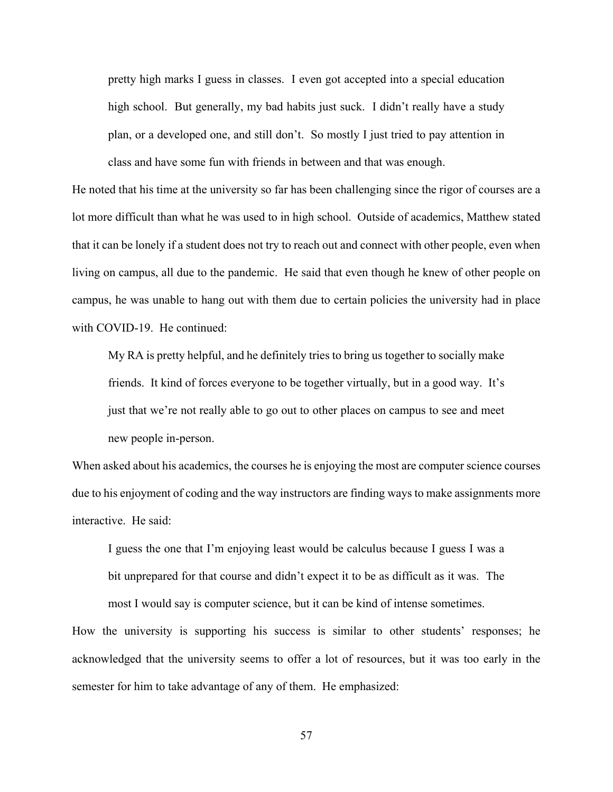pretty high marks I guess in classes. I even got accepted into a special education high school. But generally, my bad habits just suck. I didn't really have a study plan, or a developed one, and still don't. So mostly I just tried to pay attention in class and have some fun with friends in between and that was enough.

He noted that his time at the university so far has been challenging since the rigor of courses are a lot more difficult than what he was used to in high school. Outside of academics, Matthew stated that it can be lonely if a student does not try to reach out and connect with other people, even when living on campus, all due to the pandemic. He said that even though he knew of other people on campus, he was unable to hang out with them due to certain policies the university had in place with COVID-19. He continued:

My RA is pretty helpful, and he definitely tries to bring us together to socially make friends. It kind of forces everyone to be together virtually, but in a good way. It's just that we're not really able to go out to other places on campus to see and meet new people in-person.

When asked about his academics, the courses he is enjoying the most are computer science courses due to his enjoyment of coding and the way instructors are finding ways to make assignments more interactive. He said:

I guess the one that I'm enjoying least would be calculus because I guess I was a bit unprepared for that course and didn't expect it to be as difficult as it was. The most I would say is computer science, but it can be kind of intense sometimes.

How the university is supporting his success is similar to other students' responses; he acknowledged that the university seems to offer a lot of resources, but it was too early in the semester for him to take advantage of any of them. He emphasized:

57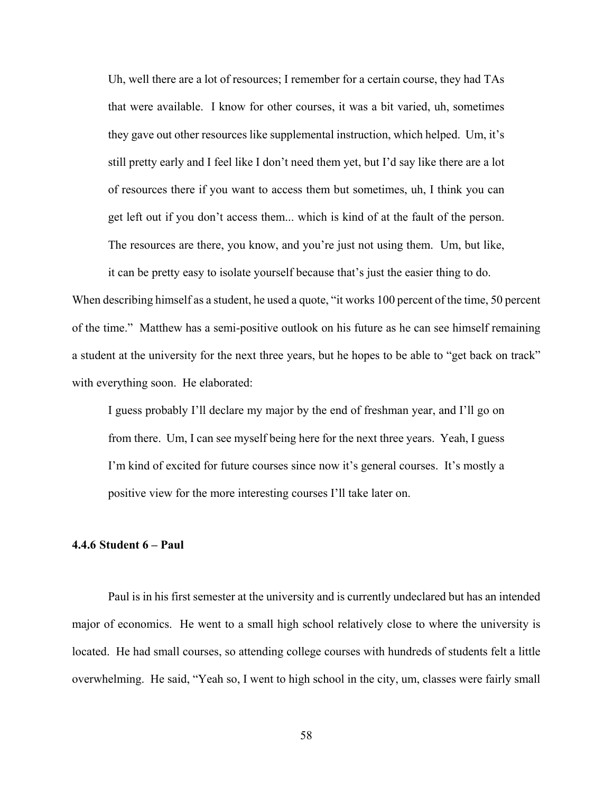Uh, well there are a lot of resources; I remember for a certain course, they had TAs that were available. I know for other courses, it was a bit varied, uh, sometimes they gave out other resources like supplemental instruction, which helped. Um, it's still pretty early and I feel like I don't need them yet, but I'd say like there are a lot of resources there if you want to access them but sometimes, uh, I think you can get left out if you don't access them... which is kind of at the fault of the person. The resources are there, you know, and you're just not using them. Um, but like,

it can be pretty easy to isolate yourself because that's just the easier thing to do. When describing himself as a student, he used a quote, "it works 100 percent of the time, 50 percent of the time." Matthew has a semi-positive outlook on his future as he can see himself remaining a student at the university for the next three years, but he hopes to be able to "get back on track" with everything soon. He elaborated:

I guess probably I'll declare my major by the end of freshman year, and I'll go on from there. Um, I can see myself being here for the next three years. Yeah, I guess I'm kind of excited for future courses since now it's general courses. It's mostly a positive view for the more interesting courses I'll take later on.

## **4.4.6 Student 6 – Paul**

Paul is in his first semester at the university and is currently undeclared but has an intended major of economics. He went to a small high school relatively close to where the university is located. He had small courses, so attending college courses with hundreds of students felt a little overwhelming. He said, "Yeah so, I went to high school in the city, um, classes were fairly small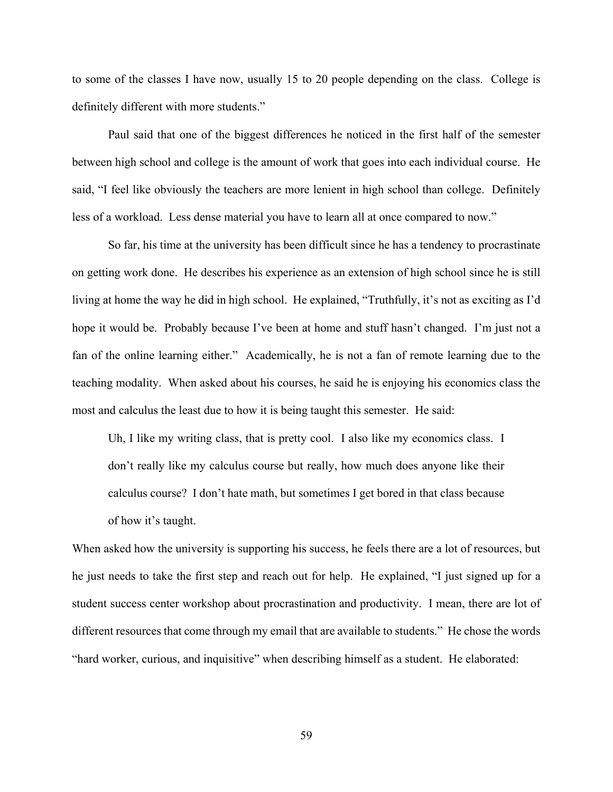to some of the classes I have now, usually 15 to 20 people depending on the class. College is definitely different with more students."

Paul said that one of the biggest differences he noticed in the first half of the semester between high school and college is the amount of work that goes into each individual course. He said, "I feel like obviously the teachers are more lenient in high school than college. Definitely less of a workload. Less dense material you have to learn all at once compared to now."

So far, his time at the university has been difficult since he has a tendency to procrastinate on getting work done. He describes his experience as an extension of high school since he is still living at home the way he did in high school. He explained, "Truthfully, it's not as exciting as I'd hope it would be. Probably because I've been at home and stuff hasn't changed. I'm just not a fan of the online learning either." Academically, he is not a fan of remote learning due to the teaching modality. When asked about his courses, he said he is enjoying his economics class the most and calculus the least due to how it is being taught this semester. He said:

Uh, I like my writing class, that is pretty cool. I also like my economics class. I don't really like my calculus course but really, how much does anyone like their calculus course? I don't hate math, but sometimes I get bored in that class because of how it's taught.

When asked how the university is supporting his success, he feels there are a lot of resources, but he just needs to take the first step and reach out for help. He explained, "I just signed up for a student success center workshop about procrastination and productivity. I mean, there are lot of different resources that come through my email that are available to students." He chose the words "hard worker, curious, and inquisitive" when describing himself as a student. He elaborated:

59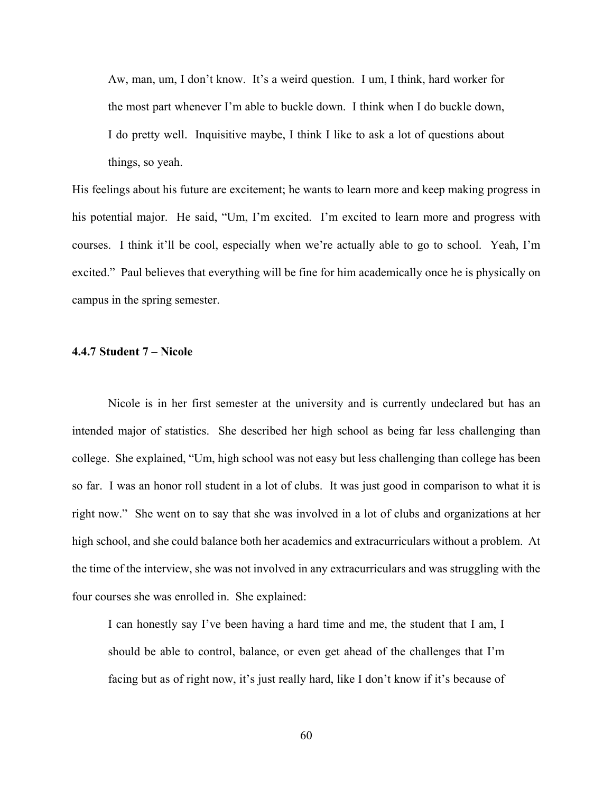Aw, man, um, I don't know. It's a weird question. I um, I think, hard worker for the most part whenever I'm able to buckle down. I think when I do buckle down, I do pretty well. Inquisitive maybe, I think I like to ask a lot of questions about things, so yeah.

His feelings about his future are excitement; he wants to learn more and keep making progress in his potential major. He said, "Um, I'm excited. I'm excited to learn more and progress with courses. I think it'll be cool, especially when we're actually able to go to school. Yeah, I'm excited." Paul believes that everything will be fine for him academically once he is physically on campus in the spring semester.

## **4.4.7 Student 7 – Nicole**

Nicole is in her first semester at the university and is currently undeclared but has an intended major of statistics. She described her high school as being far less challenging than college. She explained, "Um, high school was not easy but less challenging than college has been so far. I was an honor roll student in a lot of clubs. It was just good in comparison to what it is right now." She went on to say that she was involved in a lot of clubs and organizations at her high school, and she could balance both her academics and extracurriculars without a problem. At the time of the interview, she was not involved in any extracurriculars and was struggling with the four courses she was enrolled in. She explained:

I can honestly say I've been having a hard time and me, the student that I am, I should be able to control, balance, or even get ahead of the challenges that I'm facing but as of right now, it's just really hard, like I don't know if it's because of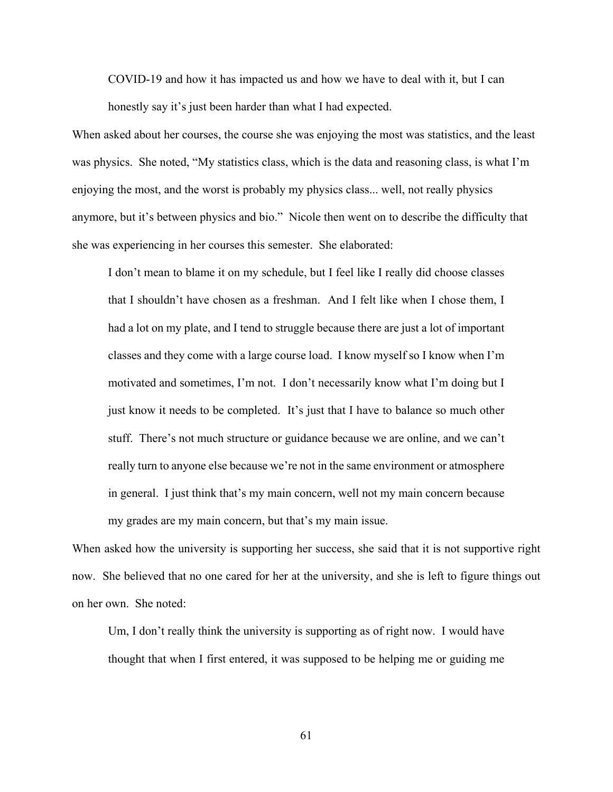COVID-19 and how it has impacted us and how we have to deal with it, but I can honestly say it's just been harder than what I had expected.

When asked about her courses, the course she was enjoying the most was statistics, and the least was physics. She noted, "My statistics class, which is the data and reasoning class, is what I'm enjoying the most, and the worst is probably my physics class... well, not really physics anymore, but it's between physics and bio." Nicole then went on to describe the difficulty that she was experiencing in her courses this semester. She elaborated:

I don't mean to blame it on my schedule, but I feel like I really did choose classes that I shouldn't have chosen as a freshman. And I felt like when I chose them, I had a lot on my plate, and I tend to struggle because there are just a lot of important classes and they come with a large course load. I know myself so I know when I'm motivated and sometimes, I'm not. I don't necessarily know what I'm doing but I just know it needs to be completed. It's just that I have to balance so much other stuff. There's not much structure or guidance because we are online, and we can't really turn to anyone else because we're not in the same environment or atmosphere in general. I just think that's my main concern, well not my main concern because my grades are my main concern, but that's my main issue.

When asked how the university is supporting her success, she said that it is not supportive right now. She believed that no one cared for her at the university, and she is left to figure things out on her own. She noted:

Um, I don't really think the university is supporting as of right now. I would have thought that when I first entered, it was supposed to be helping me or guiding me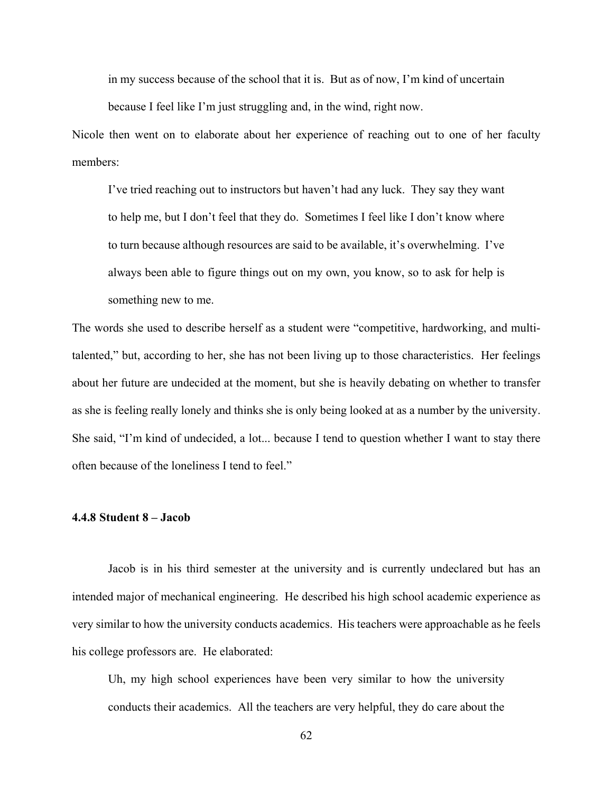in my success because of the school that it is. But as of now, I'm kind of uncertain

because I feel like I'm just struggling and, in the wind, right now.

Nicole then went on to elaborate about her experience of reaching out to one of her faculty members:

I've tried reaching out to instructors but haven't had any luck. They say they want to help me, but I don't feel that they do. Sometimes I feel like I don't know where to turn because although resources are said to be available, it's overwhelming. I've always been able to figure things out on my own, you know, so to ask for help is something new to me.

The words she used to describe herself as a student were "competitive, hardworking, and multitalented," but, according to her, she has not been living up to those characteristics. Her feelings about her future are undecided at the moment, but she is heavily debating on whether to transfer as she is feeling really lonely and thinks she is only being looked at as a number by the university. She said, "I'm kind of undecided, a lot... because I tend to question whether I want to stay there often because of the loneliness I tend to feel."

## **4.4.8 Student 8 – Jacob**

Jacob is in his third semester at the university and is currently undeclared but has an intended major of mechanical engineering. He described his high school academic experience as very similar to how the university conducts academics. His teachers were approachable as he feels his college professors are. He elaborated:

Uh, my high school experiences have been very similar to how the university conducts their academics. All the teachers are very helpful, they do care about the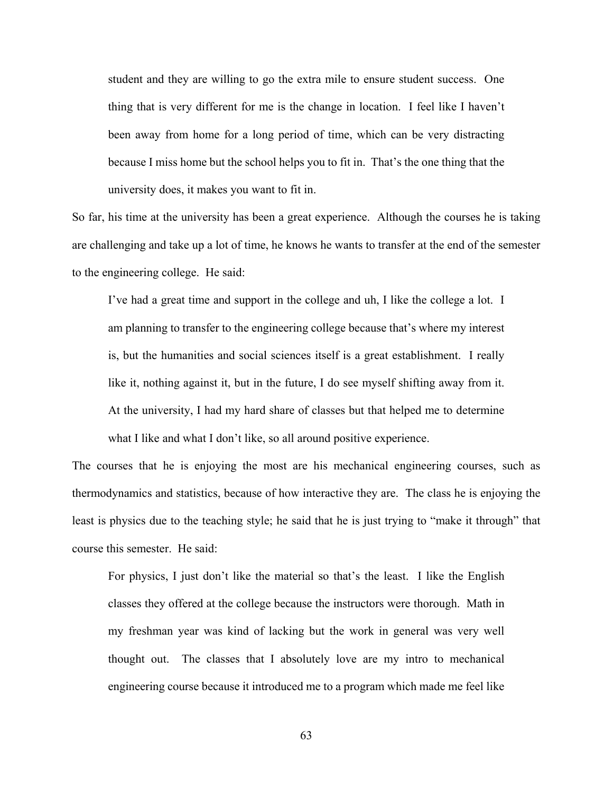student and they are willing to go the extra mile to ensure student success. One thing that is very different for me is the change in location. I feel like I haven't been away from home for a long period of time, which can be very distracting because I miss home but the school helps you to fit in. That's the one thing that the university does, it makes you want to fit in.

So far, his time at the university has been a great experience. Although the courses he is taking are challenging and take up a lot of time, he knows he wants to transfer at the end of the semester to the engineering college. He said:

I've had a great time and support in the college and uh, I like the college a lot. I am planning to transfer to the engineering college because that's where my interest is, but the humanities and social sciences itself is a great establishment. I really like it, nothing against it, but in the future, I do see myself shifting away from it. At the university, I had my hard share of classes but that helped me to determine what I like and what I don't like, so all around positive experience.

The courses that he is enjoying the most are his mechanical engineering courses, such as thermodynamics and statistics, because of how interactive they are. The class he is enjoying the least is physics due to the teaching style; he said that he is just trying to "make it through" that course this semester. He said:

For physics, I just don't like the material so that's the least. I like the English classes they offered at the college because the instructors were thorough. Math in my freshman year was kind of lacking but the work in general was very well thought out. The classes that I absolutely love are my intro to mechanical engineering course because it introduced me to a program which made me feel like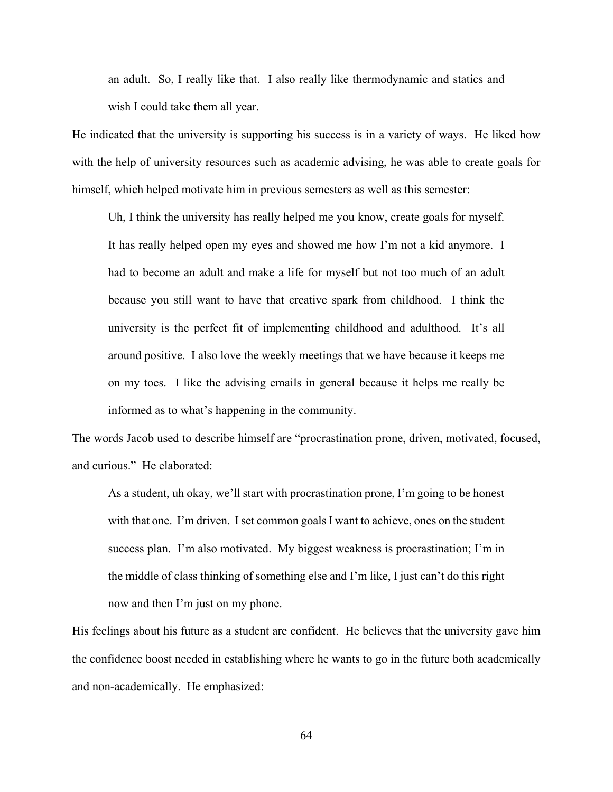an adult. So, I really like that. I also really like thermodynamic and statics and wish I could take them all year.

He indicated that the university is supporting his success is in a variety of ways. He liked how with the help of university resources such as academic advising, he was able to create goals for himself, which helped motivate him in previous semesters as well as this semester:

Uh, I think the university has really helped me you know, create goals for myself. It has really helped open my eyes and showed me how I'm not a kid anymore. I had to become an adult and make a life for myself but not too much of an adult because you still want to have that creative spark from childhood. I think the university is the perfect fit of implementing childhood and adulthood. It's all around positive. I also love the weekly meetings that we have because it keeps me on my toes. I like the advising emails in general because it helps me really be informed as to what's happening in the community.

The words Jacob used to describe himself are "procrastination prone, driven, motivated, focused, and curious." He elaborated:

As a student, uh okay, we'll start with procrastination prone, I'm going to be honest with that one. I'm driven. I set common goals I want to achieve, ones on the student success plan. I'm also motivated. My biggest weakness is procrastination; I'm in the middle of class thinking of something else and I'm like, I just can't do this right now and then I'm just on my phone.

His feelings about his future as a student are confident. He believes that the university gave him the confidence boost needed in establishing where he wants to go in the future both academically and non-academically. He emphasized: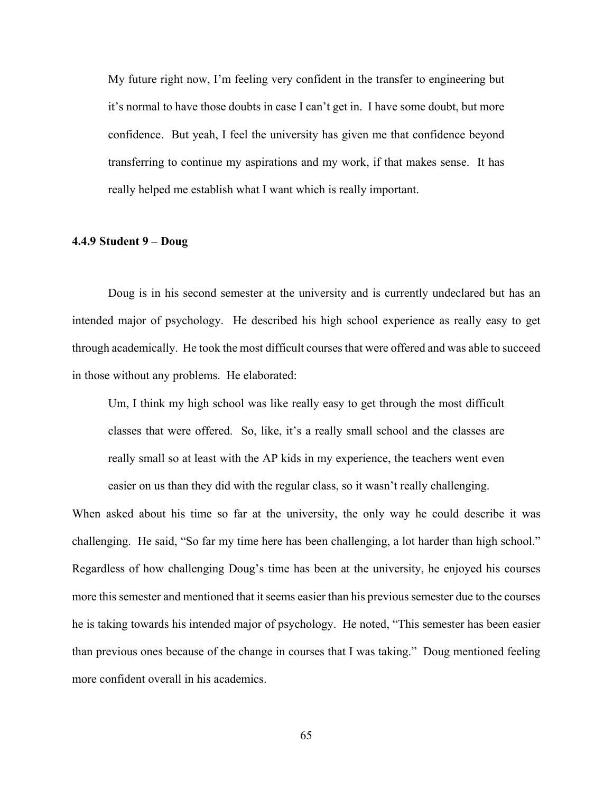My future right now, I'm feeling very confident in the transfer to engineering but it's normal to have those doubts in case I can't get in. I have some doubt, but more confidence. But yeah, I feel the university has given me that confidence beyond transferring to continue my aspirations and my work, if that makes sense. It has really helped me establish what I want which is really important.

## **4.4.9 Student 9 – Doug**

Doug is in his second semester at the university and is currently undeclared but has an intended major of psychology. He described his high school experience as really easy to get through academically. He took the most difficult courses that were offered and was able to succeed in those without any problems. He elaborated:

Um, I think my high school was like really easy to get through the most difficult classes that were offered. So, like, it's a really small school and the classes are really small so at least with the AP kids in my experience, the teachers went even easier on us than they did with the regular class, so it wasn't really challenging.

When asked about his time so far at the university, the only way he could describe it was challenging. He said, "So far my time here has been challenging, a lot harder than high school." Regardless of how challenging Doug's time has been at the university, he enjoyed his courses more this semester and mentioned that it seems easier than his previous semester due to the courses he is taking towards his intended major of psychology. He noted, "This semester has been easier than previous ones because of the change in courses that I was taking." Doug mentioned feeling more confident overall in his academics.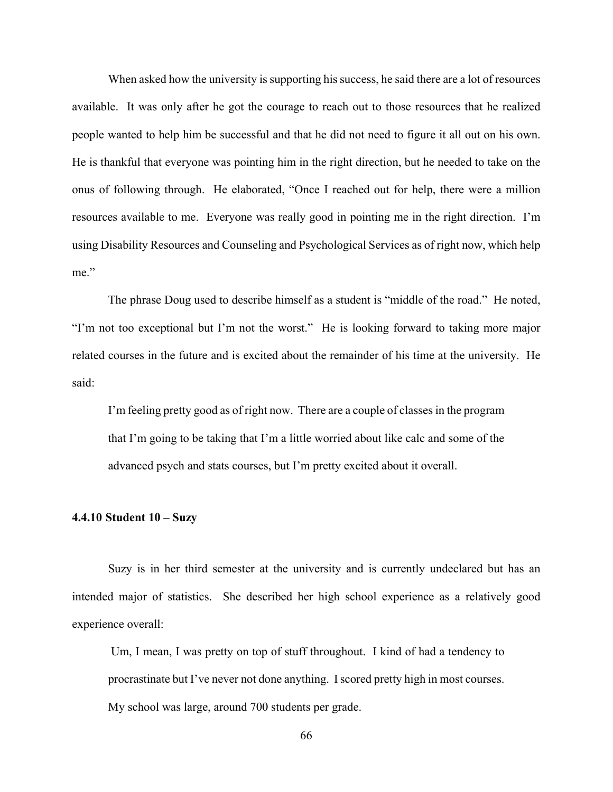When asked how the university is supporting his success, he said there are a lot of resources available. It was only after he got the courage to reach out to those resources that he realized people wanted to help him be successful and that he did not need to figure it all out on his own. He is thankful that everyone was pointing him in the right direction, but he needed to take on the onus of following through. He elaborated, "Once I reached out for help, there were a million resources available to me. Everyone was really good in pointing me in the right direction. I'm using Disability Resources and Counseling and Psychological Services as of right now, which help me."

The phrase Doug used to describe himself as a student is "middle of the road." He noted, "I'm not too exceptional but I'm not the worst." He is looking forward to taking more major related courses in the future and is excited about the remainder of his time at the university. He said:

I'm feeling pretty good as of right now. There are a couple of classes in the program that I'm going to be taking that I'm a little worried about like calc and some of the advanced psych and stats courses, but I'm pretty excited about it overall.

## **4.4.10 Student 10 – Suzy**

Suzy is in her third semester at the university and is currently undeclared but has an intended major of statistics. She described her high school experience as a relatively good experience overall:

 Um, I mean, I was pretty on top of stuff throughout. I kind of had a tendency to procrastinate but I've never not done anything. I scored pretty high in most courses. My school was large, around 700 students per grade.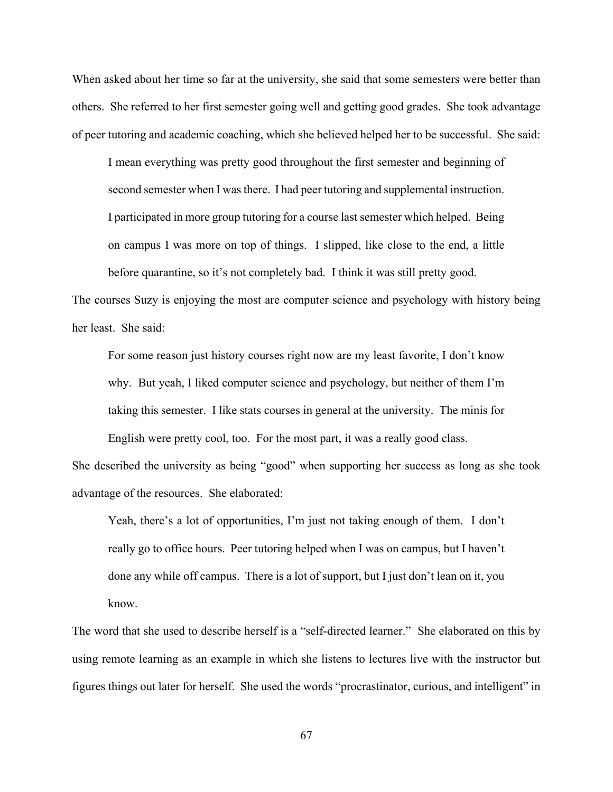When asked about her time so far at the university, she said that some semesters were better than others. She referred to her first semester going well and getting good grades. She took advantage of peer tutoring and academic coaching, which she believed helped her to be successful. She said:

I mean everything was pretty good throughout the first semester and beginning of second semester when I was there. I had peer tutoring and supplemental instruction. I participated in more group tutoring for a course last semester which helped. Being on campus I was more on top of things. I slipped, like close to the end, a little before quarantine, so it's not completely bad. I think it was still pretty good.

The courses Suzy is enjoying the most are computer science and psychology with history being her least. She said:

For some reason just history courses right now are my least favorite, I don't know why. But yeah, I liked computer science and psychology, but neither of them I'm taking this semester. I like stats courses in general at the university. The minis for

English were pretty cool, too. For the most part, it was a really good class.

She described the university as being "good" when supporting her success as long as she took advantage of the resources. She elaborated:

Yeah, there's a lot of opportunities, I'm just not taking enough of them. I don't really go to office hours. Peer tutoring helped when I was on campus, but I haven't done any while off campus. There is a lot of support, but I just don't lean on it, you know.

The word that she used to describe herself is a "self-directed learner." She elaborated on this by using remote learning as an example in which she listens to lectures live with the instructor but figures things out later for herself. She used the words "procrastinator, curious, and intelligent" in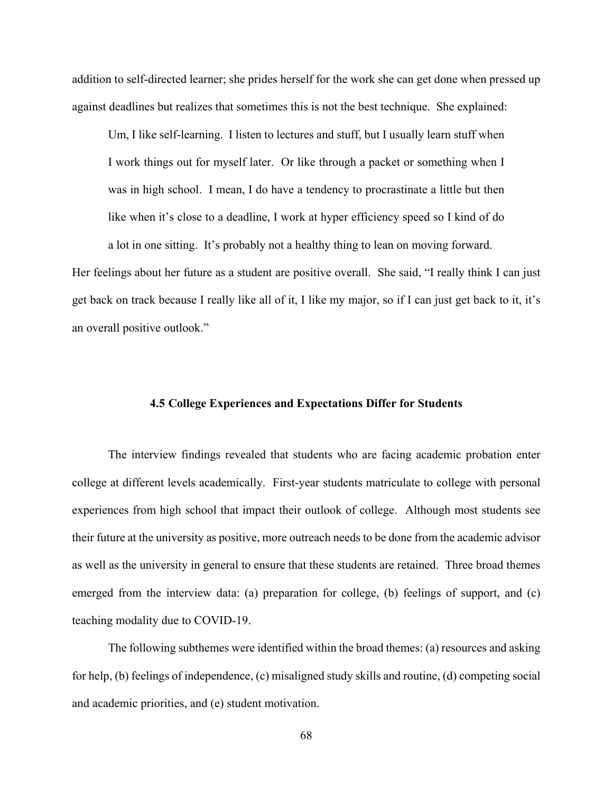addition to self-directed learner; she prides herself for the work she can get done when pressed up against deadlines but realizes that sometimes this is not the best technique. She explained:

Um, I like self-learning. I listen to lectures and stuff, but I usually learn stuff when I work things out for myself later. Or like through a packet or something when I was in high school. I mean, I do have a tendency to procrastinate a little but then like when it's close to a deadline, I work at hyper efficiency speed so I kind of do a lot in one sitting. It's probably not a healthy thing to lean on moving forward.

Her feelings about her future as a student are positive overall. She said, "I really think I can just get back on track because I really like all of it, I like my major, so if I can just get back to it, it's an overall positive outlook."

## **4.5 College Experiences and Expectations Differ for Students**

The interview findings revealed that students who are facing academic probation enter college at different levels academically. First-year students matriculate to college with personal experiences from high school that impact their outlook of college. Although most students see their future at the university as positive, more outreach needs to be done from the academic advisor as well as the university in general to ensure that these students are retained. Three broad themes emerged from the interview data: (a) preparation for college, (b) feelings of support, and (c) teaching modality due to COVID-19.

The following subthemes were identified within the broad themes: (a) resources and asking for help, (b) feelings of independence, (c) misaligned study skills and routine, (d) competing social and academic priorities, and (e) student motivation.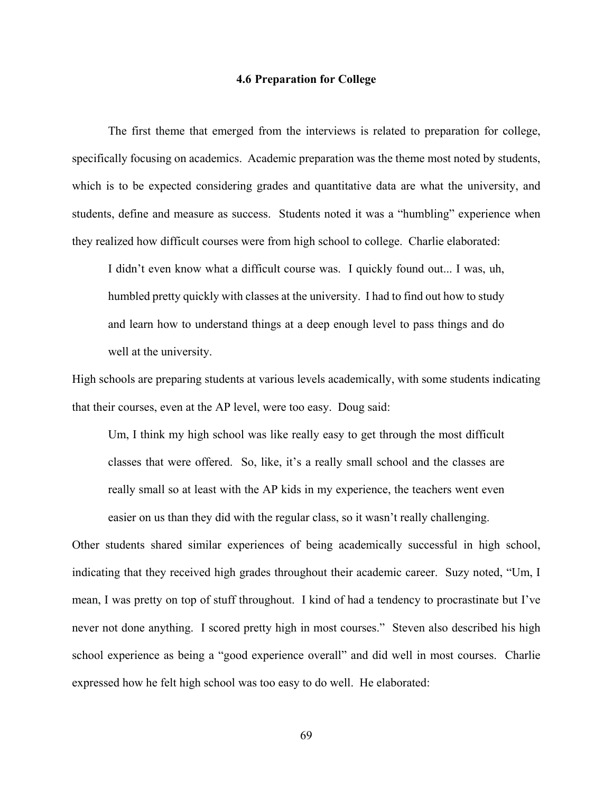## **4.6 Preparation for College**

The first theme that emerged from the interviews is related to preparation for college, specifically focusing on academics. Academic preparation was the theme most noted by students, which is to be expected considering grades and quantitative data are what the university, and students, define and measure as success. Students noted it was a "humbling" experience when they realized how difficult courses were from high school to college. Charlie elaborated:

I didn't even know what a difficult course was. I quickly found out... I was, uh, humbled pretty quickly with classes at the university. I had to find out how to study and learn how to understand things at a deep enough level to pass things and do well at the university.

High schools are preparing students at various levels academically, with some students indicating that their courses, even at the AP level, were too easy. Doug said:

Um, I think my high school was like really easy to get through the most difficult classes that were offered. So, like, it's a really small school and the classes are really small so at least with the AP kids in my experience, the teachers went even easier on us than they did with the regular class, so it wasn't really challenging.

Other students shared similar experiences of being academically successful in high school, indicating that they received high grades throughout their academic career. Suzy noted, "Um, I mean, I was pretty on top of stuff throughout. I kind of had a tendency to procrastinate but I've never not done anything. I scored pretty high in most courses." Steven also described his high school experience as being a "good experience overall" and did well in most courses. Charlie expressed how he felt high school was too easy to do well. He elaborated: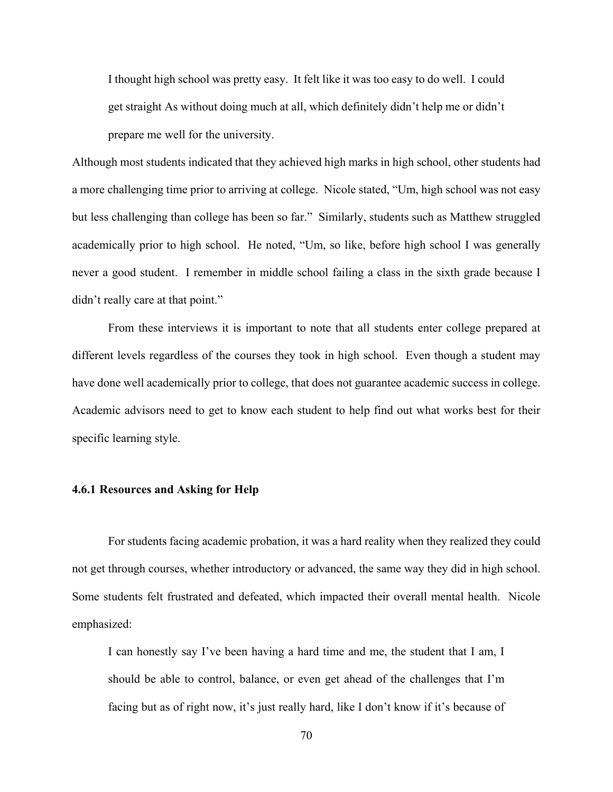I thought high school was pretty easy. It felt like it was too easy to do well. I could get straight As without doing much at all, which definitely didn't help me or didn't prepare me well for the university.

Although most students indicated that they achieved high marks in high school, other students had a more challenging time prior to arriving at college. Nicole stated, "Um, high school was not easy but less challenging than college has been so far." Similarly, students such as Matthew struggled academically prior to high school. He noted, "Um, so like, before high school I was generally never a good student. I remember in middle school failing a class in the sixth grade because I didn't really care at that point."

From these interviews it is important to note that all students enter college prepared at different levels regardless of the courses they took in high school. Even though a student may have done well academically prior to college, that does not guarantee academic success in college. Academic advisors need to get to know each student to help find out what works best for their specific learning style.

## **4.6.1 Resources and Asking for Help**

For students facing academic probation, it was a hard reality when they realized they could not get through courses, whether introductory or advanced, the same way they did in high school. Some students felt frustrated and defeated, which impacted their overall mental health. Nicole emphasized:

I can honestly say I've been having a hard time and me, the student that I am, I should be able to control, balance, or even get ahead of the challenges that I'm facing but as of right now, it's just really hard, like I don't know if it's because of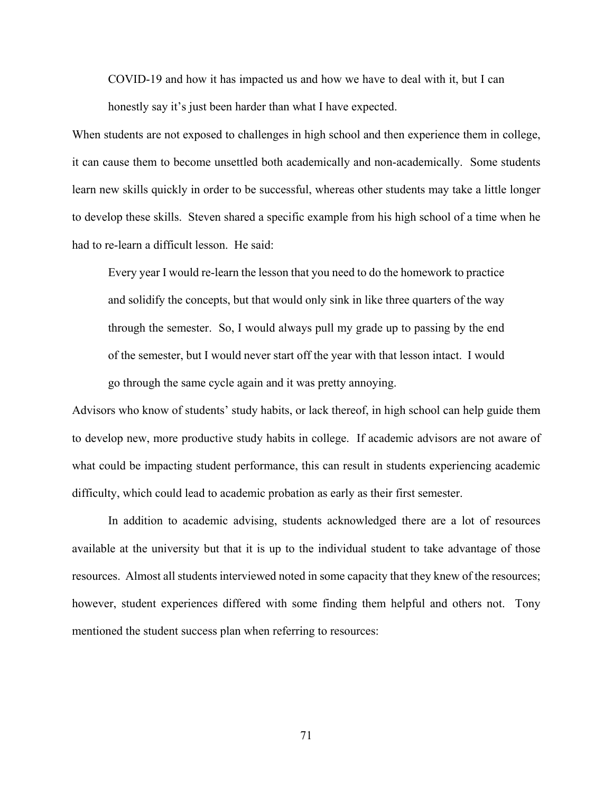COVID-19 and how it has impacted us and how we have to deal with it, but I can

honestly say it's just been harder than what I have expected.

When students are not exposed to challenges in high school and then experience them in college, it can cause them to become unsettled both academically and non-academically. Some students learn new skills quickly in order to be successful, whereas other students may take a little longer to develop these skills. Steven shared a specific example from his high school of a time when he had to re-learn a difficult lesson. He said:

Every year I would re-learn the lesson that you need to do the homework to practice and solidify the concepts, but that would only sink in like three quarters of the way through the semester. So, I would always pull my grade up to passing by the end of the semester, but I would never start off the year with that lesson intact. I would go through the same cycle again and it was pretty annoying.

Advisors who know of students' study habits, or lack thereof, in high school can help guide them to develop new, more productive study habits in college. If academic advisors are not aware of what could be impacting student performance, this can result in students experiencing academic difficulty, which could lead to academic probation as early as their first semester.

In addition to academic advising, students acknowledged there are a lot of resources available at the university but that it is up to the individual student to take advantage of those resources. Almost all students interviewed noted in some capacity that they knew of the resources; however, student experiences differed with some finding them helpful and others not. Tony mentioned the student success plan when referring to resources: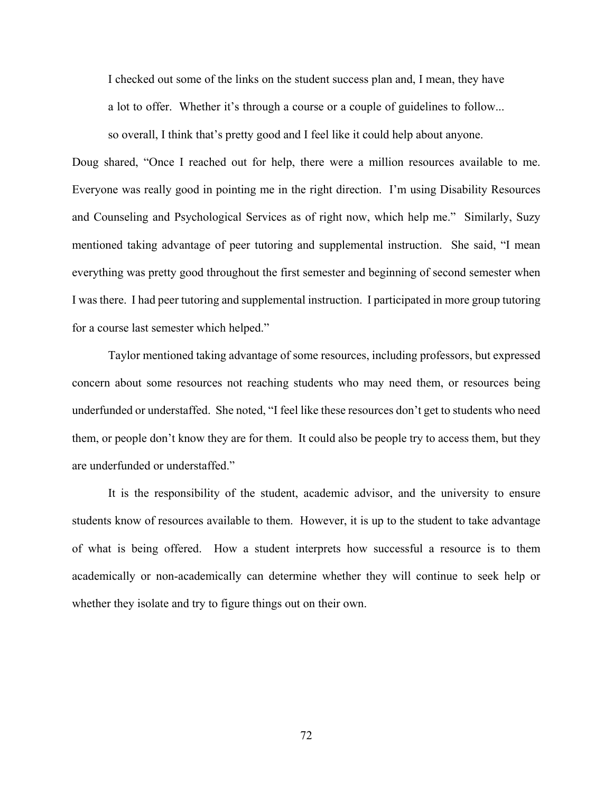I checked out some of the links on the student success plan and, I mean, they have a lot to offer. Whether it's through a course or a couple of guidelines to follow...

so overall, I think that's pretty good and I feel like it could help about anyone.

Doug shared, "Once I reached out for help, there were a million resources available to me. Everyone was really good in pointing me in the right direction. I'm using Disability Resources and Counseling and Psychological Services as of right now, which help me." Similarly, Suzy mentioned taking advantage of peer tutoring and supplemental instruction. She said, "I mean everything was pretty good throughout the first semester and beginning of second semester when I was there. I had peer tutoring and supplemental instruction. I participated in more group tutoring for a course last semester which helped."

Taylor mentioned taking advantage of some resources, including professors, but expressed concern about some resources not reaching students who may need them, or resources being underfunded or understaffed. She noted, "I feel like these resources don't get to students who need them, or people don't know they are for them. It could also be people try to access them, but they are underfunded or understaffed."

It is the responsibility of the student, academic advisor, and the university to ensure students know of resources available to them. However, it is up to the student to take advantage of what is being offered. How a student interprets how successful a resource is to them academically or non-academically can determine whether they will continue to seek help or whether they isolate and try to figure things out on their own.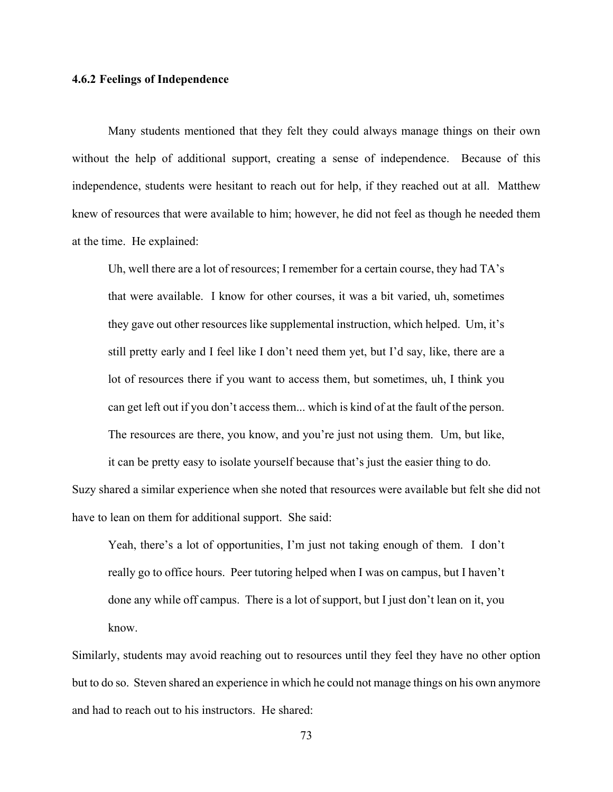## **4.6.2 Feelings of Independence**

Many students mentioned that they felt they could always manage things on their own without the help of additional support, creating a sense of independence. Because of this independence, students were hesitant to reach out for help, if they reached out at all. Matthew knew of resources that were available to him; however, he did not feel as though he needed them at the time. He explained:

Uh, well there are a lot of resources; I remember for a certain course, they had TA's that were available. I know for other courses, it was a bit varied, uh, sometimes they gave out other resources like supplemental instruction, which helped. Um, it's still pretty early and I feel like I don't need them yet, but I'd say, like, there are a lot of resources there if you want to access them, but sometimes, uh, I think you can get left out if you don't access them... which is kind of at the fault of the person. The resources are there, you know, and you're just not using them. Um, but like,

it can be pretty easy to isolate yourself because that's just the easier thing to do. Suzy shared a similar experience when she noted that resources were available but felt she did not have to lean on them for additional support. She said:

Yeah, there's a lot of opportunities, I'm just not taking enough of them. I don't really go to office hours. Peer tutoring helped when I was on campus, but I haven't done any while off campus. There is a lot of support, but I just don't lean on it, you know.

Similarly, students may avoid reaching out to resources until they feel they have no other option but to do so. Steven shared an experience in which he could not manage things on his own anymore and had to reach out to his instructors. He shared: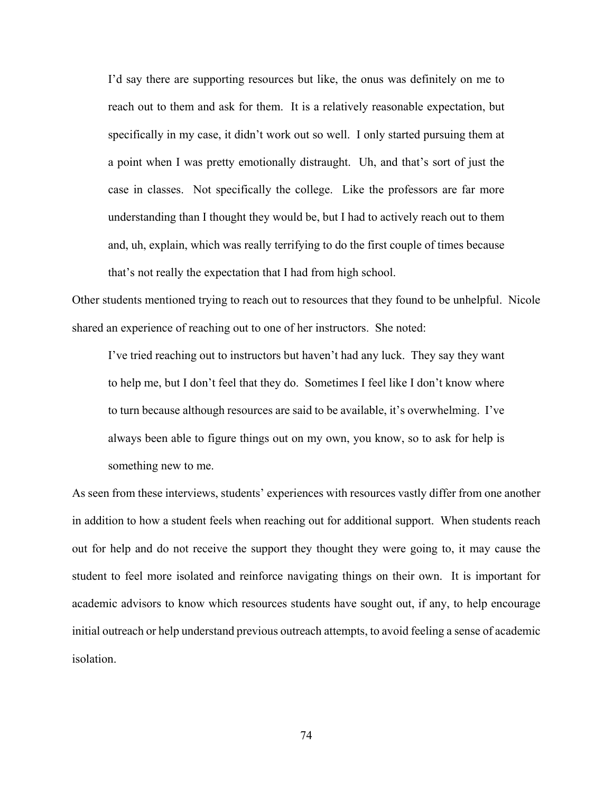I'd say there are supporting resources but like, the onus was definitely on me to reach out to them and ask for them. It is a relatively reasonable expectation, but specifically in my case, it didn't work out so well. I only started pursuing them at a point when I was pretty emotionally distraught. Uh, and that's sort of just the case in classes. Not specifically the college. Like the professors are far more understanding than I thought they would be, but I had to actively reach out to them and, uh, explain, which was really terrifying to do the first couple of times because that's not really the expectation that I had from high school.

Other students mentioned trying to reach out to resources that they found to be unhelpful. Nicole shared an experience of reaching out to one of her instructors. She noted:

I've tried reaching out to instructors but haven't had any luck. They say they want to help me, but I don't feel that they do. Sometimes I feel like I don't know where to turn because although resources are said to be available, it's overwhelming. I've always been able to figure things out on my own, you know, so to ask for help is something new to me.

As seen from these interviews, students' experiences with resources vastly differ from one another in addition to how a student feels when reaching out for additional support. When students reach out for help and do not receive the support they thought they were going to, it may cause the student to feel more isolated and reinforce navigating things on their own. It is important for academic advisors to know which resources students have sought out, if any, to help encourage initial outreach or help understand previous outreach attempts, to avoid feeling a sense of academic isolation.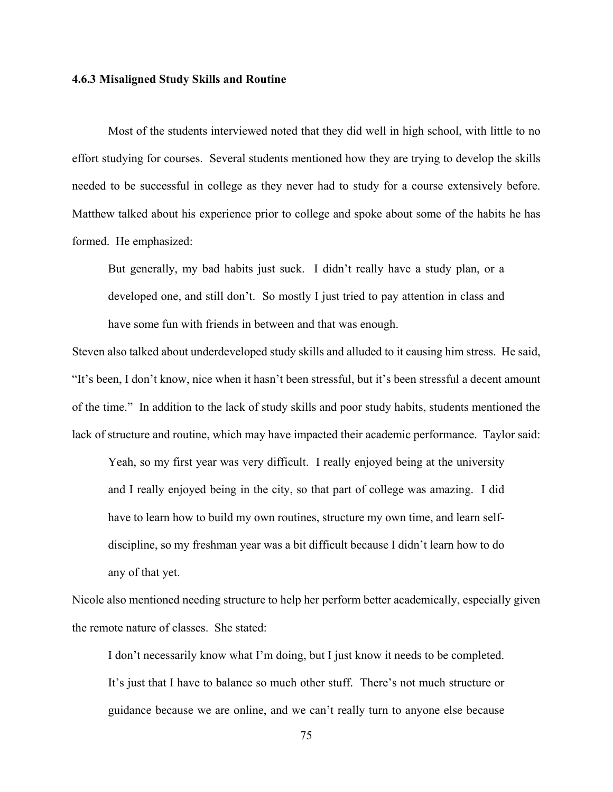#### **4.6.3 Misaligned Study Skills and Routine**

Most of the students interviewed noted that they did well in high school, with little to no effort studying for courses. Several students mentioned how they are trying to develop the skills needed to be successful in college as they never had to study for a course extensively before. Matthew talked about his experience prior to college and spoke about some of the habits he has formed. He emphasized:

But generally, my bad habits just suck. I didn't really have a study plan, or a developed one, and still don't. So mostly I just tried to pay attention in class and have some fun with friends in between and that was enough.

Steven also talked about underdeveloped study skills and alluded to it causing him stress. He said, "It's been, I don't know, nice when it hasn't been stressful, but it's been stressful a decent amount of the time." In addition to the lack of study skills and poor study habits, students mentioned the lack of structure and routine, which may have impacted their academic performance. Taylor said:

Yeah, so my first year was very difficult. I really enjoyed being at the university and I really enjoyed being in the city, so that part of college was amazing. I did have to learn how to build my own routines, structure my own time, and learn selfdiscipline, so my freshman year was a bit difficult because I didn't learn how to do any of that yet.

Nicole also mentioned needing structure to help her perform better academically, especially given the remote nature of classes. She stated:

I don't necessarily know what I'm doing, but I just know it needs to be completed. It's just that I have to balance so much other stuff. There's not much structure or guidance because we are online, and we can't really turn to anyone else because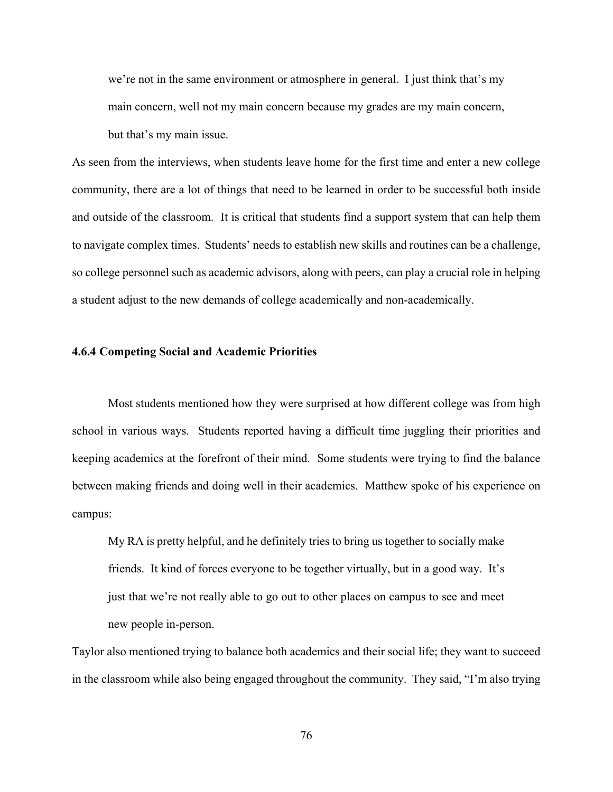we're not in the same environment or atmosphere in general. I just think that's my main concern, well not my main concern because my grades are my main concern,

but that's my main issue.

As seen from the interviews, when students leave home for the first time and enter a new college community, there are a lot of things that need to be learned in order to be successful both inside and outside of the classroom. It is critical that students find a support system that can help them to navigate complex times. Students' needs to establish new skills and routines can be a challenge, so college personnel such as academic advisors, along with peers, can play a crucial role in helping a student adjust to the new demands of college academically and non-academically.

## **4.6.4 Competing Social and Academic Priorities**

Most students mentioned how they were surprised at how different college was from high school in various ways. Students reported having a difficult time juggling their priorities and keeping academics at the forefront of their mind. Some students were trying to find the balance between making friends and doing well in their academics. Matthew spoke of his experience on campus:

My RA is pretty helpful, and he definitely tries to bring us together to socially make friends. It kind of forces everyone to be together virtually, but in a good way. It's just that we're not really able to go out to other places on campus to see and meet new people in-person.

Taylor also mentioned trying to balance both academics and their social life; they want to succeed in the classroom while also being engaged throughout the community. They said, "I'm also trying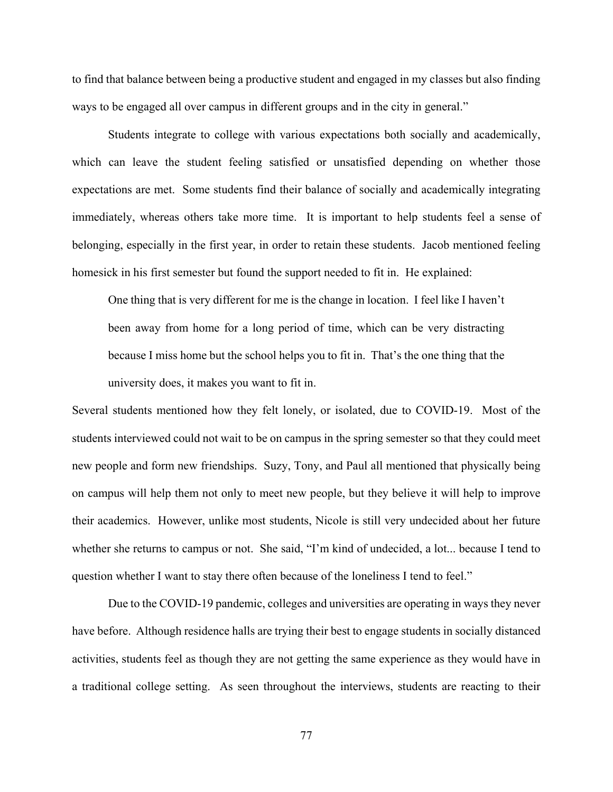to find that balance between being a productive student and engaged in my classes but also finding ways to be engaged all over campus in different groups and in the city in general."

Students integrate to college with various expectations both socially and academically, which can leave the student feeling satisfied or unsatisfied depending on whether those expectations are met. Some students find their balance of socially and academically integrating immediately, whereas others take more time. It is important to help students feel a sense of belonging, especially in the first year, in order to retain these students. Jacob mentioned feeling homesick in his first semester but found the support needed to fit in. He explained:

One thing that is very different for me is the change in location. I feel like I haven't been away from home for a long period of time, which can be very distracting because I miss home but the school helps you to fit in. That's the one thing that the university does, it makes you want to fit in.

Several students mentioned how they felt lonely, or isolated, due to COVID-19. Most of the students interviewed could not wait to be on campus in the spring semester so that they could meet new people and form new friendships. Suzy, Tony, and Paul all mentioned that physically being on campus will help them not only to meet new people, but they believe it will help to improve their academics. However, unlike most students, Nicole is still very undecided about her future whether she returns to campus or not. She said, "I'm kind of undecided, a lot... because I tend to question whether I want to stay there often because of the loneliness I tend to feel."

Due to the COVID-19 pandemic, colleges and universities are operating in ways they never have before. Although residence halls are trying their best to engage students in socially distanced activities, students feel as though they are not getting the same experience as they would have in a traditional college setting. As seen throughout the interviews, students are reacting to their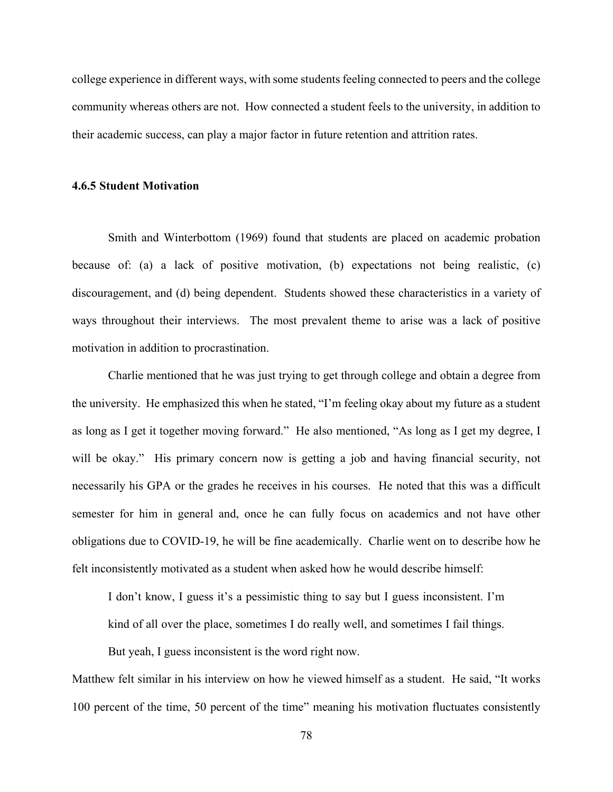college experience in different ways, with some students feeling connected to peers and the college community whereas others are not. How connected a student feels to the university, in addition to their academic success, can play a major factor in future retention and attrition rates.

### **4.6.5 Student Motivation**

Smith and Winterbottom (1969) found that students are placed on academic probation because of: (a) a lack of positive motivation, (b) expectations not being realistic, (c) discouragement, and (d) being dependent. Students showed these characteristics in a variety of ways throughout their interviews. The most prevalent theme to arise was a lack of positive motivation in addition to procrastination.

Charlie mentioned that he was just trying to get through college and obtain a degree from the university. He emphasized this when he stated, "I'm feeling okay about my future as a student as long as I get it together moving forward." He also mentioned, "As long as I get my degree, I will be okay." His primary concern now is getting a job and having financial security, not necessarily his GPA or the grades he receives in his courses. He noted that this was a difficult semester for him in general and, once he can fully focus on academics and not have other obligations due to COVID-19, he will be fine academically. Charlie went on to describe how he felt inconsistently motivated as a student when asked how he would describe himself:

I don't know, I guess it's a pessimistic thing to say but I guess inconsistent. I'm

kind of all over the place, sometimes I do really well, and sometimes I fail things.

But yeah, I guess inconsistent is the word right now.

Matthew felt similar in his interview on how he viewed himself as a student. He said, "It works 100 percent of the time, 50 percent of the time" meaning his motivation fluctuates consistently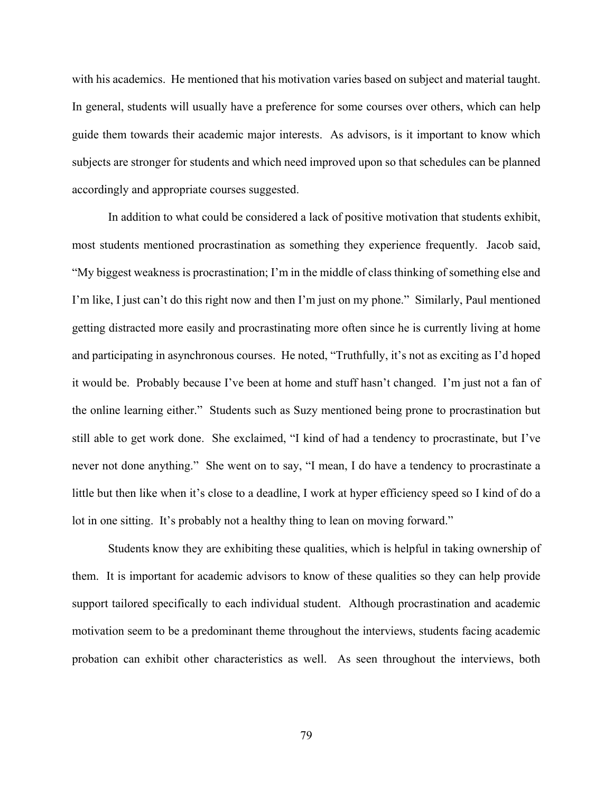with his academics. He mentioned that his motivation varies based on subject and material taught. In general, students will usually have a preference for some courses over others, which can help guide them towards their academic major interests. As advisors, is it important to know which subjects are stronger for students and which need improved upon so that schedules can be planned accordingly and appropriate courses suggested.

In addition to what could be considered a lack of positive motivation that students exhibit, most students mentioned procrastination as something they experience frequently. Jacob said, "My biggest weakness is procrastination; I'm in the middle of class thinking of something else and I'm like, I just can't do this right now and then I'm just on my phone." Similarly, Paul mentioned getting distracted more easily and procrastinating more often since he is currently living at home and participating in asynchronous courses. He noted, "Truthfully, it's not as exciting as I'd hoped it would be. Probably because I've been at home and stuff hasn't changed. I'm just not a fan of the online learning either." Students such as Suzy mentioned being prone to procrastination but still able to get work done. She exclaimed, "I kind of had a tendency to procrastinate, but I've never not done anything." She went on to say, "I mean, I do have a tendency to procrastinate a little but then like when it's close to a deadline, I work at hyper efficiency speed so I kind of do a lot in one sitting. It's probably not a healthy thing to lean on moving forward."

Students know they are exhibiting these qualities, which is helpful in taking ownership of them. It is important for academic advisors to know of these qualities so they can help provide support tailored specifically to each individual student. Although procrastination and academic motivation seem to be a predominant theme throughout the interviews, students facing academic probation can exhibit other characteristics as well. As seen throughout the interviews, both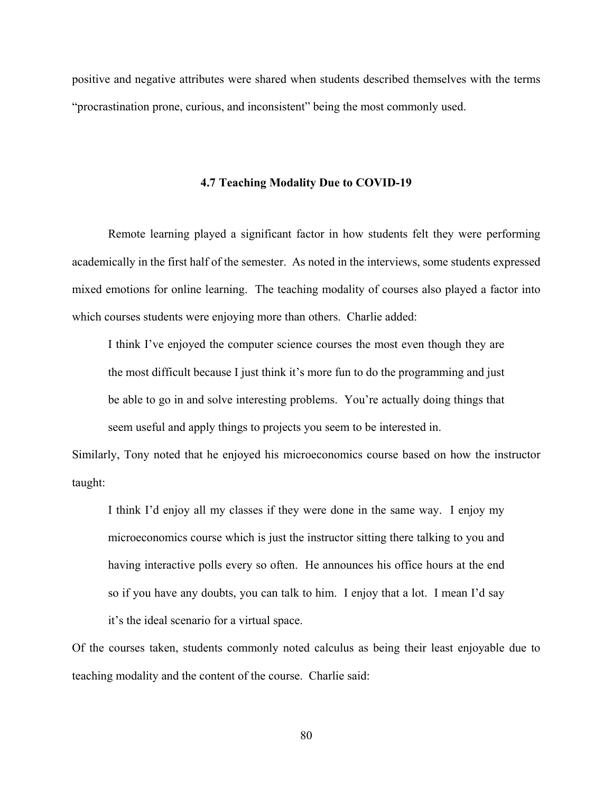positive and negative attributes were shared when students described themselves with the terms "procrastination prone, curious, and inconsistent" being the most commonly used.

## **4.7 Teaching Modality Due to COVID-19**

Remote learning played a significant factor in how students felt they were performing academically in the first half of the semester. As noted in the interviews, some students expressed mixed emotions for online learning. The teaching modality of courses also played a factor into which courses students were enjoying more than others. Charlie added:

I think I've enjoyed the computer science courses the most even though they are the most difficult because I just think it's more fun to do the programming and just be able to go in and solve interesting problems. You're actually doing things that seem useful and apply things to projects you seem to be interested in.

Similarly, Tony noted that he enjoyed his microeconomics course based on how the instructor taught:

I think I'd enjoy all my classes if they were done in the same way. I enjoy my microeconomics course which is just the instructor sitting there talking to you and having interactive polls every so often. He announces his office hours at the end so if you have any doubts, you can talk to him. I enjoy that a lot. I mean I'd say it's the ideal scenario for a virtual space.

Of the courses taken, students commonly noted calculus as being their least enjoyable due to teaching modality and the content of the course. Charlie said: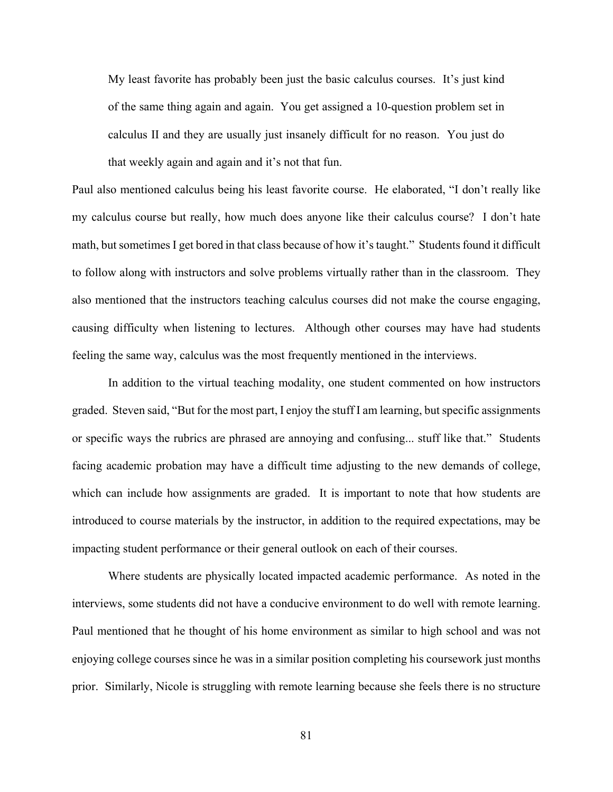My least favorite has probably been just the basic calculus courses. It's just kind of the same thing again and again. You get assigned a 10-question problem set in calculus II and they are usually just insanely difficult for no reason. You just do that weekly again and again and it's not that fun.

Paul also mentioned calculus being his least favorite course. He elaborated, "I don't really like my calculus course but really, how much does anyone like their calculus course? I don't hate math, but sometimes I get bored in that class because of how it's taught." Students found it difficult to follow along with instructors and solve problems virtually rather than in the classroom. They also mentioned that the instructors teaching calculus courses did not make the course engaging, causing difficulty when listening to lectures. Although other courses may have had students feeling the same way, calculus was the most frequently mentioned in the interviews.

In addition to the virtual teaching modality, one student commented on how instructors graded. Steven said, "But for the most part, I enjoy the stuff I am learning, but specific assignments or specific ways the rubrics are phrased are annoying and confusing... stuff like that." Students facing academic probation may have a difficult time adjusting to the new demands of college, which can include how assignments are graded. It is important to note that how students are introduced to course materials by the instructor, in addition to the required expectations, may be impacting student performance or their general outlook on each of their courses.

Where students are physically located impacted academic performance. As noted in the interviews, some students did not have a conducive environment to do well with remote learning. Paul mentioned that he thought of his home environment as similar to high school and was not enjoying college courses since he was in a similar position completing his coursework just months prior. Similarly, Nicole is struggling with remote learning because she feels there is no structure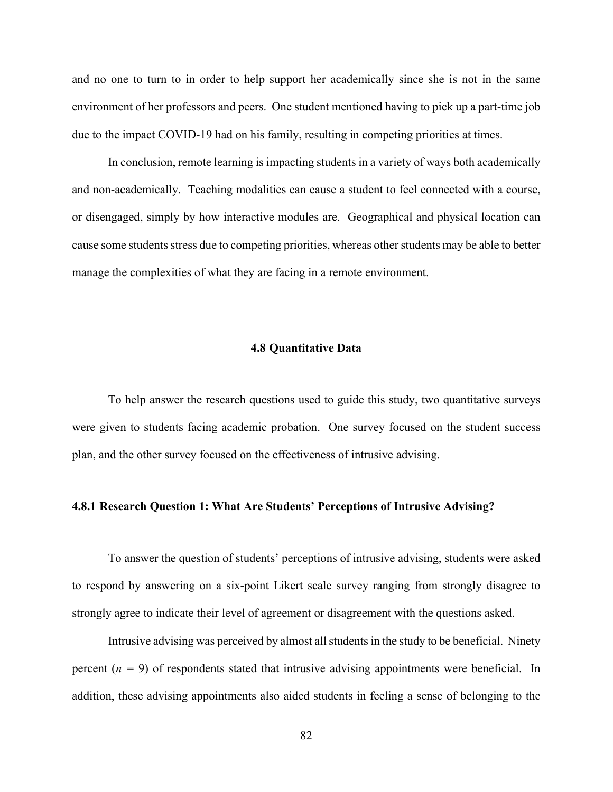and no one to turn to in order to help support her academically since she is not in the same environment of her professors and peers. One student mentioned having to pick up a part-time job due to the impact COVID-19 had on his family, resulting in competing priorities at times.

In conclusion, remote learning is impacting students in a variety of ways both academically and non-academically. Teaching modalities can cause a student to feel connected with a course, or disengaged, simply by how interactive modules are. Geographical and physical location can cause some students stress due to competing priorities, whereas other students may be able to better manage the complexities of what they are facing in a remote environment.

### **4.8 Quantitative Data**

To help answer the research questions used to guide this study, two quantitative surveys were given to students facing academic probation. One survey focused on the student success plan, and the other survey focused on the effectiveness of intrusive advising.

## **4.8.1 Research Question 1: What Are Students' Perceptions of Intrusive Advising?**

To answer the question of students' perceptions of intrusive advising, students were asked to respond by answering on a six-point Likert scale survey ranging from strongly disagree to strongly agree to indicate their level of agreement or disagreement with the questions asked.

Intrusive advising was perceived by almost all students in the study to be beneficial. Ninety percent  $(n = 9)$  of respondents stated that intrusive advising appointments were beneficial. In addition, these advising appointments also aided students in feeling a sense of belonging to the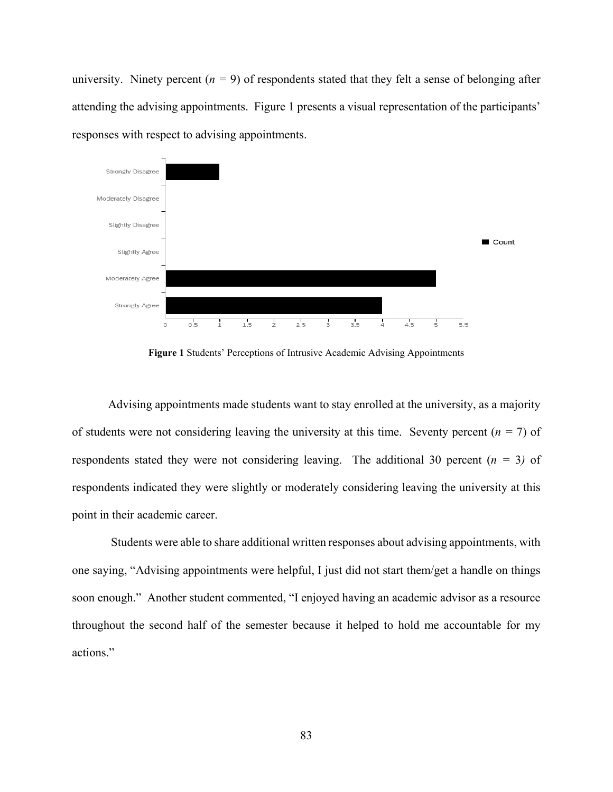university. Ninety percent  $(n = 9)$  of respondents stated that they felt a sense of belonging after attending the advising appointments. Figure 1 presents a visual representation of the participants' responses with respect to advising appointments.



**Figure 1** Students' Perceptions of Intrusive Academic Advising Appointments

Advising appointments made students want to stay enrolled at the university, as a majority of students were not considering leaving the university at this time. Seventy percent  $(n = 7)$  of respondents stated they were not considering leaving. The additional 30 percent  $(n = 3)$  of respondents indicated they were slightly or moderately considering leaving the university at this point in their academic career.

Students were able to share additional written responses about advising appointments, with one saying, "Advising appointments were helpful, I just did not start them/get a handle on things soon enough." Another student commented, "I enjoyed having an academic advisor as a resource throughout the second half of the semester because it helped to hold me accountable for my actions."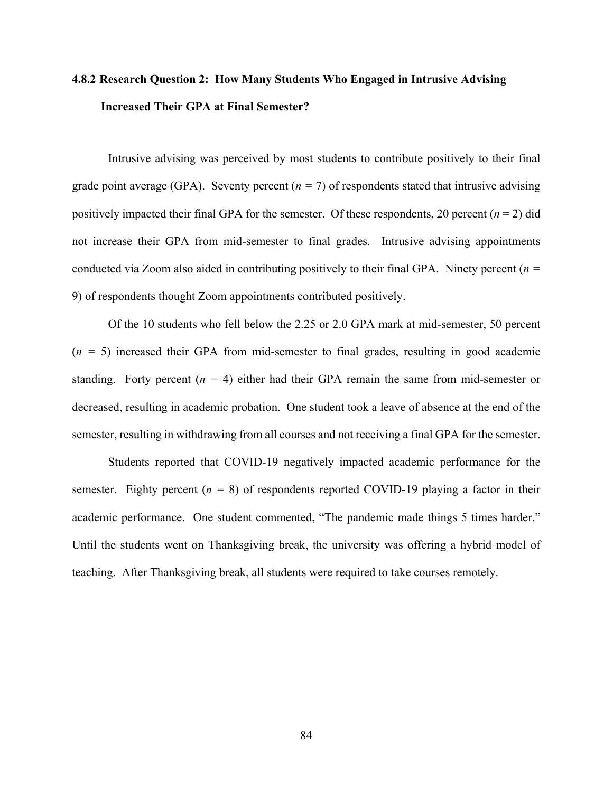# **4.8.2 Research Question 2: How Many Students Who Engaged in Intrusive Advising Increased Their GPA at Final Semester?**

Intrusive advising was perceived by most students to contribute positively to their final grade point average (GPA). Seventy percent  $(n = 7)$  of respondents stated that intrusive advising positively impacted their final GPA for the semester. Of these respondents, 20 percent  $(n = 2)$  did not increase their GPA from mid-semester to final grades. Intrusive advising appointments conducted via Zoom also aided in contributing positively to their final GPA. Ninety percent (*n =*  9) of respondents thought Zoom appointments contributed positively.

Of the 10 students who fell below the 2.25 or 2.0 GPA mark at mid-semester, 50 percent  $(n = 5)$  increased their GPA from mid-semester to final grades, resulting in good academic standing. Forty percent  $(n = 4)$  either had their GPA remain the same from mid-semester or decreased, resulting in academic probation. One student took a leave of absence at the end of the semester, resulting in withdrawing from all courses and not receiving a final GPA for the semester.

Students reported that COVID-19 negatively impacted academic performance for the semester. Eighty percent  $(n = 8)$  of respondents reported COVID-19 playing a factor in their academic performance. One student commented, "The pandemic made things 5 times harder." Until the students went on Thanksgiving break, the university was offering a hybrid model of teaching. After Thanksgiving break, all students were required to take courses remotely.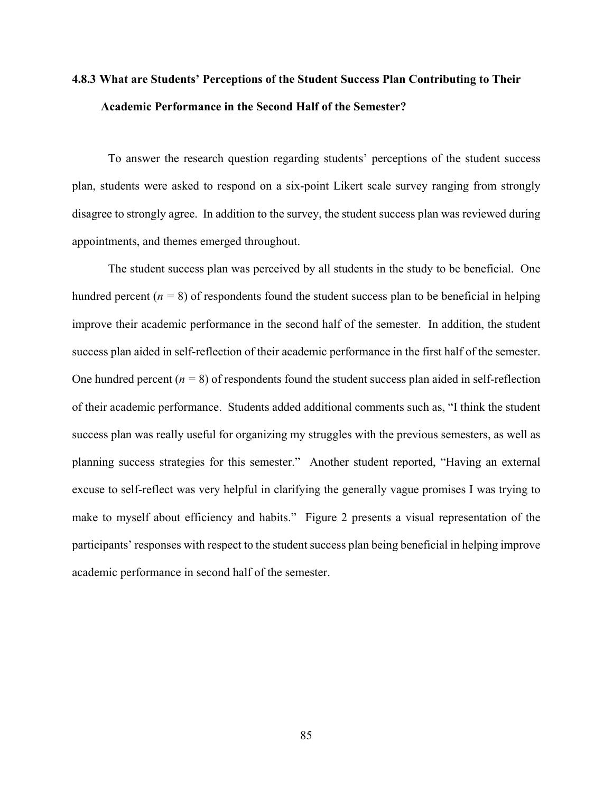# **4.8.3 What are Students' Perceptions of the Student Success Plan Contributing to Their Academic Performance in the Second Half of the Semester?**

To answer the research question regarding students' perceptions of the student success plan, students were asked to respond on a six-point Likert scale survey ranging from strongly disagree to strongly agree. In addition to the survey, the student success plan was reviewed during appointments, and themes emerged throughout.

The student success plan was perceived by all students in the study to be beneficial. One hundred percent  $(n = 8)$  of respondents found the student success plan to be beneficial in helping improve their academic performance in the second half of the semester. In addition, the student success plan aided in self-reflection of their academic performance in the first half of the semester. One hundred percent  $(n = 8)$  of respondents found the student success plan aided in self-reflection of their academic performance. Students added additional comments such as, "I think the student success plan was really useful for organizing my struggles with the previous semesters, as well as planning success strategies for this semester." Another student reported, "Having an external excuse to self-reflect was very helpful in clarifying the generally vague promises I was trying to make to myself about efficiency and habits." Figure 2 presents a visual representation of the participants' responses with respect to the student success plan being beneficial in helping improve academic performance in second half of the semester.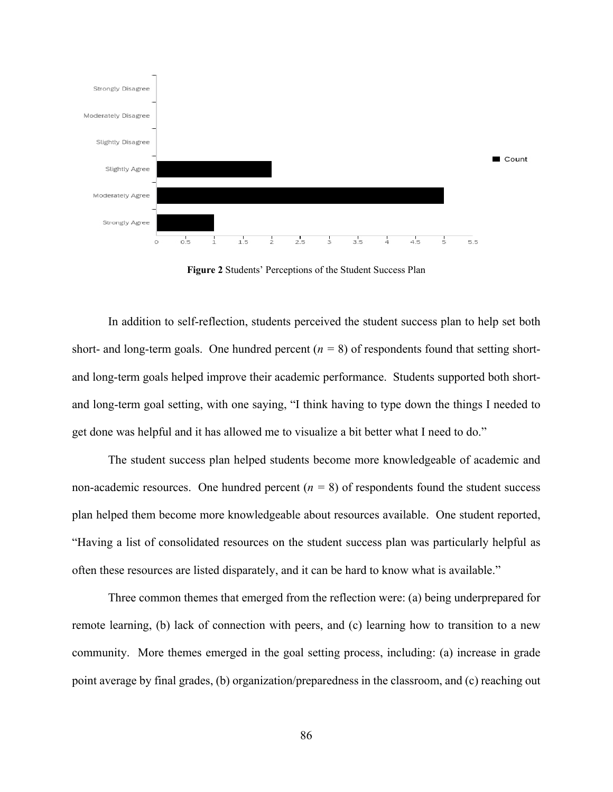

**Figure 2** Students' Perceptions of the Student Success Plan

In addition to self-reflection, students perceived the student success plan to help set both short- and long-term goals. One hundred percent  $(n = 8)$  of respondents found that setting shortand long-term goals helped improve their academic performance. Students supported both shortand long-term goal setting, with one saying, "I think having to type down the things I needed to get done was helpful and it has allowed me to visualize a bit better what I need to do."

The student success plan helped students become more knowledgeable of academic and non-academic resources. One hundred percent  $(n = 8)$  of respondents found the student success plan helped them become more knowledgeable about resources available. One student reported, "Having a list of consolidated resources on the student success plan was particularly helpful as often these resources are listed disparately, and it can be hard to know what is available."

Three common themes that emerged from the reflection were: (a) being underprepared for remote learning, (b) lack of connection with peers, and (c) learning how to transition to a new community. More themes emerged in the goal setting process, including: (a) increase in grade point average by final grades, (b) organization/preparedness in the classroom, and (c) reaching out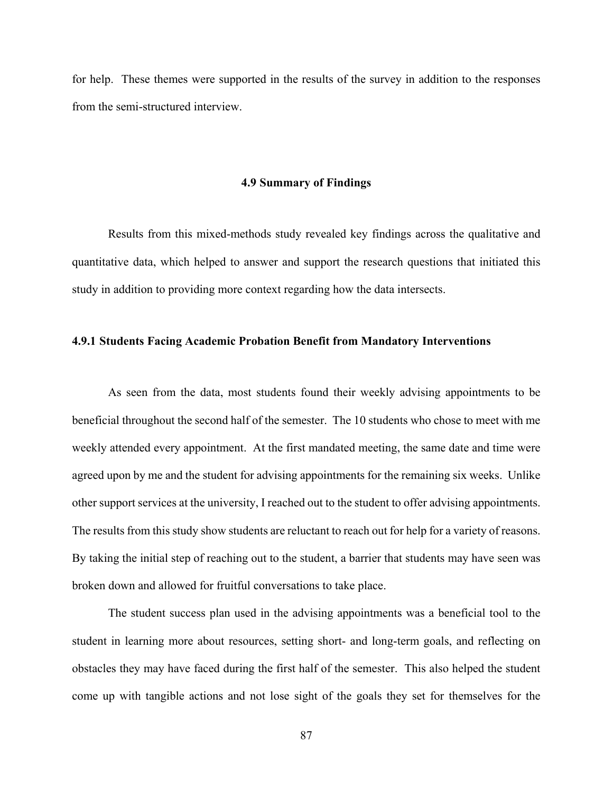for help. These themes were supported in the results of the survey in addition to the responses from the semi-structured interview.

### **4.9 Summary of Findings**

Results from this mixed-methods study revealed key findings across the qualitative and quantitative data, which helped to answer and support the research questions that initiated this study in addition to providing more context regarding how the data intersects.

## **4.9.1 Students Facing Academic Probation Benefit from Mandatory Interventions**

As seen from the data, most students found their weekly advising appointments to be beneficial throughout the second half of the semester. The 10 students who chose to meet with me weekly attended every appointment. At the first mandated meeting, the same date and time were agreed upon by me and the student for advising appointments for the remaining six weeks. Unlike other support services at the university, I reached out to the student to offer advising appointments. The results from this study show students are reluctant to reach out for help for a variety of reasons. By taking the initial step of reaching out to the student, a barrier that students may have seen was broken down and allowed for fruitful conversations to take place.

The student success plan used in the advising appointments was a beneficial tool to the student in learning more about resources, setting short- and long-term goals, and reflecting on obstacles they may have faced during the first half of the semester. This also helped the student come up with tangible actions and not lose sight of the goals they set for themselves for the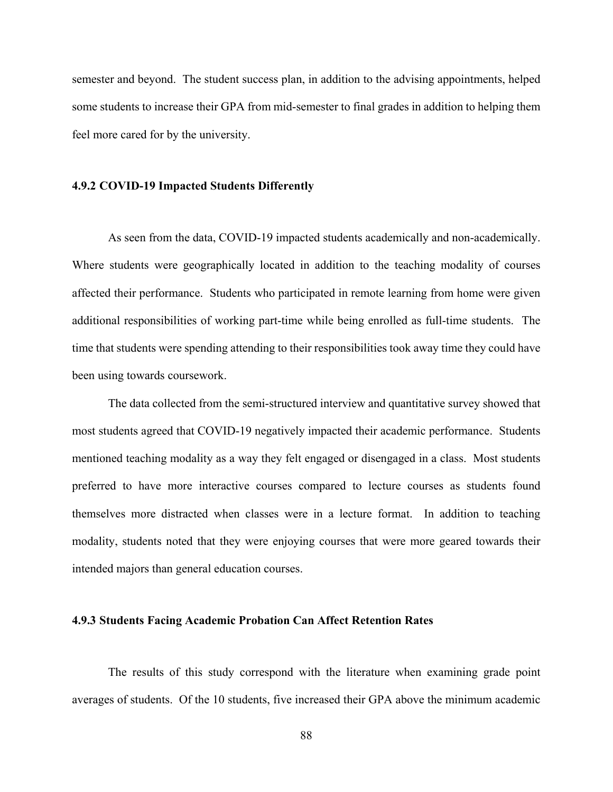semester and beyond. The student success plan, in addition to the advising appointments, helped some students to increase their GPA from mid-semester to final grades in addition to helping them feel more cared for by the university.

### **4.9.2 COVID-19 Impacted Students Differently**

As seen from the data, COVID-19 impacted students academically and non-academically. Where students were geographically located in addition to the teaching modality of courses affected their performance. Students who participated in remote learning from home were given additional responsibilities of working part-time while being enrolled as full-time students. The time that students were spending attending to their responsibilities took away time they could have been using towards coursework.

The data collected from the semi-structured interview and quantitative survey showed that most students agreed that COVID-19 negatively impacted their academic performance. Students mentioned teaching modality as a way they felt engaged or disengaged in a class. Most students preferred to have more interactive courses compared to lecture courses as students found themselves more distracted when classes were in a lecture format. In addition to teaching modality, students noted that they were enjoying courses that were more geared towards their intended majors than general education courses.

### **4.9.3 Students Facing Academic Probation Can Affect Retention Rates**

The results of this study correspond with the literature when examining grade point averages of students. Of the 10 students, five increased their GPA above the minimum academic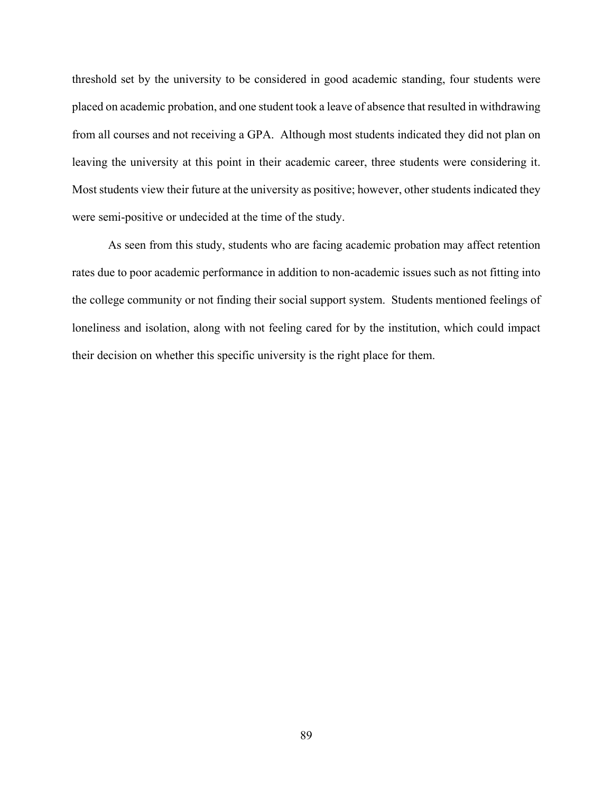threshold set by the university to be considered in good academic standing, four students were placed on academic probation, and one student took a leave of absence that resulted in withdrawing from all courses and not receiving a GPA. Although most students indicated they did not plan on leaving the university at this point in their academic career, three students were considering it. Most students view their future at the university as positive; however, other students indicated they were semi-positive or undecided at the time of the study.

As seen from this study, students who are facing academic probation may affect retention rates due to poor academic performance in addition to non-academic issues such as not fitting into the college community or not finding their social support system. Students mentioned feelings of loneliness and isolation, along with not feeling cared for by the institution, which could impact their decision on whether this specific university is the right place for them.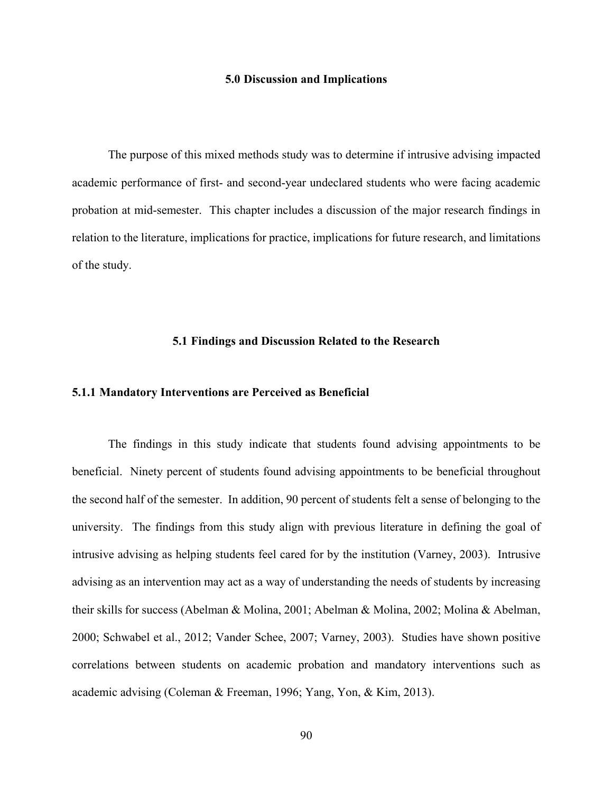## **5.0 Discussion and Implications**

The purpose of this mixed methods study was to determine if intrusive advising impacted academic performance of first- and second-year undeclared students who were facing academic probation at mid-semester. This chapter includes a discussion of the major research findings in relation to the literature, implications for practice, implications for future research, and limitations of the study.

## **5.1 Findings and Discussion Related to the Research**

## **5.1.1 Mandatory Interventions are Perceived as Beneficial**

The findings in this study indicate that students found advising appointments to be beneficial. Ninety percent of students found advising appointments to be beneficial throughout the second half of the semester. In addition, 90 percent of students felt a sense of belonging to the university. The findings from this study align with previous literature in defining the goal of intrusive advising as helping students feel cared for by the institution (Varney, 2003). Intrusive advising as an intervention may act as a way of understanding the needs of students by increasing their skills for success (Abelman & Molina, 2001; Abelman & Molina, 2002; Molina & Abelman, 2000; Schwabel et al., 2012; Vander Schee, 2007; Varney, 2003). Studies have shown positive correlations between students on academic probation and mandatory interventions such as academic advising (Coleman & Freeman, 1996; Yang, Yon, & Kim, 2013).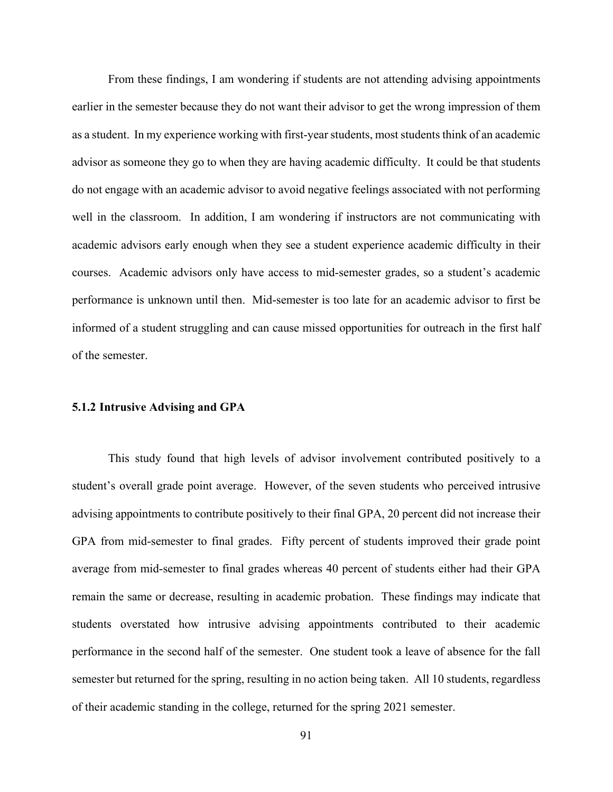From these findings, I am wondering if students are not attending advising appointments earlier in the semester because they do not want their advisor to get the wrong impression of them as a student. In my experience working with first-year students, most students think of an academic advisor as someone they go to when they are having academic difficulty. It could be that students do not engage with an academic advisor to avoid negative feelings associated with not performing well in the classroom. In addition, I am wondering if instructors are not communicating with academic advisors early enough when they see a student experience academic difficulty in their courses. Academic advisors only have access to mid-semester grades, so a student's academic performance is unknown until then. Mid-semester is too late for an academic advisor to first be informed of a student struggling and can cause missed opportunities for outreach in the first half of the semester.

## **5.1.2 Intrusive Advising and GPA**

This study found that high levels of advisor involvement contributed positively to a student's overall grade point average. However, of the seven students who perceived intrusive advising appointments to contribute positively to their final GPA, 20 percent did not increase their GPA from mid-semester to final grades. Fifty percent of students improved their grade point average from mid-semester to final grades whereas 40 percent of students either had their GPA remain the same or decrease, resulting in academic probation. These findings may indicate that students overstated how intrusive advising appointments contributed to their academic performance in the second half of the semester. One student took a leave of absence for the fall semester but returned for the spring, resulting in no action being taken. All 10 students, regardless of their academic standing in the college, returned for the spring 2021 semester.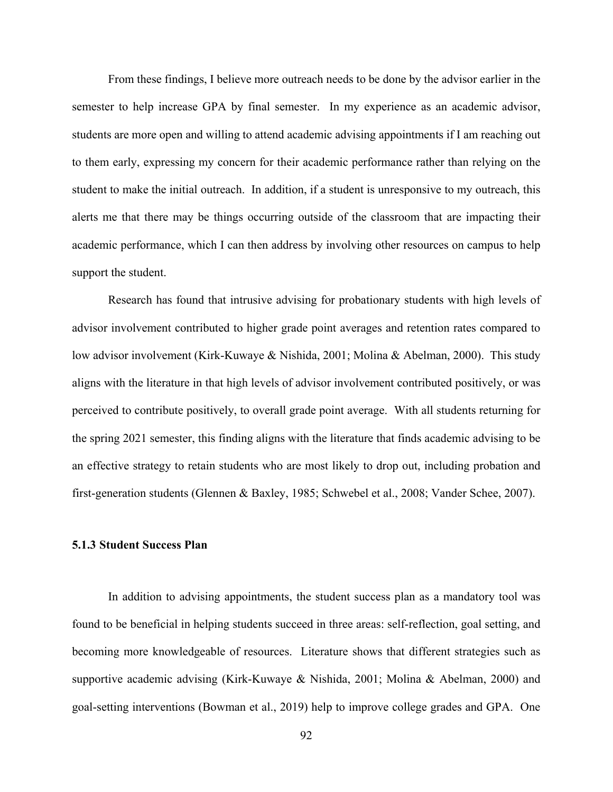From these findings, I believe more outreach needs to be done by the advisor earlier in the semester to help increase GPA by final semester. In my experience as an academic advisor, students are more open and willing to attend academic advising appointments if I am reaching out to them early, expressing my concern for their academic performance rather than relying on the student to make the initial outreach. In addition, if a student is unresponsive to my outreach, this alerts me that there may be things occurring outside of the classroom that are impacting their academic performance, which I can then address by involving other resources on campus to help support the student.

Research has found that intrusive advising for probationary students with high levels of advisor involvement contributed to higher grade point averages and retention rates compared to low advisor involvement (Kirk-Kuwaye & Nishida, 2001; Molina & Abelman, 2000). This study aligns with the literature in that high levels of advisor involvement contributed positively, or was perceived to contribute positively, to overall grade point average. With all students returning for the spring 2021 semester, this finding aligns with the literature that finds academic advising to be an effective strategy to retain students who are most likely to drop out, including probation and first-generation students (Glennen & Baxley, 1985; Schwebel et al., 2008; Vander Schee, 2007).

## **5.1.3 Student Success Plan**

In addition to advising appointments, the student success plan as a mandatory tool was found to be beneficial in helping students succeed in three areas: self-reflection, goal setting, and becoming more knowledgeable of resources. Literature shows that different strategies such as supportive academic advising (Kirk-Kuwaye & Nishida, 2001; Molina & Abelman, 2000) and goal-setting interventions (Bowman et al., 2019) help to improve college grades and GPA. One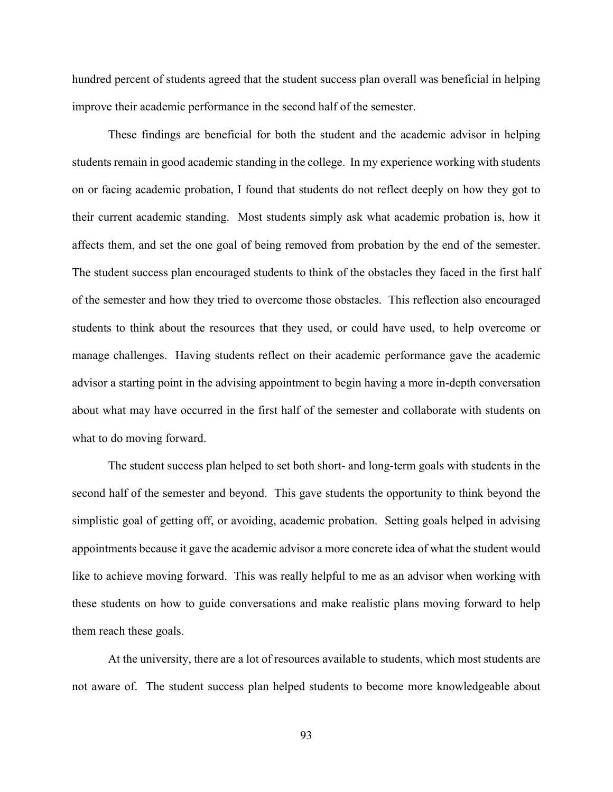hundred percent of students agreed that the student success plan overall was beneficial in helping improve their academic performance in the second half of the semester.

These findings are beneficial for both the student and the academic advisor in helping students remain in good academic standing in the college. In my experience working with students on or facing academic probation, I found that students do not reflect deeply on how they got to their current academic standing. Most students simply ask what academic probation is, how it affects them, and set the one goal of being removed from probation by the end of the semester. The student success plan encouraged students to think of the obstacles they faced in the first half of the semester and how they tried to overcome those obstacles. This reflection also encouraged students to think about the resources that they used, or could have used, to help overcome or manage challenges. Having students reflect on their academic performance gave the academic advisor a starting point in the advising appointment to begin having a more in-depth conversation about what may have occurred in the first half of the semester and collaborate with students on what to do moving forward.

The student success plan helped to set both short- and long-term goals with students in the second half of the semester and beyond. This gave students the opportunity to think beyond the simplistic goal of getting off, or avoiding, academic probation. Setting goals helped in advising appointments because it gave the academic advisor a more concrete idea of what the student would like to achieve moving forward. This was really helpful to me as an advisor when working with these students on how to guide conversations and make realistic plans moving forward to help them reach these goals.

At the university, there are a lot of resources available to students, which most students are not aware of. The student success plan helped students to become more knowledgeable about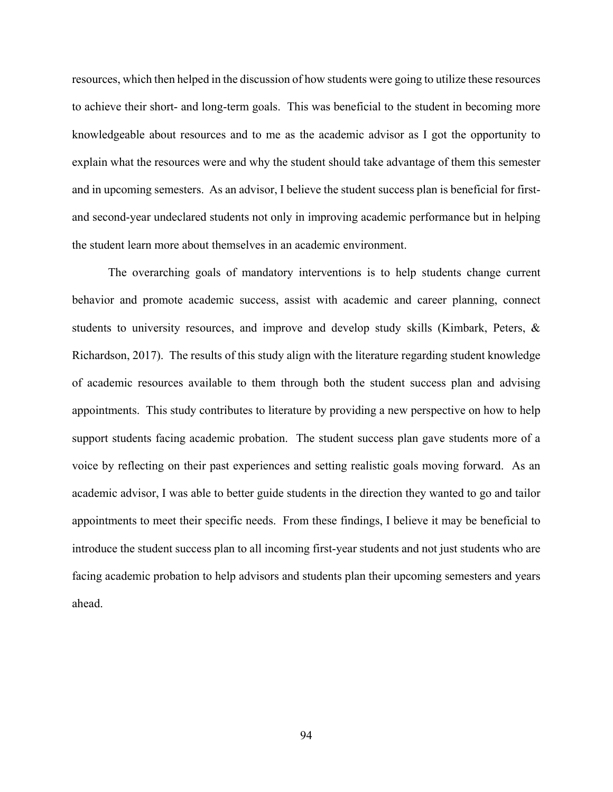resources, which then helped in the discussion of how students were going to utilize these resources to achieve their short- and long-term goals. This was beneficial to the student in becoming more knowledgeable about resources and to me as the academic advisor as I got the opportunity to explain what the resources were and why the student should take advantage of them this semester and in upcoming semesters. As an advisor, I believe the student success plan is beneficial for firstand second-year undeclared students not only in improving academic performance but in helping the student learn more about themselves in an academic environment.

The overarching goals of mandatory interventions is to help students change current behavior and promote academic success, assist with academic and career planning, connect students to university resources, and improve and develop study skills (Kimbark, Peters, & Richardson, 2017). The results of this study align with the literature regarding student knowledge of academic resources available to them through both the student success plan and advising appointments. This study contributes to literature by providing a new perspective on how to help support students facing academic probation. The student success plan gave students more of a voice by reflecting on their past experiences and setting realistic goals moving forward. As an academic advisor, I was able to better guide students in the direction they wanted to go and tailor appointments to meet their specific needs. From these findings, I believe it may be beneficial to introduce the student success plan to all incoming first-year students and not just students who are facing academic probation to help advisors and students plan their upcoming semesters and years ahead.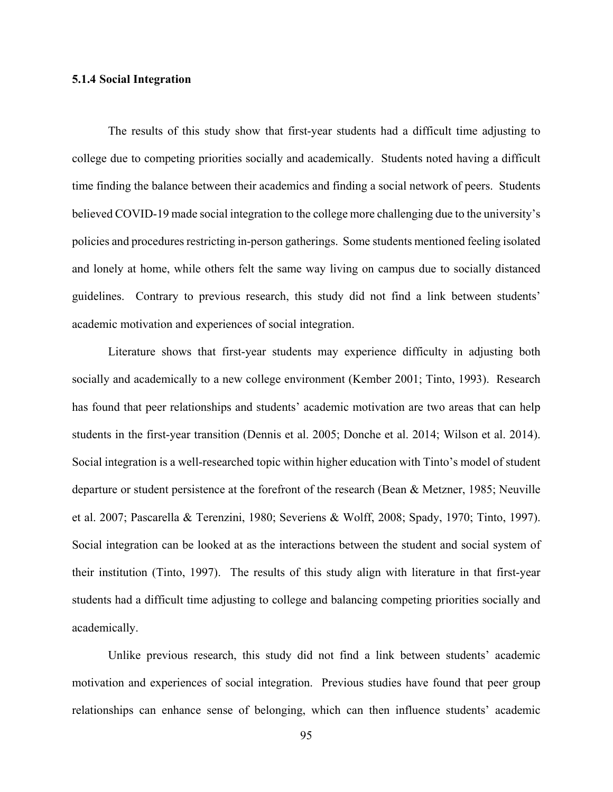## **5.1.4 Social Integration**

The results of this study show that first-year students had a difficult time adjusting to college due to competing priorities socially and academically. Students noted having a difficult time finding the balance between their academics and finding a social network of peers. Students believed COVID-19 made social integration to the college more challenging due to the university's policies and procedures restricting in-person gatherings. Some students mentioned feeling isolated and lonely at home, while others felt the same way living on campus due to socially distanced guidelines. Contrary to previous research, this study did not find a link between students' academic motivation and experiences of social integration.

Literature shows that first-year students may experience difficulty in adjusting both socially and academically to a new college environment (Kember 2001; Tinto, 1993). Research has found that peer relationships and students' academic motivation are two areas that can help students in the first-year transition (Dennis et al. 2005; Donche et al. 2014; Wilson et al. 2014). Social integration is a well-researched topic within higher education with Tinto's model of student departure or student persistence at the forefront of the research (Bean & Metzner, 1985; Neuville et al. 2007; Pascarella & Terenzini, 1980; Severiens & Wolff, 2008; Spady, 1970; Tinto, 1997). Social integration can be looked at as the interactions between the student and social system of their institution (Tinto, 1997). The results of this study align with literature in that first-year students had a difficult time adjusting to college and balancing competing priorities socially and academically.

Unlike previous research, this study did not find a link between students' academic motivation and experiences of social integration. Previous studies have found that peer group relationships can enhance sense of belonging, which can then influence students' academic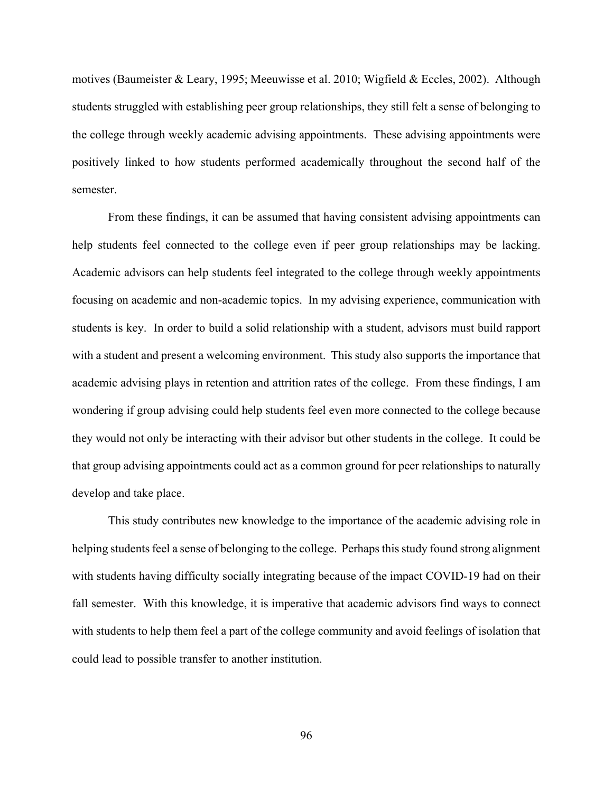motives (Baumeister & Leary, 1995; Meeuwisse et al. 2010; Wigfield & Eccles, 2002). Although students struggled with establishing peer group relationships, they still felt a sense of belonging to the college through weekly academic advising appointments. These advising appointments were positively linked to how students performed academically throughout the second half of the semester.

From these findings, it can be assumed that having consistent advising appointments can help students feel connected to the college even if peer group relationships may be lacking. Academic advisors can help students feel integrated to the college through weekly appointments focusing on academic and non-academic topics. In my advising experience, communication with students is key. In order to build a solid relationship with a student, advisors must build rapport with a student and present a welcoming environment. This study also supports the importance that academic advising plays in retention and attrition rates of the college. From these findings, I am wondering if group advising could help students feel even more connected to the college because they would not only be interacting with their advisor but other students in the college. It could be that group advising appointments could act as a common ground for peer relationships to naturally develop and take place.

This study contributes new knowledge to the importance of the academic advising role in helping students feel a sense of belonging to the college. Perhaps this study found strong alignment with students having difficulty socially integrating because of the impact COVID-19 had on their fall semester. With this knowledge, it is imperative that academic advisors find ways to connect with students to help them feel a part of the college community and avoid feelings of isolation that could lead to possible transfer to another institution.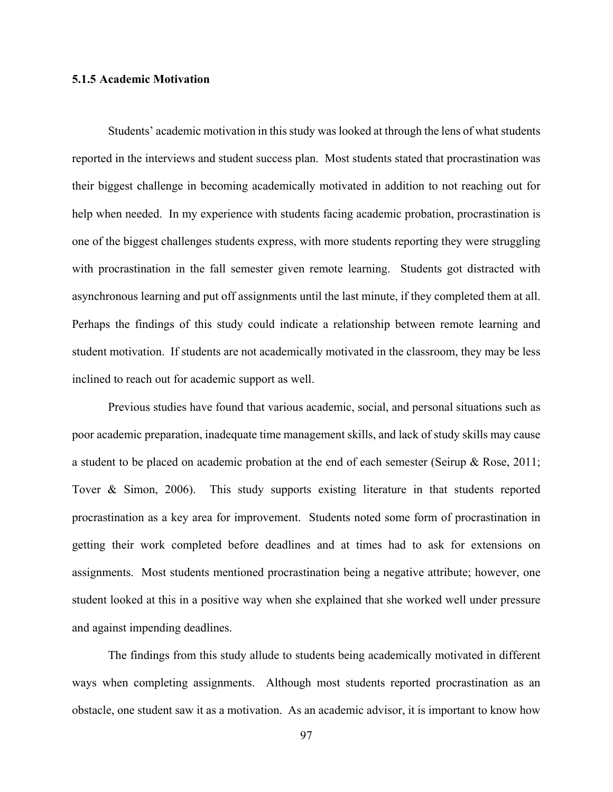## **5.1.5 Academic Motivation**

Students' academic motivation in this study was looked at through the lens of what students reported in the interviews and student success plan. Most students stated that procrastination was their biggest challenge in becoming academically motivated in addition to not reaching out for help when needed. In my experience with students facing academic probation, procrastination is one of the biggest challenges students express, with more students reporting they were struggling with procrastination in the fall semester given remote learning. Students got distracted with asynchronous learning and put off assignments until the last minute, if they completed them at all. Perhaps the findings of this study could indicate a relationship between remote learning and student motivation. If students are not academically motivated in the classroom, they may be less inclined to reach out for academic support as well.

Previous studies have found that various academic, social, and personal situations such as poor academic preparation, inadequate time management skills, and lack of study skills may cause a student to be placed on academic probation at the end of each semester (Seirup & Rose, 2011; Tover & Simon, 2006). This study supports existing literature in that students reported procrastination as a key area for improvement. Students noted some form of procrastination in getting their work completed before deadlines and at times had to ask for extensions on assignments. Most students mentioned procrastination being a negative attribute; however, one student looked at this in a positive way when she explained that she worked well under pressure and against impending deadlines.

The findings from this study allude to students being academically motivated in different ways when completing assignments. Although most students reported procrastination as an obstacle, one student saw it as a motivation. As an academic advisor, it is important to know how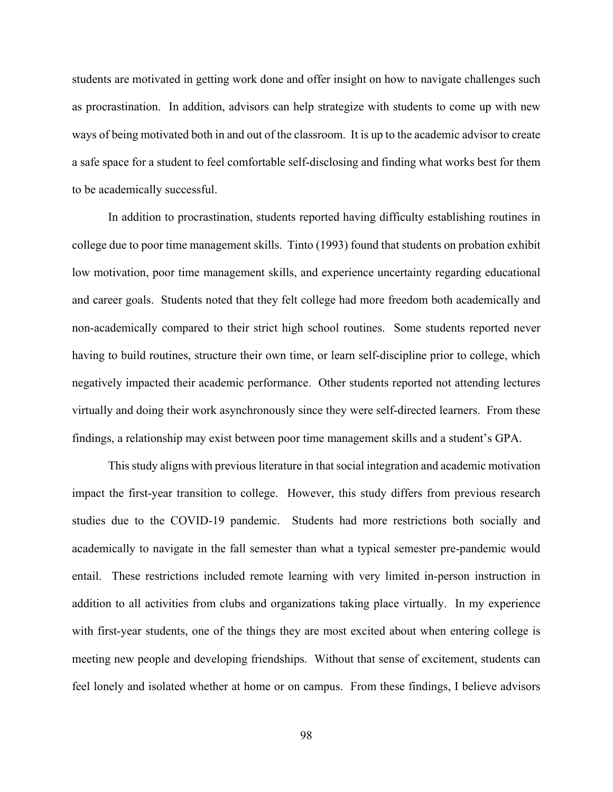students are motivated in getting work done and offer insight on how to navigate challenges such as procrastination. In addition, advisors can help strategize with students to come up with new ways of being motivated both in and out of the classroom. It is up to the academic advisor to create a safe space for a student to feel comfortable self-disclosing and finding what works best for them to be academically successful.

In addition to procrastination, students reported having difficulty establishing routines in college due to poor time management skills. Tinto (1993) found that students on probation exhibit low motivation, poor time management skills, and experience uncertainty regarding educational and career goals. Students noted that they felt college had more freedom both academically and non-academically compared to their strict high school routines. Some students reported never having to build routines, structure their own time, or learn self-discipline prior to college, which negatively impacted their academic performance. Other students reported not attending lectures virtually and doing their work asynchronously since they were self-directed learners. From these findings, a relationship may exist between poor time management skills and a student's GPA.

This study aligns with previous literature in that social integration and academic motivation impact the first-year transition to college. However, this study differs from previous research studies due to the COVID-19 pandemic. Students had more restrictions both socially and academically to navigate in the fall semester than what a typical semester pre-pandemic would entail. These restrictions included remote learning with very limited in-person instruction in addition to all activities from clubs and organizations taking place virtually. In my experience with first-year students, one of the things they are most excited about when entering college is meeting new people and developing friendships. Without that sense of excitement, students can feel lonely and isolated whether at home or on campus. From these findings, I believe advisors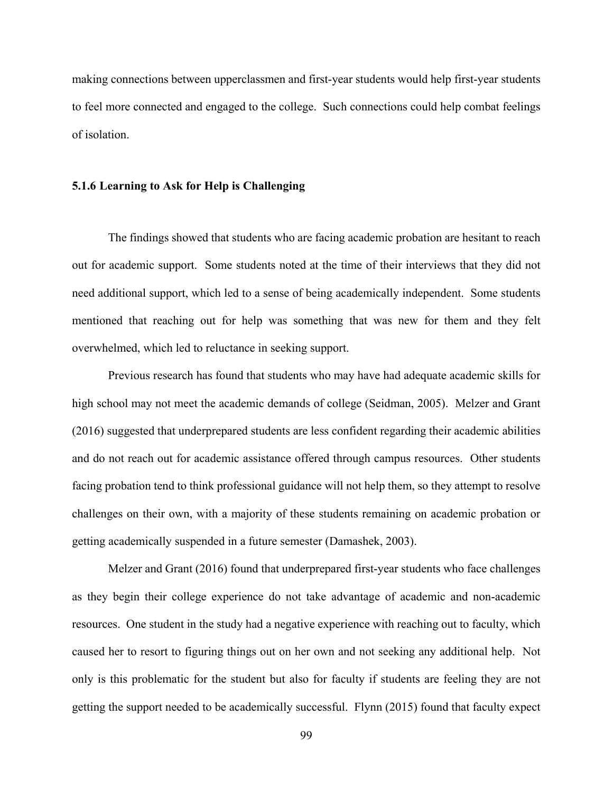making connections between upperclassmen and first-year students would help first-year students to feel more connected and engaged to the college. Such connections could help combat feelings of isolation.

### **5.1.6 Learning to Ask for Help is Challenging**

The findings showed that students who are facing academic probation are hesitant to reach out for academic support. Some students noted at the time of their interviews that they did not need additional support, which led to a sense of being academically independent. Some students mentioned that reaching out for help was something that was new for them and they felt overwhelmed, which led to reluctance in seeking support.

Previous research has found that students who may have had adequate academic skills for high school may not meet the academic demands of college (Seidman, 2005). Melzer and Grant (2016) suggested that underprepared students are less confident regarding their academic abilities and do not reach out for academic assistance offered through campus resources. Other students facing probation tend to think professional guidance will not help them, so they attempt to resolve challenges on their own, with a majority of these students remaining on academic probation or getting academically suspended in a future semester (Damashek, 2003).

Melzer and Grant (2016) found that underprepared first-year students who face challenges as they begin their college experience do not take advantage of academic and non-academic resources. One student in the study had a negative experience with reaching out to faculty, which caused her to resort to figuring things out on her own and not seeking any additional help. Not only is this problematic for the student but also for faculty if students are feeling they are not getting the support needed to be academically successful. Flynn (2015) found that faculty expect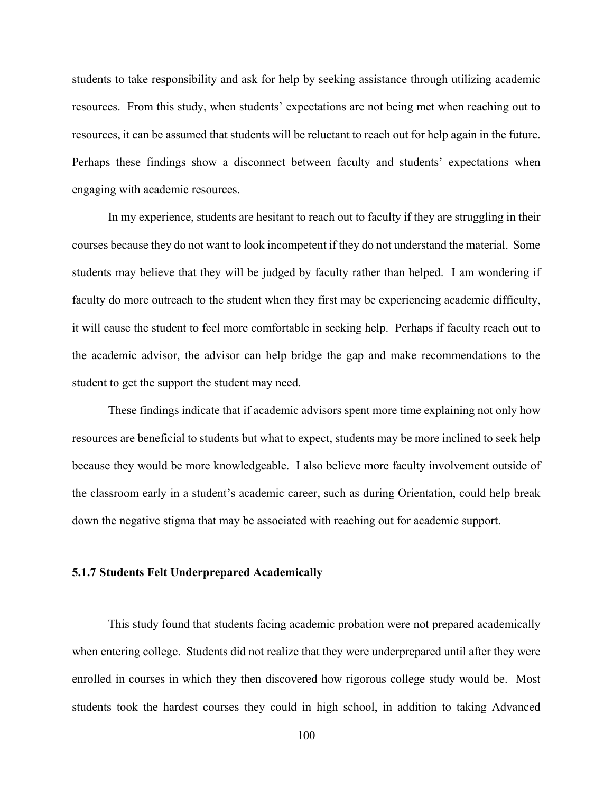students to take responsibility and ask for help by seeking assistance through utilizing academic resources. From this study, when students' expectations are not being met when reaching out to resources, it can be assumed that students will be reluctant to reach out for help again in the future. Perhaps these findings show a disconnect between faculty and students' expectations when engaging with academic resources.

In my experience, students are hesitant to reach out to faculty if they are struggling in their courses because they do not want to look incompetent if they do not understand the material. Some students may believe that they will be judged by faculty rather than helped. I am wondering if faculty do more outreach to the student when they first may be experiencing academic difficulty, it will cause the student to feel more comfortable in seeking help. Perhaps if faculty reach out to the academic advisor, the advisor can help bridge the gap and make recommendations to the student to get the support the student may need.

These findings indicate that if academic advisors spent more time explaining not only how resources are beneficial to students but what to expect, students may be more inclined to seek help because they would be more knowledgeable. I also believe more faculty involvement outside of the classroom early in a student's academic career, such as during Orientation, could help break down the negative stigma that may be associated with reaching out for academic support.

#### **5.1.7 Students Felt Underprepared Academically**

This study found that students facing academic probation were not prepared academically when entering college. Students did not realize that they were underprepared until after they were enrolled in courses in which they then discovered how rigorous college study would be. Most students took the hardest courses they could in high school, in addition to taking Advanced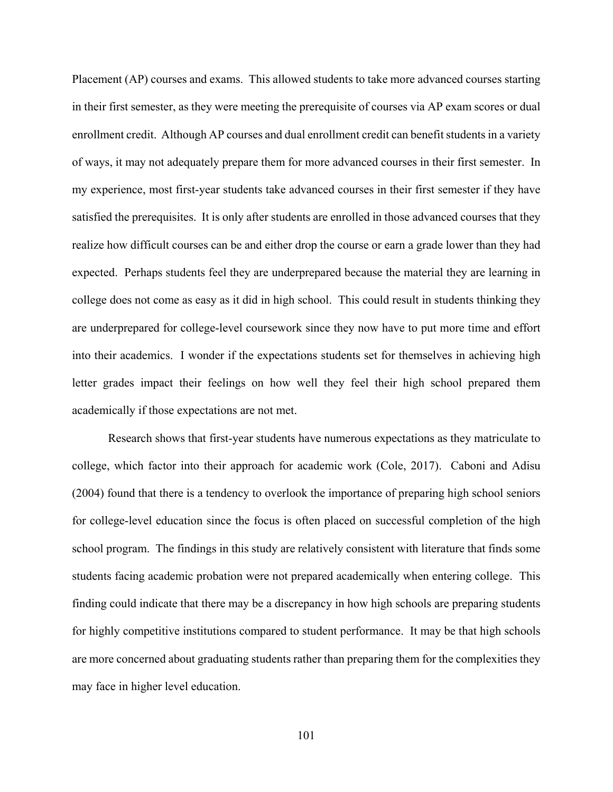Placement (AP) courses and exams. This allowed students to take more advanced courses starting in their first semester, as they were meeting the prerequisite of courses via AP exam scores or dual enrollment credit. Although AP courses and dual enrollment credit can benefit students in a variety of ways, it may not adequately prepare them for more advanced courses in their first semester. In my experience, most first-year students take advanced courses in their first semester if they have satisfied the prerequisites. It is only after students are enrolled in those advanced courses that they realize how difficult courses can be and either drop the course or earn a grade lower than they had expected. Perhaps students feel they are underprepared because the material they are learning in college does not come as easy as it did in high school. This could result in students thinking they are underprepared for college-level coursework since they now have to put more time and effort into their academics. I wonder if the expectations students set for themselves in achieving high letter grades impact their feelings on how well they feel their high school prepared them academically if those expectations are not met.

Research shows that first-year students have numerous expectations as they matriculate to college, which factor into their approach for academic work (Cole, 2017). Caboni and Adisu (2004) found that there is a tendency to overlook the importance of preparing high school seniors for college-level education since the focus is often placed on successful completion of the high school program. The findings in this study are relatively consistent with literature that finds some students facing academic probation were not prepared academically when entering college. This finding could indicate that there may be a discrepancy in how high schools are preparing students for highly competitive institutions compared to student performance. It may be that high schools are more concerned about graduating students rather than preparing them for the complexities they may face in higher level education.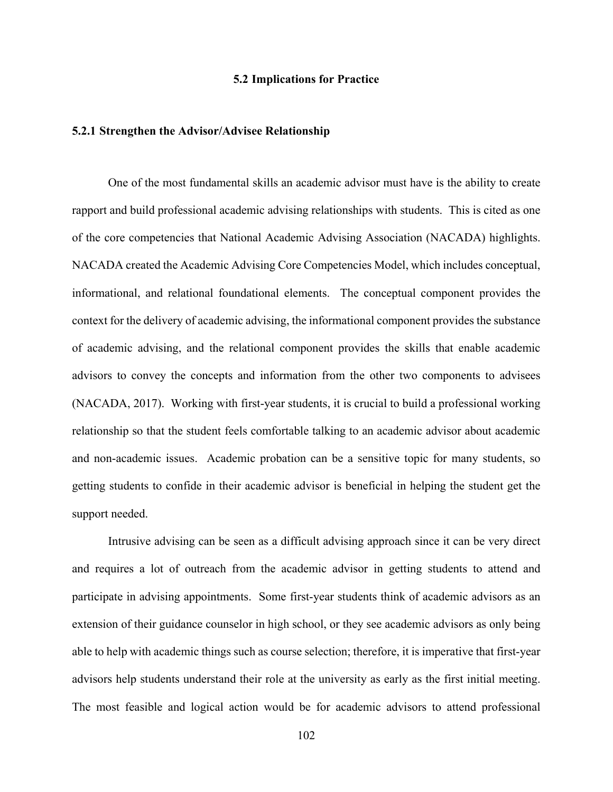#### **5.2 Implications for Practice**

#### **5.2.1 Strengthen the Advisor/Advisee Relationship**

One of the most fundamental skills an academic advisor must have is the ability to create rapport and build professional academic advising relationships with students.This is cited as one of the core competencies that National Academic Advising Association (NACADA) highlights. NACADA created the Academic Advising Core Competencies Model, which includes conceptual, informational, and relational foundational elements. The conceptual component provides the context for the delivery of academic advising, the informational component provides the substance of academic advising, and the relational component provides the skills that enable academic advisors to convey the concepts and information from the other two components to advisees (NACADA, 2017). Working with first-year students, it is crucial to build a professional working relationship so that the student feels comfortable talking to an academic advisor about academic and non-academic issues. Academic probation can be a sensitive topic for many students, so getting students to confide in their academic advisor is beneficial in helping the student get the support needed.

Intrusive advising can be seen as a difficult advising approach since it can be very direct and requires a lot of outreach from the academic advisor in getting students to attend and participate in advising appointments. Some first-year students think of academic advisors as an extension of their guidance counselor in high school, or they see academic advisors as only being able to help with academic things such as course selection; therefore, it is imperative that first-year advisors help students understand their role at the university as early as the first initial meeting. The most feasible and logical action would be for academic advisors to attend professional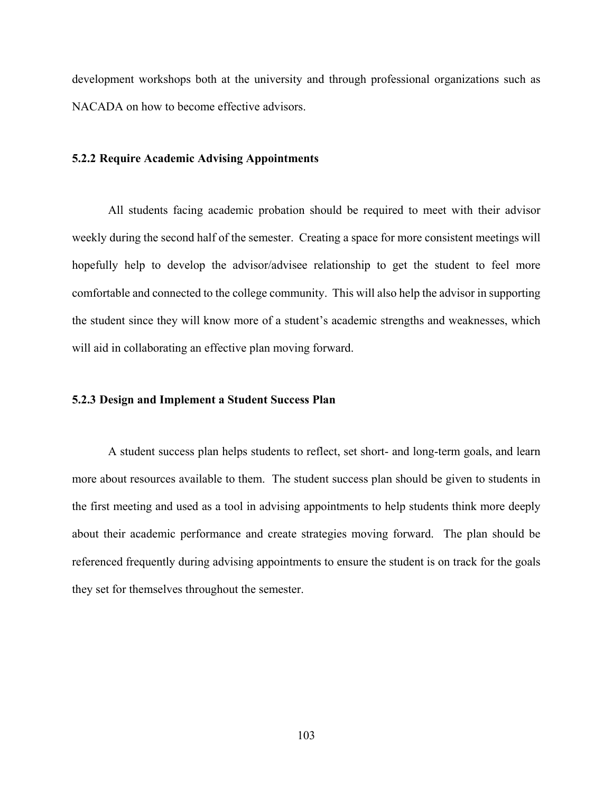development workshops both at the university and through professional organizations such as NACADA on how to become effective advisors.

### **5.2.2 Require Academic Advising Appointments**

All students facing academic probation should be required to meet with their advisor weekly during the second half of the semester. Creating a space for more consistent meetings will hopefully help to develop the advisor/advisee relationship to get the student to feel more comfortable and connected to the college community. This will also help the advisor in supporting the student since they will know more of a student's academic strengths and weaknesses, which will aid in collaborating an effective plan moving forward.

#### **5.2.3 Design and Implement a Student Success Plan**

A student success plan helps students to reflect, set short- and long-term goals, and learn more about resources available to them. The student success plan should be given to students in the first meeting and used as a tool in advising appointments to help students think more deeply about their academic performance and create strategies moving forward. The plan should be referenced frequently during advising appointments to ensure the student is on track for the goals they set for themselves throughout the semester.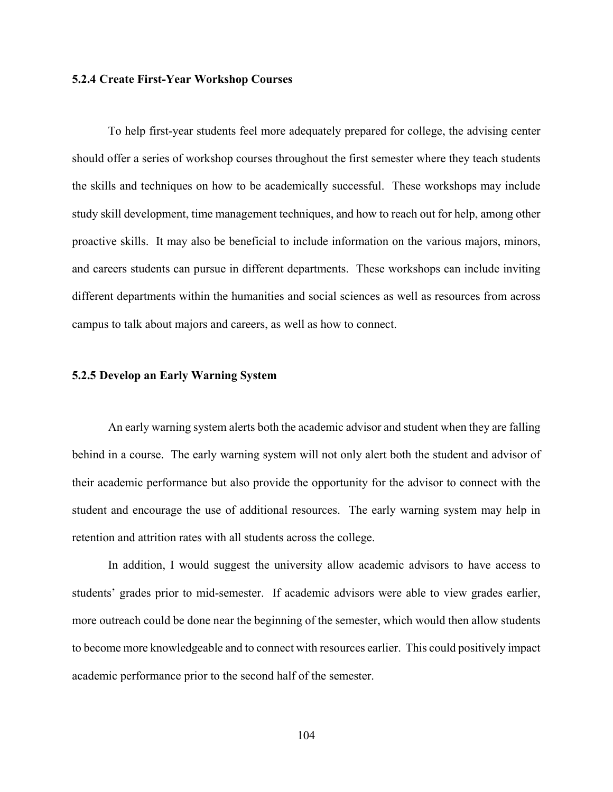#### **5.2.4 Create First-Year Workshop Courses**

To help first-year students feel more adequately prepared for college, the advising center should offer a series of workshop courses throughout the first semester where they teach students the skills and techniques on how to be academically successful. These workshops may include study skill development, time management techniques, and how to reach out for help, among other proactive skills. It may also be beneficial to include information on the various majors, minors, and careers students can pursue in different departments. These workshops can include inviting different departments within the humanities and social sciences as well as resources from across campus to talk about majors and careers, as well as how to connect.

#### **5.2.5 Develop an Early Warning System**

An early warning system alerts both the academic advisor and student when they are falling behind in a course. The early warning system will not only alert both the student and advisor of their academic performance but also provide the opportunity for the advisor to connect with the student and encourage the use of additional resources. The early warning system may help in retention and attrition rates with all students across the college.

In addition, I would suggest the university allow academic advisors to have access to students' grades prior to mid-semester. If academic advisors were able to view grades earlier, more outreach could be done near the beginning of the semester, which would then allow students to become more knowledgeable and to connect with resources earlier. This could positively impact academic performance prior to the second half of the semester.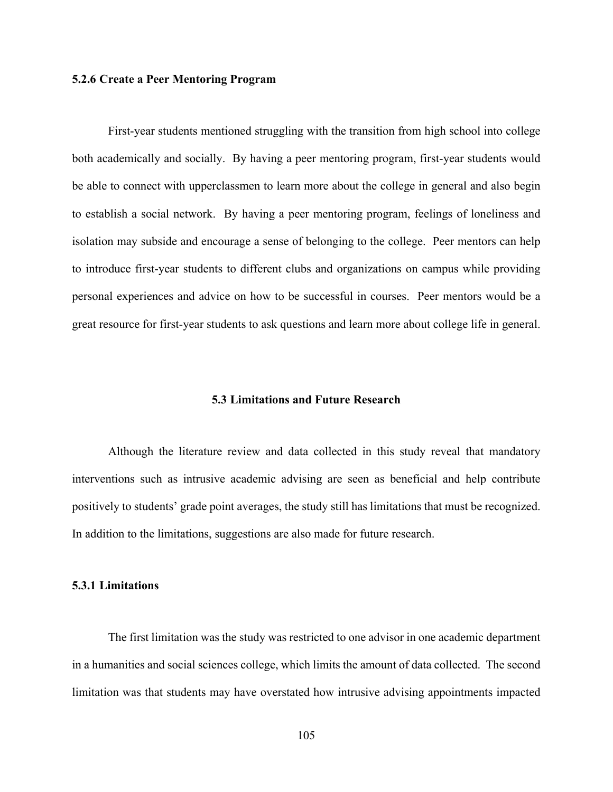#### **5.2.6 Create a Peer Mentoring Program**

First-year students mentioned struggling with the transition from high school into college both academically and socially. By having a peer mentoring program, first-year students would be able to connect with upperclassmen to learn more about the college in general and also begin to establish a social network. By having a peer mentoring program, feelings of loneliness and isolation may subside and encourage a sense of belonging to the college. Peer mentors can help to introduce first-year students to different clubs and organizations on campus while providing personal experiences and advice on how to be successful in courses. Peer mentors would be a great resource for first-year students to ask questions and learn more about college life in general.

#### **5.3 Limitations and Future Research**

Although the literature review and data collected in this study reveal that mandatory interventions such as intrusive academic advising are seen as beneficial and help contribute positively to students' grade point averages, the study still has limitations that must be recognized. In addition to the limitations, suggestions are also made for future research.

#### **5.3.1 Limitations**

The first limitation was the study was restricted to one advisor in one academic department in a humanities and social sciences college, which limits the amount of data collected. The second limitation was that students may have overstated how intrusive advising appointments impacted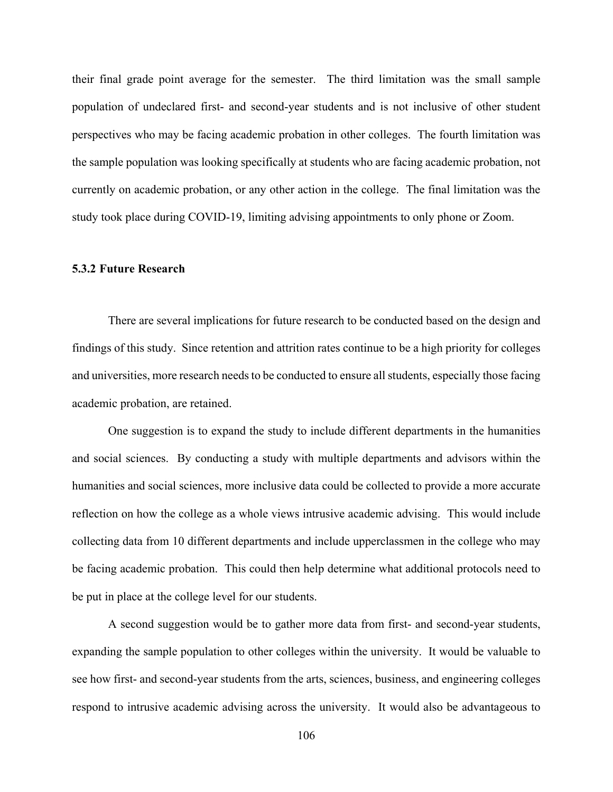their final grade point average for the semester. The third limitation was the small sample population of undeclared first- and second-year students and is not inclusive of other student perspectives who may be facing academic probation in other colleges. The fourth limitation was the sample population was looking specifically at students who are facing academic probation, not currently on academic probation, or any other action in the college. The final limitation was the study took place during COVID-19, limiting advising appointments to only phone or Zoom.

### **5.3.2 Future Research**

There are several implications for future research to be conducted based on the design and findings of this study. Since retention and attrition rates continue to be a high priority for colleges and universities, more research needs to be conducted to ensure all students, especially those facing academic probation, are retained.

One suggestion is to expand the study to include different departments in the humanities and social sciences. By conducting a study with multiple departments and advisors within the humanities and social sciences, more inclusive data could be collected to provide a more accurate reflection on how the college as a whole views intrusive academic advising. This would include collecting data from 10 different departments and include upperclassmen in the college who may be facing academic probation. This could then help determine what additional protocols need to be put in place at the college level for our students.

A second suggestion would be to gather more data from first- and second-year students, expanding the sample population to other colleges within the university. It would be valuable to see how first- and second-year students from the arts, sciences, business, and engineering colleges respond to intrusive academic advising across the university. It would also be advantageous to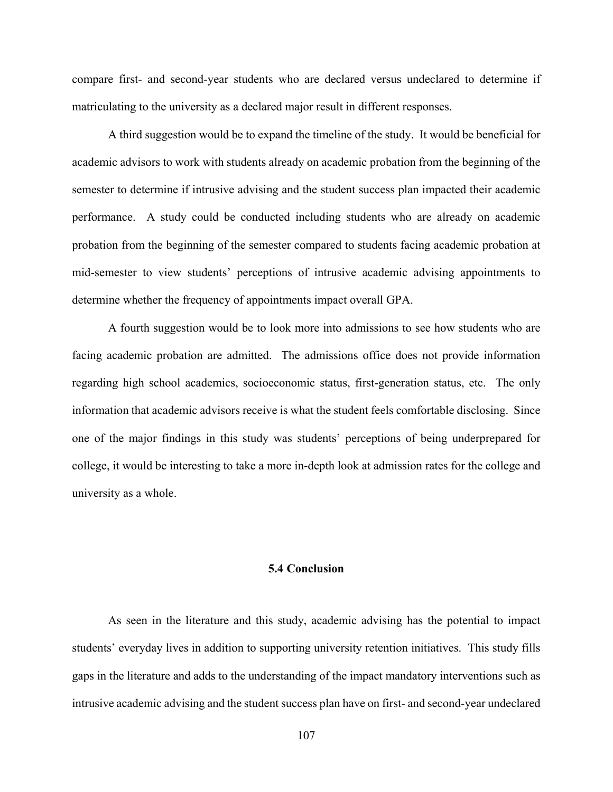compare first- and second-year students who are declared versus undeclared to determine if matriculating to the university as a declared major result in different responses.

A third suggestion would be to expand the timeline of the study. It would be beneficial for academic advisors to work with students already on academic probation from the beginning of the semester to determine if intrusive advising and the student success plan impacted their academic performance. A study could be conducted including students who are already on academic probation from the beginning of the semester compared to students facing academic probation at mid-semester to view students' perceptions of intrusive academic advising appointments to determine whether the frequency of appointments impact overall GPA.

A fourth suggestion would be to look more into admissions to see how students who are facing academic probation are admitted. The admissions office does not provide information regarding high school academics, socioeconomic status, first-generation status, etc. The only information that academic advisors receive is what the student feels comfortable disclosing. Since one of the major findings in this study was students' perceptions of being underprepared for college, it would be interesting to take a more in-depth look at admission rates for the college and university as a whole.

# **5.4 Conclusion**

As seen in the literature and this study, academic advising has the potential to impact students' everyday lives in addition to supporting university retention initiatives. This study fills gaps in the literature and adds to the understanding of the impact mandatory interventions such as intrusive academic advising and the student success plan have on first- and second-year undeclared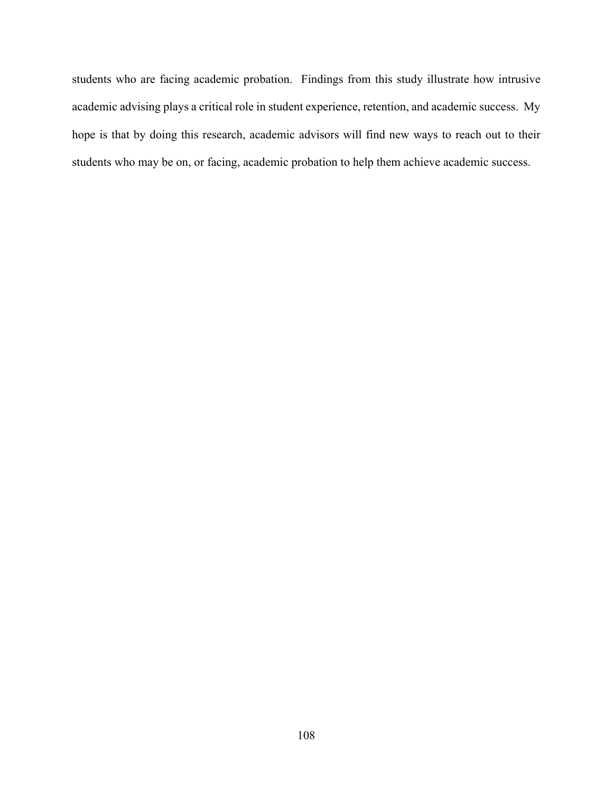students who are facing academic probation. Findings from this study illustrate how intrusive academic advising plays a critical role in student experience, retention, and academic success. My hope is that by doing this research, academic advisors will find new ways to reach out to their students who may be on, or facing, academic probation to help them achieve academic success.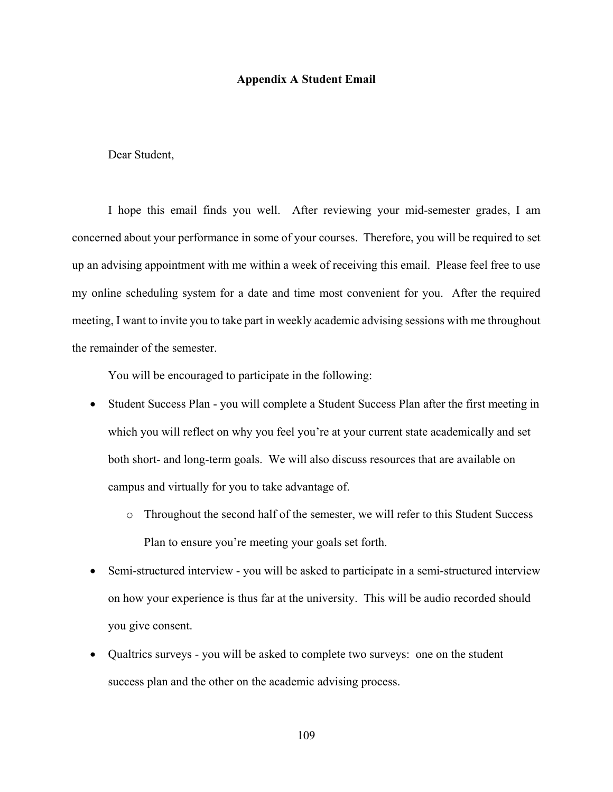#### **Appendix A Student Email**

# Dear Student,

I hope this email finds you well. After reviewing your mid-semester grades, I am concerned about your performance in some of your courses. Therefore, you will be required to set up an advising appointment with me within a week of receiving this email. Please feel free to use my online scheduling system for a date and time most convenient for you. After the required meeting, I want to invite you to take part in weekly academic advising sessions with me throughout the remainder of the semester.

You will be encouraged to participate in the following:

- Student Success Plan you will complete a Student Success Plan after the first meeting in which you will reflect on why you feel you're at your current state academically and set both short- and long-term goals. We will also discuss resources that are available on campus and virtually for you to take advantage of.
	- o Throughout the second half of the semester, we will refer to this Student Success Plan to ensure you're meeting your goals set forth.
- Semi-structured interview you will be asked to participate in a semi-structured interview on how your experience is thus far at the university. This will be audio recorded should you give consent.
- Qualtrics surveys you will be asked to complete two surveys: one on the student success plan and the other on the academic advising process.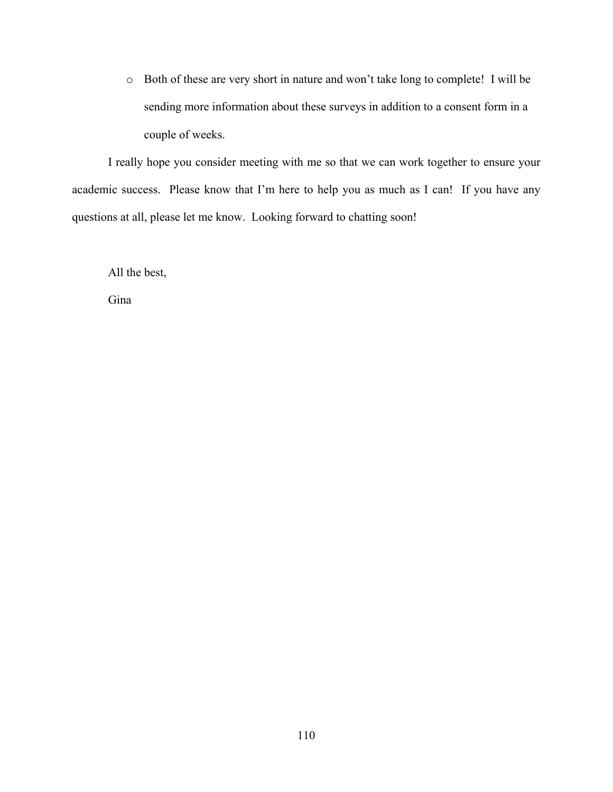o Both of these are very short in nature and won't take long to complete! I will be sending more information about these surveys in addition to a consent form in a couple of weeks.

I really hope you consider meeting with me so that we can work together to ensure your academic success. Please know that I'm here to help you as much as I can! If you have any questions at all, please let me know. Looking forward to chatting soon!

All the best,

Gina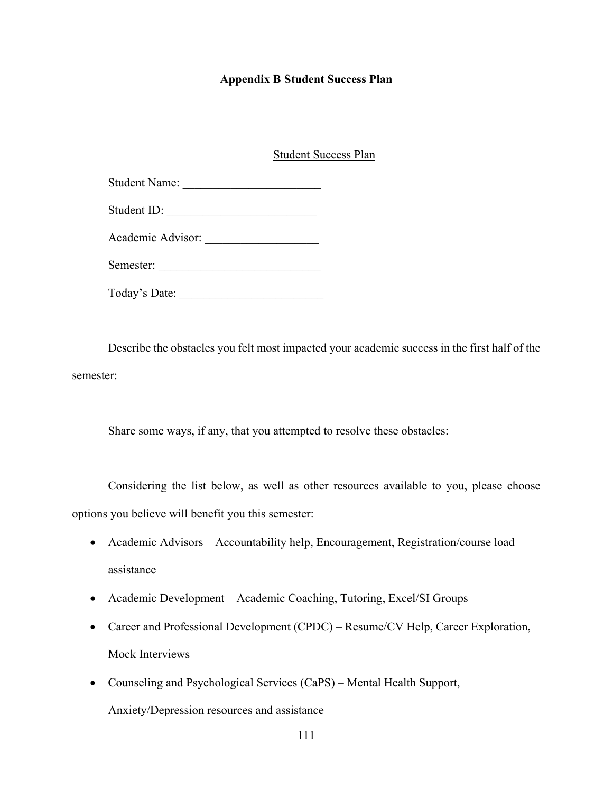### **Appendix B Student Success Plan**

### Student Success Plan

| <b>Student Name:</b> |  |
|----------------------|--|
|                      |  |

| Student ID: |  |
|-------------|--|
|             |  |

Academic Advisor:

Semester: \_\_\_\_\_\_\_\_\_\_\_\_\_\_\_\_\_\_\_\_\_\_\_\_\_\_\_

Today's Date:

Describe the obstacles you felt most impacted your academic success in the first half of the semester:

Share some ways, if any, that you attempted to resolve these obstacles:

Considering the list below, as well as other resources available to you, please choose options you believe will benefit you this semester:

- Academic Advisors Accountability help, Encouragement, Registration/course load assistance
- Academic Development Academic Coaching, Tutoring, Excel/SI Groups
- Career and Professional Development (CPDC) Resume/CV Help, Career Exploration, Mock Interviews
- Counseling and Psychological Services (CaPS) Mental Health Support, Anxiety/Depression resources and assistance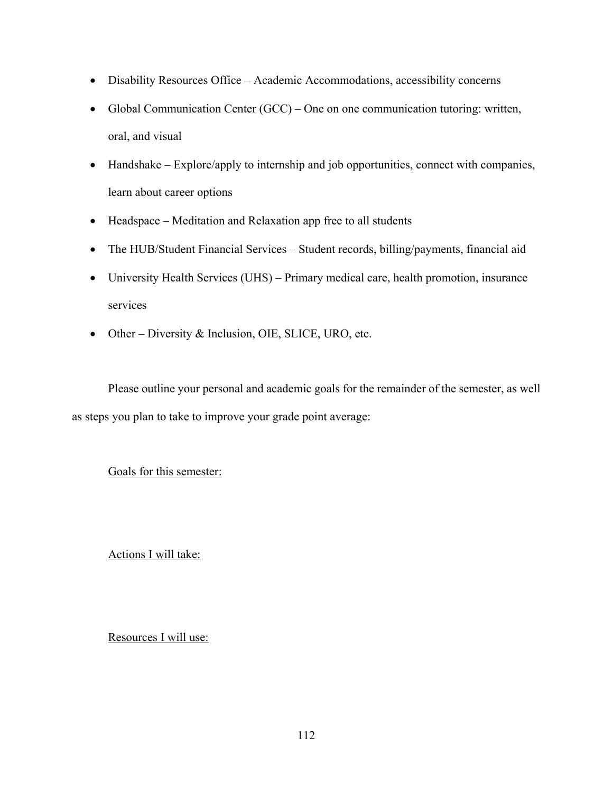- Disability Resources Office Academic Accommodations, accessibility concerns
- Global Communication Center (GCC) One on one communication tutoring: written, oral, and visual
- Handshake Explore/apply to internship and job opportunities, connect with companies, learn about career options
- Headspace Meditation and Relaxation app free to all students
- The HUB/Student Financial Services Student records, billing/payments, financial aid
- University Health Services (UHS) Primary medical care, health promotion, insurance services
- Other Diversity & Inclusion, OIE, SLICE, URO, etc.

Please outline your personal and academic goals for the remainder of the semester, as well as steps you plan to take to improve your grade point average:

Goals for this semester:

Actions I will take:

Resources I will use: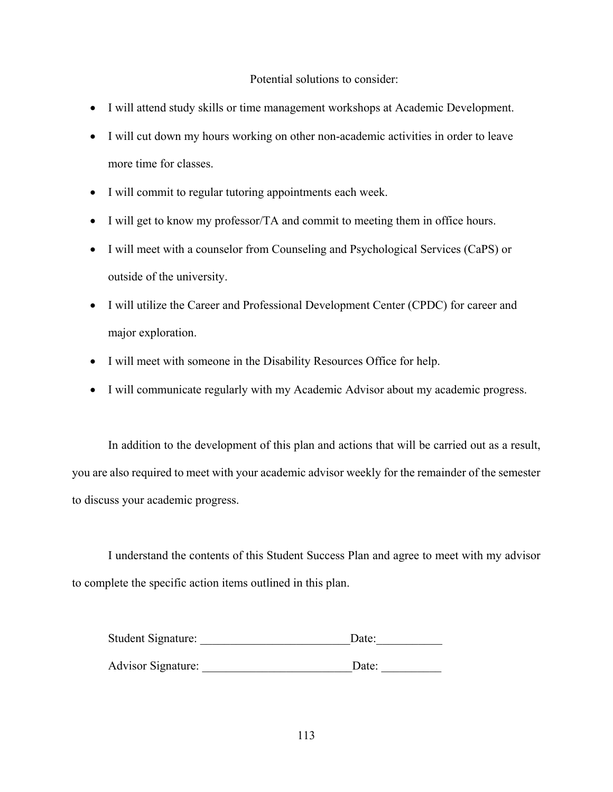# Potential solutions to consider:

- I will attend study skills or time management workshops at Academic Development.
- I will cut down my hours working on other non-academic activities in order to leave more time for classes.
- I will commit to regular tutoring appointments each week.
- I will get to know my professor/TA and commit to meeting them in office hours.
- I will meet with a counselor from Counseling and Psychological Services (CaPS) or outside of the university.
- I will utilize the Career and Professional Development Center (CPDC) for career and major exploration.
- I will meet with someone in the Disability Resources Office for help.
- I will communicate regularly with my Academic Advisor about my academic progress.

In addition to the development of this plan and actions that will be carried out as a result, you are also required to meet with your academic advisor weekly for the remainder of the semester to discuss your academic progress.

I understand the contents of this Student Success Plan and agree to meet with my advisor to complete the specific action items outlined in this plan.

| <b>Student Signature:</b> | Date: |  |  |
|---------------------------|-------|--|--|
|                           |       |  |  |
| <b>Advisor Signature:</b> | Date: |  |  |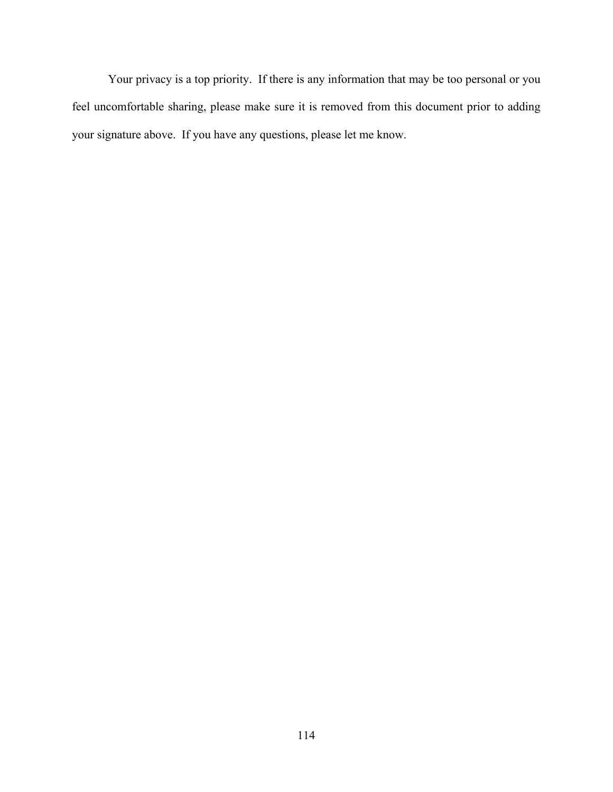Your privacy is a top priority. If there is any information that may be too personal or you feel uncomfortable sharing, please make sure it is removed from this document prior to adding your signature above. If you have any questions, please let me know.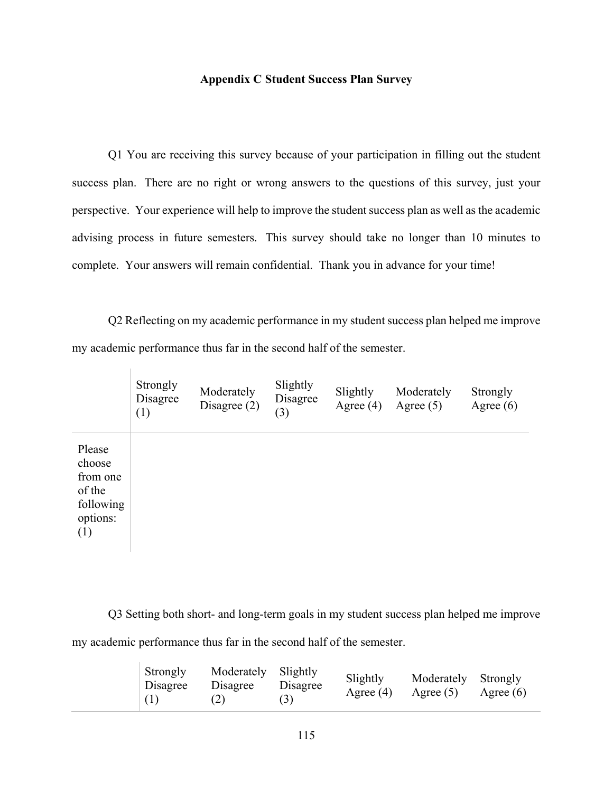# **Appendix C Student Success Plan Survey**

Q1 You are receiving this survey because of your participation in filling out the student success plan. There are no right or wrong answers to the questions of this survey, just your perspective. Your experience will help to improve the student success plan as well as the academic advising process in future semesters. This survey should take no longer than 10 minutes to complete. Your answers will remain confidential. Thank you in advance for your time!

Q2 Reflecting on my academic performance in my student success plan helped me improve my academic performance thus far in the second half of the semester.

|                                                                        | Strongly<br>Disagree<br>(1) | Moderately<br>Disagree $(2)$ | Slightly<br>Disagree<br>(3) | Slightly<br>Agree $(4)$ | Moderately<br>Agree $(5)$ | Strongly<br>Agree $(6)$ |
|------------------------------------------------------------------------|-----------------------------|------------------------------|-----------------------------|-------------------------|---------------------------|-------------------------|
| Please<br>choose<br>from one<br>of the<br>following<br>options:<br>(1) |                             |                              |                             |                         |                           |                         |

Q3 Setting both short- and long-term goals in my student success plan helped me improve my academic performance thus far in the second half of the semester.

|  | <b>Strongly</b><br>Disagree<br>(1) | Moderately Slightly<br>Disagree<br>(2) | Disagree<br>(3) | Slightly<br>Agree $(4)$ | Moderately Strongly<br>Agree $(5)$ | Agree $(6)$ |
|--|------------------------------------|----------------------------------------|-----------------|-------------------------|------------------------------------|-------------|
|--|------------------------------------|----------------------------------------|-----------------|-------------------------|------------------------------------|-------------|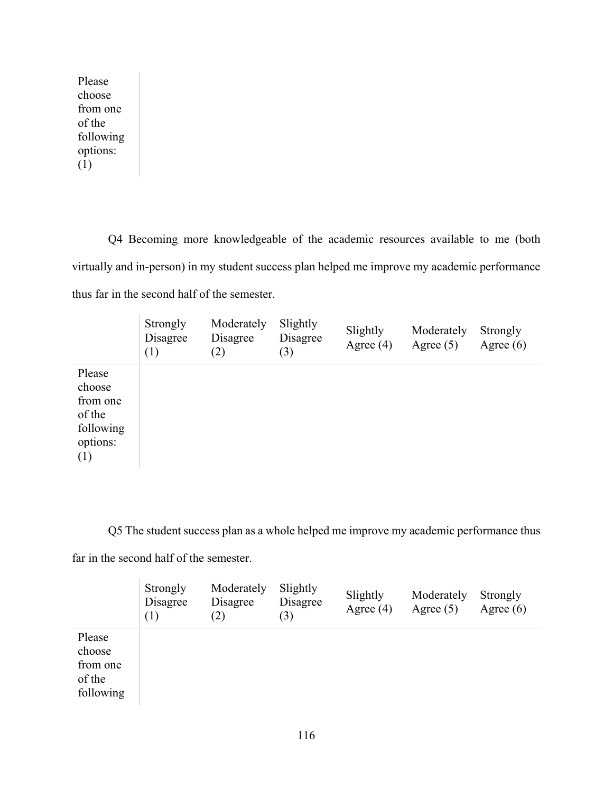Please choose from one of the following options: (1)

Q4 Becoming more knowledgeable of the academic resources available to me (both virtually and in-person) in my student success plan helped me improve my academic performance thus far in the second half of the semester.

|                                                                        | Strongly<br>Disagree<br>(1) | Moderately<br>Disagree<br>(2) | Slightly<br>Disagree<br>(3) | Slightly<br>Agree $(4)$ | Moderately<br>Agree $(5)$ | Strongly<br>Agree $(6)$ |
|------------------------------------------------------------------------|-----------------------------|-------------------------------|-----------------------------|-------------------------|---------------------------|-------------------------|
| Please<br>choose<br>from one<br>of the<br>following<br>options:<br>(1) |                             |                               |                             |                         |                           |                         |

Q5 The student success plan as a whole helped me improve my academic performance thus

far in the second half of the semester.

|                                                     | Strongly<br>Disagree<br>(1) | Moderately<br>Disagree<br>(2) | Slightly<br>Disagree<br>(3) | Slightly<br>Agree $(4)$ | Moderately<br>Agree $(5)$ | Strongly<br>Agree $(6)$ |
|-----------------------------------------------------|-----------------------------|-------------------------------|-----------------------------|-------------------------|---------------------------|-------------------------|
| Please<br>choose<br>from one<br>of the<br>following |                             |                               |                             |                         |                           |                         |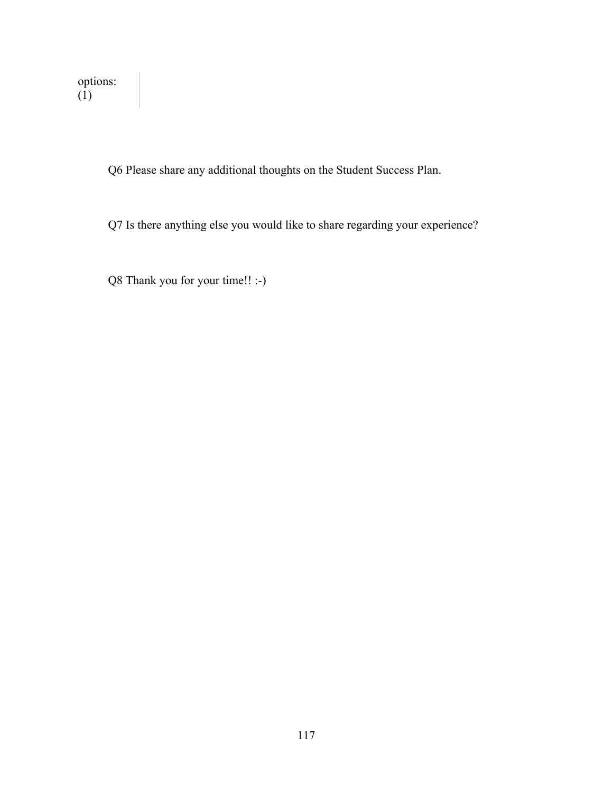Q6 Please share any additional thoughts on the Student Success Plan.

Q7 Is there anything else you would like to share regarding your experience?

Q8 Thank you for your time!! :-)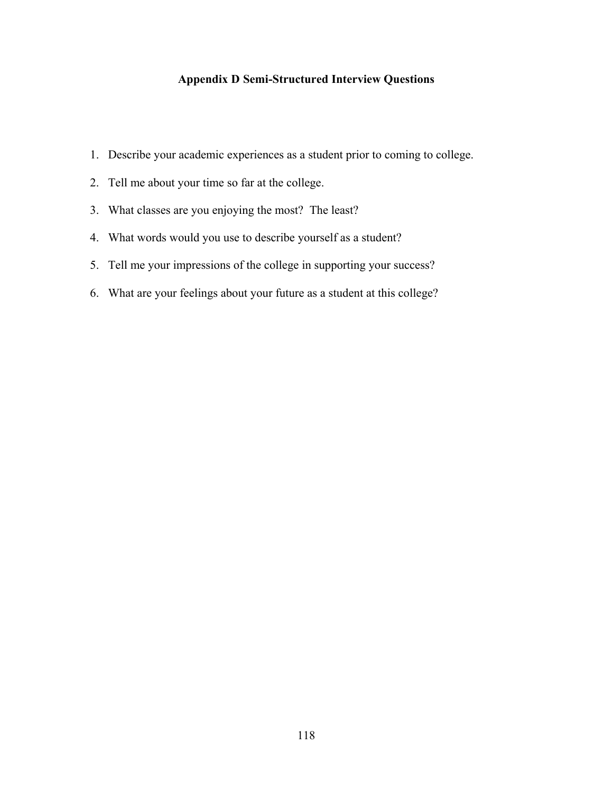# **Appendix D Semi-Structured Interview Questions**

- 1. Describe your academic experiences as a student prior to coming to college.
- 2. Tell me about your time so far at the college.
- 3. What classes are you enjoying the most? The least?
- 4. What words would you use to describe yourself as a student?
- 5. Tell me your impressions of the college in supporting your success?
- 6. What are your feelings about your future as a student at this college?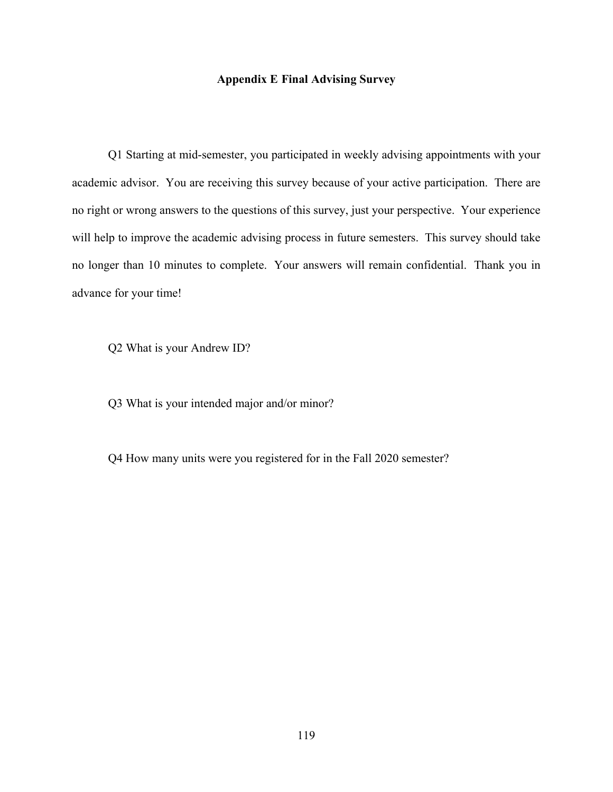### **Appendix E Final Advising Survey**

Q1 Starting at mid-semester, you participated in weekly advising appointments with your academic advisor. You are receiving this survey because of your active participation. There are no right or wrong answers to the questions of this survey, just your perspective. Your experience will help to improve the academic advising process in future semesters. This survey should take no longer than 10 minutes to complete. Your answers will remain confidential. Thank you in advance for your time!

Q2 What is your Andrew ID?

Q3 What is your intended major and/or minor?

Q4 How many units were you registered for in the Fall 2020 semester?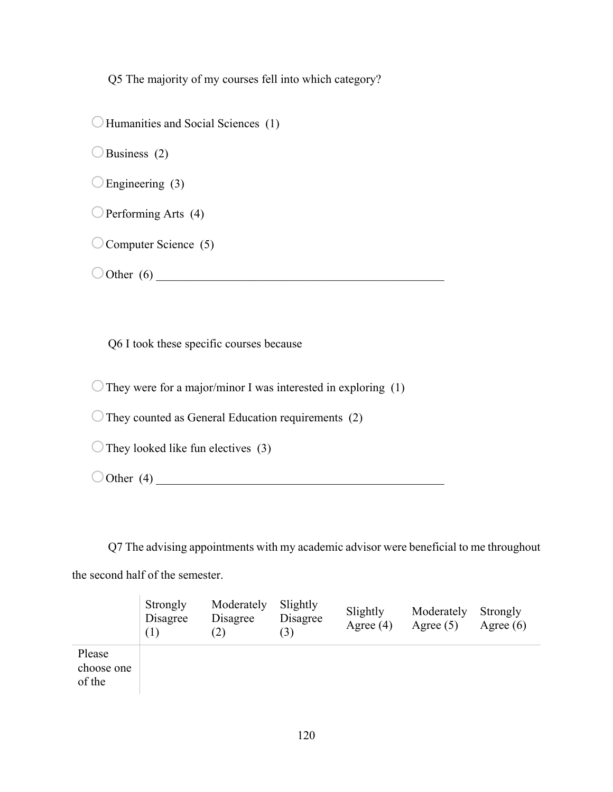Q5 The majority of my courses fell into which category?

 $\bigcirc$  Humanities and Social Sciences (1)

 $\bigcirc$ Business (2)

 $\bigcirc$  Engineering (3)

 $\bigcirc$  Performing Arts (4)

 $\bigcirc$  Computer Science (5)

 $\bigcirc$  Other (6)

Q6 I took these specific courses because

 $\bigcirc$  They were for a major/minor I was interested in exploring (1)

 $\bigcirc$  They counted as General Education requirements (2)

 $\bigcirc$  They looked like fun electives (3)

oOther (4) \_\_\_\_\_\_\_\_\_\_\_\_\_\_\_\_\_\_\_\_\_\_\_\_\_\_\_\_\_\_\_\_\_\_\_\_\_\_\_\_\_\_\_\_\_\_\_\_

Q7 The advising appointments with my academic advisor were beneficial to me throughout the second half of the semester.

|                                | Strongly<br>Disagree<br>(1) | Moderately<br>Disagree<br>$\mathcal{L}$ | Slightly<br>Disagree<br>(3) | Slightly<br>Agree $(4)$ | Moderately<br>Agree $(5)$ | Strongly<br>Agree $(6)$ |
|--------------------------------|-----------------------------|-----------------------------------------|-----------------------------|-------------------------|---------------------------|-------------------------|
| Please<br>choose one<br>of the |                             |                                         |                             |                         |                           |                         |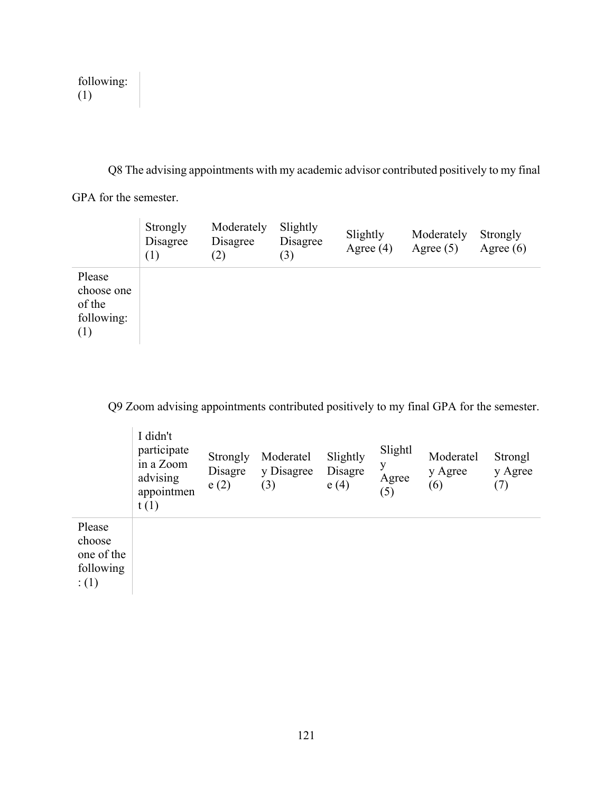| following: |  |
|------------|--|
| (1)        |  |

Q8 The advising appointments with my academic advisor contributed positively to my final GPA for the semester.

|                                                     | Strongly<br>Disagree<br>(1) | Moderately<br>Disagree<br>(2) | Slightly<br>Disagree<br>(3) | Slightly<br>Agree $(4)$ | Moderately<br>Agree $(5)$ | Strongly<br>Agree $(6)$ |
|-----------------------------------------------------|-----------------------------|-------------------------------|-----------------------------|-------------------------|---------------------------|-------------------------|
| Please<br>choose one<br>of the<br>following:<br>(1) |                             |                               |                             |                         |                           |                         |

Q9 Zoom advising appointments contributed positively to my final GPA for the semester.

|                                                      | I didn't<br>participate<br>in a Zoom<br>advising<br>appointmen<br>t(1) | Strongly<br>Disagre<br>e(2) | Moderatel<br>y Disagree<br>(3) | Slightly<br>Disagre<br>e(4) | Slightl<br>y<br>Agree<br>(5) | Moderatel<br>y Agree<br>(6) | Strongl<br>y Agree<br>(7) |
|------------------------------------------------------|------------------------------------------------------------------------|-----------------------------|--------------------------------|-----------------------------|------------------------------|-----------------------------|---------------------------|
| Please<br>choose<br>one of the<br>following<br>: (1) |                                                                        |                             |                                |                             |                              |                             |                           |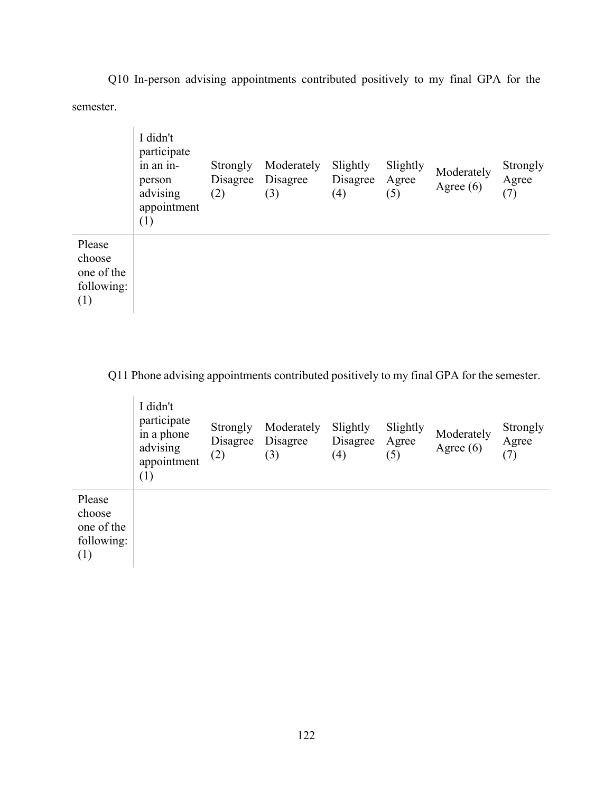Q10 In-person advising appointments contributed positively to my final GPA for the semester.

|                                                     | I didn't<br>participate<br>in an in-<br>person<br>advising<br>appointment<br>(1) | Strongly<br>Disagree<br>(2) | Moderately<br>Disagree<br>(3) | Slightly<br>Disagree<br>(4) | Slightly<br>Agree<br>(5) | Moderately<br>Agree $(6)$ | Strongly<br>Agree<br>(7) |
|-----------------------------------------------------|----------------------------------------------------------------------------------|-----------------------------|-------------------------------|-----------------------------|--------------------------|---------------------------|--------------------------|
| Please<br>choose<br>one of the<br>following:<br>(1) |                                                                                  |                             |                               |                             |                          |                           |                          |

Q11 Phone advising appointments contributed positively to my final GPA for the semester.

|                                                     | I didn't<br>participate<br>in a phone<br>advising<br>appointment<br>(1) | Strongly<br>Disagree<br>(2) | Moderately<br>Disagree<br>(3) | Slightly<br>Disagree<br>(4) | Slightly<br>Agree<br>(5) | Moderately<br>Agree $(6)$ | Strongly<br>Agree<br>(7) |
|-----------------------------------------------------|-------------------------------------------------------------------------|-----------------------------|-------------------------------|-----------------------------|--------------------------|---------------------------|--------------------------|
| Please<br>choose<br>one of the<br>following:<br>(1) |                                                                         |                             |                               |                             |                          |                           |                          |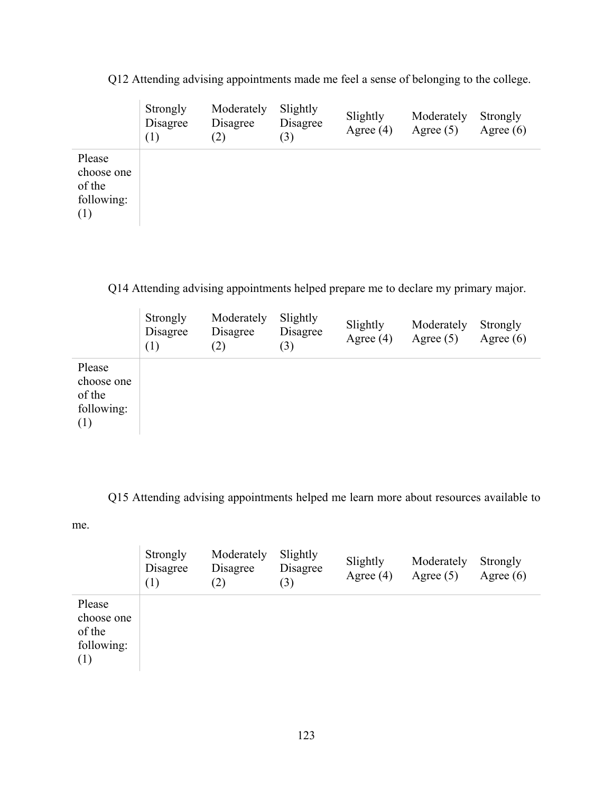|                                                     | Strongly<br>Disagree<br>(1) | Moderately<br>Disagree<br>(2) | Slightly<br>Disagree<br>(3) | Slightly<br>Agree $(4)$ | Moderately<br>Agree $(5)$ | Strongly<br>Agree $(6)$ |
|-----------------------------------------------------|-----------------------------|-------------------------------|-----------------------------|-------------------------|---------------------------|-------------------------|
| Please<br>choose one<br>of the<br>following:<br>(1) |                             |                               |                             |                         |                           |                         |

Q12 Attending advising appointments made me feel a sense of belonging to the college.

Q14 Attending advising appointments helped prepare me to declare my primary major.

|                                                     | Strongly<br>Disagree<br>(1) | Moderately<br>Disagree<br>(2) | Slightly<br>Disagree<br>(3) | Slightly<br>Agree $(4)$ | Moderately<br>Agree $(5)$ | Strongly<br>Agree $(6)$ |
|-----------------------------------------------------|-----------------------------|-------------------------------|-----------------------------|-------------------------|---------------------------|-------------------------|
| Please<br>choose one<br>of the<br>following:<br>(1) |                             |                               |                             |                         |                           |                         |

Q15 Attending advising appointments helped me learn more about resources available to

me.

|                                                     | Strongly<br>Disagree<br>(1) | Moderately<br>Disagree<br>(2) | Slightly<br>Disagree<br>(3) | Slightly<br>Agree $(4)$ | Moderately<br>Agree $(5)$ | Strongly<br>Agree $(6)$ |
|-----------------------------------------------------|-----------------------------|-------------------------------|-----------------------------|-------------------------|---------------------------|-------------------------|
| Please<br>choose one<br>of the<br>following:<br>(1) |                             |                               |                             |                         |                           |                         |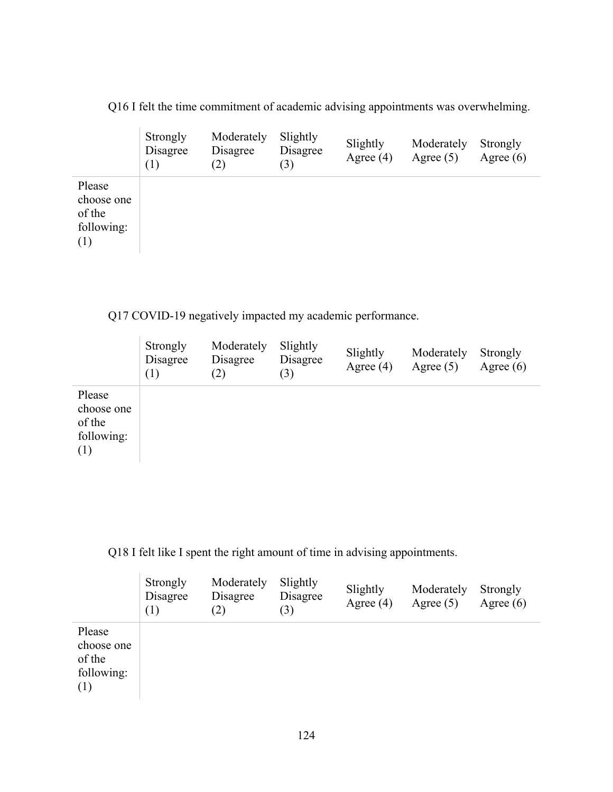Q16 I felt the time commitment of academic advising appointments was overwhelming.

|                                                     | Strongly<br>Disagree<br>(1) | Moderately<br>Disagree<br>(2) | Slightly<br>Disagree<br>(3) | Slightly<br>Agree $(4)$ | Moderately<br>Agree $(5)$ | Strongly<br>Agree $(6)$ |
|-----------------------------------------------------|-----------------------------|-------------------------------|-----------------------------|-------------------------|---------------------------|-------------------------|
| Please<br>choose one<br>of the<br>following:<br>(1) |                             |                               |                             |                         |                           |                         |

Q17 COVID-19 negatively impacted my academic performance.

|                                                     | Strongly<br>Disagree<br>(1) | Moderately<br>Disagree<br>(2) | Slightly<br>Disagree<br>(3) | Slightly<br>Agree $(4)$ | Moderately<br>Agree $(5)$ | Strongly<br>Agree $(6)$ |
|-----------------------------------------------------|-----------------------------|-------------------------------|-----------------------------|-------------------------|---------------------------|-------------------------|
| Please<br>choose one<br>of the<br>following:<br>(1) |                             |                               |                             |                         |                           |                         |

Q18 I felt like I spent the right amount of time in advising appointments.

|                                                     | Strongly<br>Disagree<br>(1) | Moderately<br>Disagree<br>(2) | Slightly<br>Disagree<br>(3) | Slightly<br>Agree $(4)$ | Moderately<br>Agree $(5)$ | Strongly<br>Agree $(6)$ |
|-----------------------------------------------------|-----------------------------|-------------------------------|-----------------------------|-------------------------|---------------------------|-------------------------|
| Please<br>choose one<br>of the<br>following:<br>(1) |                             |                               |                             |                         |                           |                         |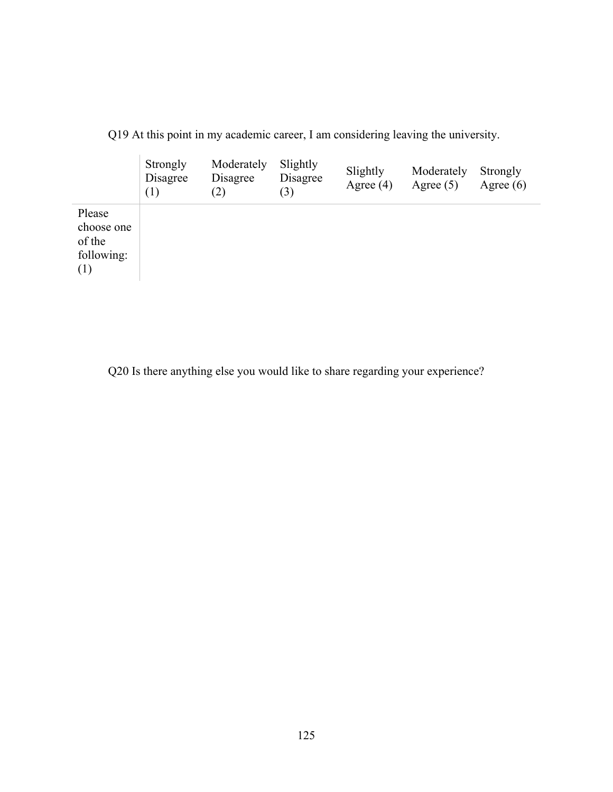|                                                     | Strongly<br>Disagree<br>(1) | Moderately<br>Disagree<br>(2) | Slightly<br>Disagree<br>(3) | Slightly<br>Agree $(4)$ | Moderately<br>Agree $(5)$ | Strongly<br>Agree $(6)$ |
|-----------------------------------------------------|-----------------------------|-------------------------------|-----------------------------|-------------------------|---------------------------|-------------------------|
| Please<br>choose one<br>of the<br>following:<br>(1) |                             |                               |                             |                         |                           |                         |

Q19 At this point in my academic career, I am considering leaving the university.

Q20 Is there anything else you would like to share regarding your experience?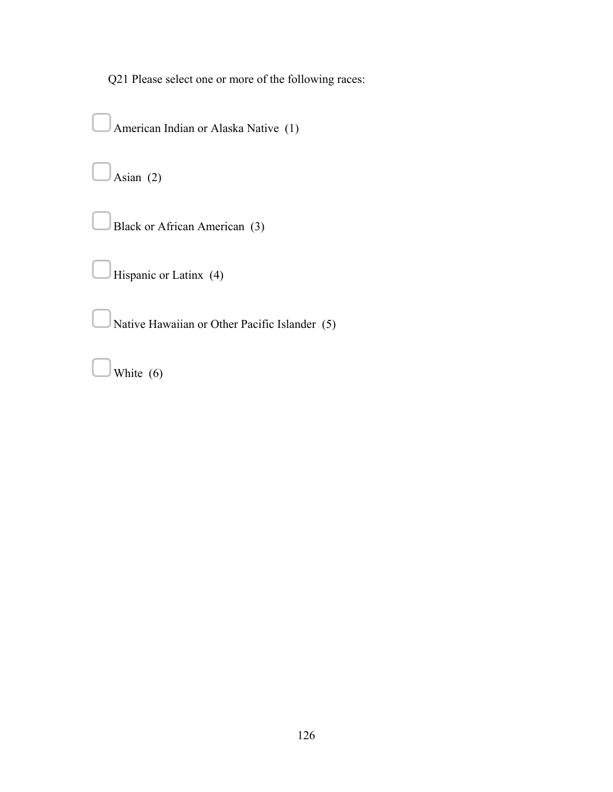Q21 Please select one or more of the following races:

American Indian or Alaska Native (1)  $\int$ Asian (2) ▢Black or African American (3) Hispanic or Latinx (4) ▢Native Hawaiian or Other Pacific Islander (5) White (6)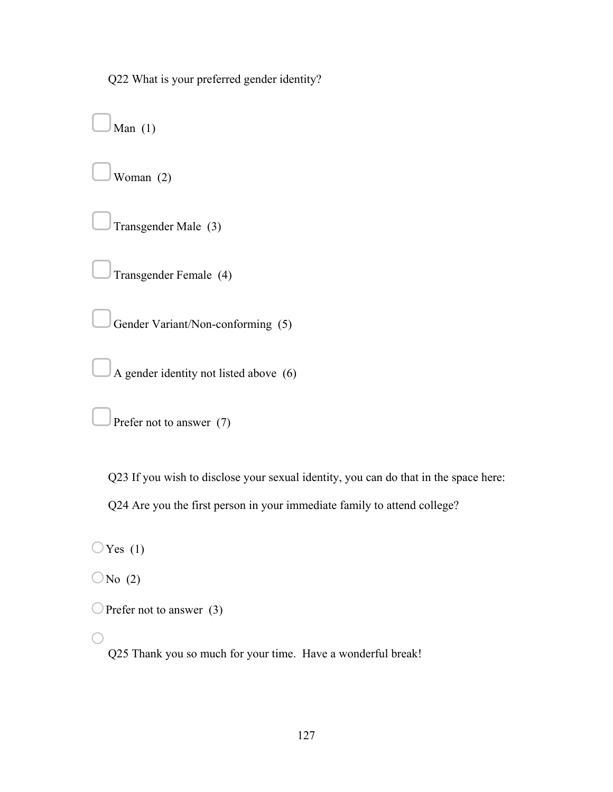Q22 What is your preferred gender identity?

Man  $(1)$ ▢Woman (2) ▢Transgender Male (3) ▢Transgender Female (4) Gender Variant/Non-conforming (5) ▢A gender identity not listed above (6)

Prefer not to answer (7)

Q23 If you wish to disclose your sexual identity, you can do that in the space here:

Q24 Are you the first person in your immediate family to attend college?

 $\bigcirc$ Yes (1)

 $\bigcirc$ No (2)

```
\bigcirc Prefer not to answer (3)
```
o

Q25 Thank you so much for your time. Have a wonderful break!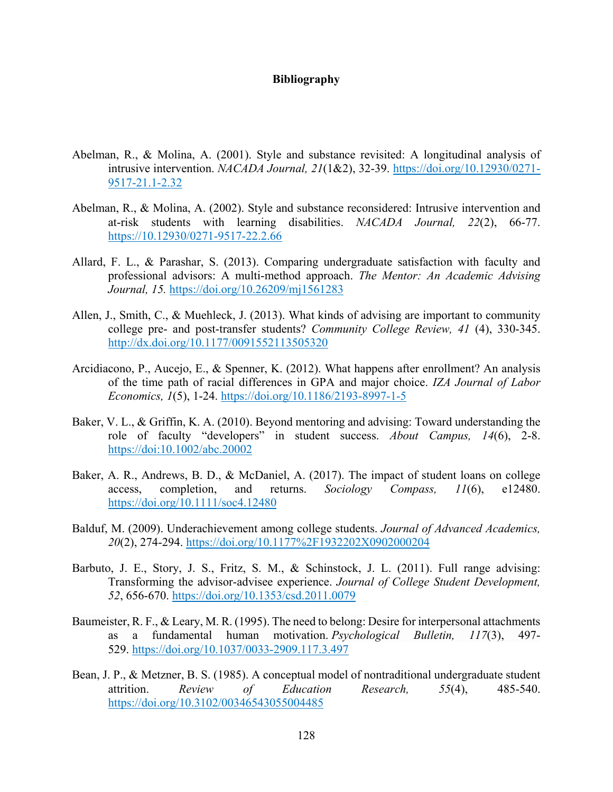### **Bibliography**

- Abelman, R., & Molina, A. (2001). Style and substance revisited: A longitudinal analysis of intrusive intervention. *NACADA Journal, 21*(1&2), 32-39. [https://doi.org/10.12930/0271-](https://doi.org/10.12930/0271-9517-21.1-2.32) [9517-21.1-2.32](https://doi.org/10.12930/0271-9517-21.1-2.32)
- Abelman, R., & Molina, A. (2002). Style and substance reconsidered: Intrusive intervention and at-risk students with learning disabilities. *NACADA Journal, 22*(2), 66-77. [https://10.12930/0271-9517-22.2.66](https://10.0.50.130/0271-9517-22.2.66)
- Allard, F. L., & Parashar, S. (2013). Comparing undergraduate satisfaction with faculty and professional advisors: A multi-method approach. *The Mentor: An Academic Advising Journal, 15.* <https://doi.org/10.26209/mj1561283>
- Allen, J., Smith, C., & Muehleck, J. (2013). What kinds of advising are important to community college pre- and post-transfer students? *Community College Review, 41* (4), 330-345. <http://dx.doi.org/10.1177/0091552113505320>
- Arcidiacono, P., Aucejo, E., & Spenner, K. (2012). What happens after enrollment? An analysis of the time path of racial differences in GPA and major choice. *IZA Journal of Labor Economics, 1*(5), 1-24.<https://doi.org/10.1186/2193-8997-1-5>
- Baker, V. L., & Griffin, K. A. (2010). Beyond mentoring and advising: Toward understanding the role of faculty "developers" in student success. *About Campus, 14*(6), 2-8. <https://doi:10.1002/abc.20002>
- Baker, A. R., Andrews, B. D., & McDaniel, A. (2017). The impact of student loans on college access, completion, and returns. *Sociology Compass, 11*(6), e12480. <https://doi.org/10.1111/soc4.12480>
- Balduf, M. (2009). Underachievement among college students. *Journal of Advanced Academics, 20*(2), 274-294.<https://doi.org/10.1177%2F1932202X0902000204>
- Barbuto, J. E., Story, J. S., Fritz, S. M., & Schinstock, J. L. (2011). Full range advising: Transforming the advisor-advisee experience. *Journal of College Student Development, 52*, 656-670.<https://doi.org/10.1353/csd.2011.0079>
- Baumeister, R. F., & Leary, M. R. (1995). The need to belong: Desire for interpersonal attachments as a fundamental human motivation. *Psychological Bulletin, 117*(3), 497- 529.<https://doi.org/10.1037/0033-2909.117.3.497>
- Bean, J. P., & Metzner, B. S. (1985). A conceptual model of nontraditional undergraduate student attrition. *Review of Education Research, 55*(4), 485-540. <https://doi.org/10.3102/00346543055004485>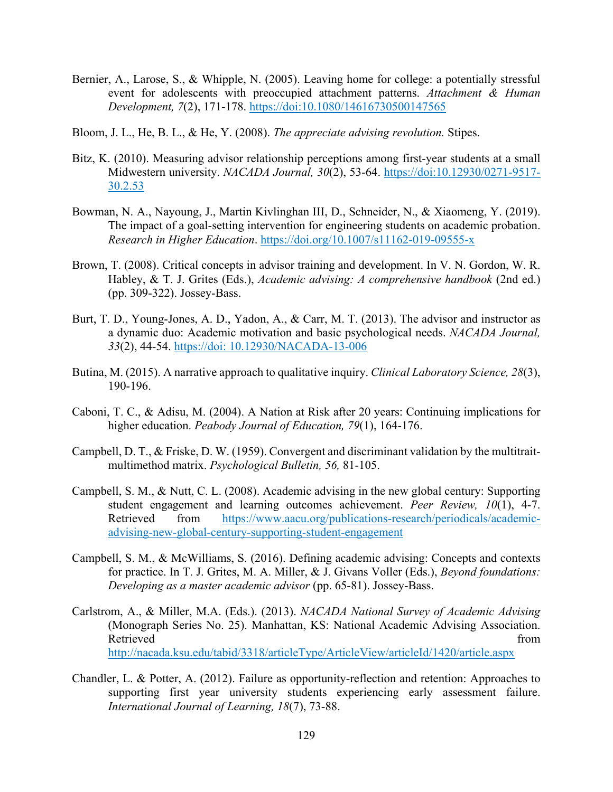- Bernier, A., Larose, S., & Whipple, N. (2005). Leaving home for college: a potentially stressful event for adolescents with preoccupied attachment patterns. *Attachment & Human Development, 7*(2), 171-178.<https://doi:10.1080/14616730500147565>
- Bloom, J. L., He, B. L., & He, Y. (2008). *The appreciate advising revolution.* Stipes.
- Bitz, K. (2010). Measuring advisor relationship perceptions among first-year students at a small Midwestern university. *NACADA Journal, 30*(2), 53-64. [https://doi:10.12930/0271-9517-](https://doi:10.12930/0271-9517-30.2.53%20) [30.2.53](https://doi:10.12930/0271-9517-30.2.53%20)
- Bowman, N. A., Nayoung, J., Martin Kivlinghan III, D., Schneider, N., & Xiaomeng, Y. (2019). The impact of a goal-setting intervention for engineering students on academic probation. *Research in Higher Education*.<https://doi.org/10.1007/s11162-019-09555-x>
- Brown, T. (2008). Critical concepts in advisor training and development. In V. N. Gordon, W. R. Habley, & T. J. Grites (Eds.), *Academic advising: A comprehensive handbook* (2nd ed.) (pp. 309-322). Jossey-Bass.
- Burt, T. D., Young-Jones, A. D., Yadon, A., & Carr, M. T. (2013). The advisor and instructor as a dynamic duo: Academic motivation and basic psychological needs. *NACADA Journal, 33*(2), 44-54. [https://doi: 10.12930/NACADA-13-006](https://doi:%2010.12930/NACADA-13-006)
- Butina, M. (2015). A narrative approach to qualitative inquiry. *Clinical Laboratory Science, 28*(3), 190-196.
- Caboni, T. C., & Adisu, M. (2004). A Nation at Risk after 20 years: Continuing implications for higher education. *Peabody Journal of Education, 79*(1), 164-176.
- Campbell, D. T., & Friske, D. W. (1959). Convergent and discriminant validation by the multitraitmultimethod matrix. *Psychological Bulletin, 56,* 81-105.
- Campbell, S. M., & Nutt, C. L. (2008). Academic advising in the new global century: Supporting student engagement and learning outcomes achievement. *Peer Review, 10*(1), 4-7. Retrieved from [https://www.aacu.org/publications-research/periodicals/academic](https://www.aacu.org/publications-research/periodicals/academic-advising-new-global-century-supporting-student-engagement)[advising-new-global-century-supporting-student-engagement](https://www.aacu.org/publications-research/periodicals/academic-advising-new-global-century-supporting-student-engagement)
- Campbell, S. M., & McWilliams, S. (2016). Defining academic advising: Concepts and contexts for practice. In T. J. Grites, M. A. Miller, & J. Givans Voller (Eds.), *Beyond foundations: Developing as a master academic advisor* (pp. 65-81). Jossey-Bass.
- Carlstrom, A., & Miller, M.A. (Eds.). (2013). *NACADA National Survey of Academic Advising* (Monograph Series No. 25). Manhattan, KS: National Academic Advising Association. Retrieved from the state of the state of the state of the state of the state of the state of the state of the state of the state of the state of the state of the state of the state of the state of the state of the state of <http://nacada.ksu.edu/tabid/3318/articleType/ArticleView/articleId/1420/article.aspx>
- Chandler, L. & Potter, A. (2012). Failure as opportunity-reflection and retention: Approaches to supporting first year university students experiencing early assessment failure. *International Journal of Learning, 18*(7), 73-88.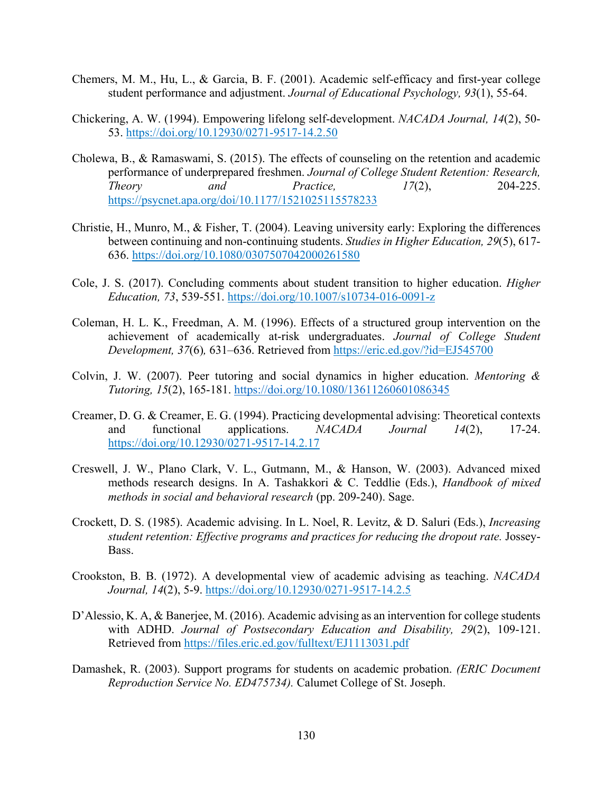- Chemers, M. M., Hu, L., & Garcia, B. F. (2001). Academic self-efficacy and first-year college student performance and adjustment. *Journal of Educational Psychology, 93*(1), 55-64.
- Chickering, A. W. (1994). Empowering lifelong self-development. *NACADA Journal, 14*(2), 50- 53.<https://doi.org/10.12930/0271-9517-14.2.50>
- Cholewa, B., & Ramaswami, S. (2015). The effects of counseling on the retention and academic performance of underprepared freshmen. *Journal of College Student Retention: Research, Theory and Practice, 17*(2), 204-225. <https://psycnet.apa.org/doi/10.1177/1521025115578233>
- Christie, H., Munro, M., & Fisher, T. (2004). Leaving university early: Exploring the differences between continuing and non-continuing students. *Studies in Higher Education, 29*(5), 617- 636. <https://doi.org/10.1080/0307507042000261580>
- Cole, J. S. (2017). Concluding comments about student transition to higher education. *Higher Education, 73*, 539-551.<https://doi.org/10.1007/s10734-016-0091-z>
- Coleman, H. L. K., Freedman, A. M. (1996). Effects of a structured group intervention on the achievement of academically at-risk undergraduates. *Journal of College Student Development, 37*(6)*,* 631–636. Retrieved from<https://eric.ed.gov/?id=EJ545700>
- Colvin, J. W. (2007). Peer tutoring and social dynamics in higher education. *Mentoring & Tutoring, 15*(2), 165-181.<https://doi.org/10.1080/13611260601086345>
- Creamer, D. G. & Creamer, E. G. (1994). Practicing developmental advising: Theoretical contexts and functional applications. *NACADA Journal 14*(2), 17-24. <https://doi.org/10.12930/0271-9517-14.2.17>
- Creswell, J. W., Plano Clark, V. L., Gutmann, M., & Hanson, W. (2003). Advanced mixed methods research designs. In A. Tashakkori & C. Teddlie (Eds.), *Handbook of mixed methods in social and behavioral research* (pp. 209-240). Sage.
- Crockett, D. S. (1985). Academic advising. In L. Noel, R. Levitz, & D. Saluri (Eds.), *Increasing student retention: Effective programs and practices for reducing the dropout rate.* Jossey-Bass.
- Crookston, B. B. (1972). A developmental view of academic advising as teaching. *NACADA Journal, 14*(2), 5-9.<https://doi.org/10.12930/0271-9517-14.2.5>
- D'Alessio, K. A, & Banerjee, M. (2016). Academic advising as an intervention for college students with ADHD. *Journal of Postsecondary Education and Disability, 29*(2), 109-121. Retrieved from<https://files.eric.ed.gov/fulltext/EJ1113031.pdf>
- Damashek, R. (2003). Support programs for students on academic probation. *(ERIC Document Reproduction Service No. ED475734).* Calumet College of St. Joseph.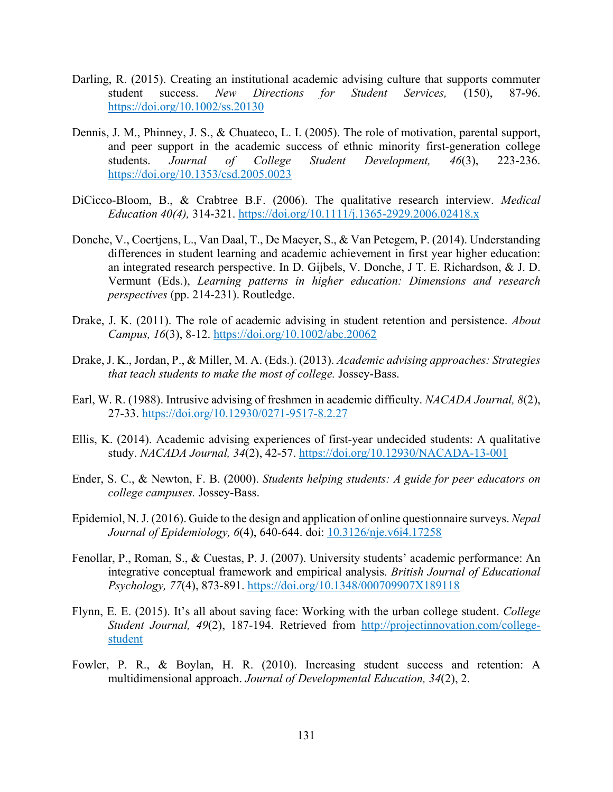- Darling, R. (2015). Creating an institutional academic advising culture that supports commuter student success. *New Directions for Student Services,* (150), 87-96. <https://doi.org/10.1002/ss.20130>
- Dennis, J. M., Phinney, J. S., & Chuateco, L. I. (2005). The role of motivation, parental support, and peer support in the academic success of ethnic minority first-generation college students. *Journal of College Student Development, 46*(3), 223-236. <https://doi.org/10.1353/csd.2005.0023>
- DiCicco-Bloom, B., & Crabtree B.F. (2006). The qualitative research interview. *Medical Education 40(4),* 314-321.<https://doi.org/10.1111/j.1365-2929.2006.02418.x>
- Donche, V., Coertjens, L., Van Daal, T., De Maeyer, S., & Van Petegem, P. (2014). Understanding differences in student learning and academic achievement in first year higher education: an integrated research perspective. In D. Gijbels, V. Donche, J T. E. Richardson, & J. D. Vermunt (Eds.), *Learning patterns in higher education: Dimensions and research perspectives* (pp. 214-231). Routledge.
- Drake, J. K. (2011). The role of academic advising in student retention and persistence. *About Campus, 16*(3), 8-12.<https://doi.org/10.1002/abc.20062>
- Drake, J. K., Jordan, P., & Miller, M. A. (Eds.). (2013). *Academic advising approaches: Strategies that teach students to make the most of college.* Jossey-Bass.
- Earl, W. R. (1988). Intrusive advising of freshmen in academic difficulty. *NACADA Journal, 8*(2), 27-33.<https://doi.org/10.12930/0271-9517-8.2.27>
- Ellis, K. (2014). Academic advising experiences of first-year undecided students: A qualitative study. *NACADA Journal, 34*(2), 42-57.<https://doi.org/10.12930/NACADA-13-001>
- Ender, S. C., & Newton, F. B. (2000). *Students helping students: A guide for peer educators on college campuses.* Jossey-Bass.
- Epidemiol, N. J. (2016). Guide to the design and application of online questionnaire surveys. *Nepal Journal of Epidemiology, 6*(4), 640-644. doi: [10.3126/nje.v6i4.17258](https://dx.doi.org/10.3126%2Fnje.v6i4.17258)
- Fenollar, P., Roman, S., & Cuestas, P. J. (2007). University students' academic performance: An integrative conceptual framework and empirical analysis. *British Journal of Educational Psychology, 77*(4), 873-891.<https://doi.org/10.1348/000709907X189118>
- Flynn, E. E. (2015). It's all about saving face: Working with the urban college student. *College Student Journal, 49*(2), 187-194. Retrieved from [http://projectinnovation.com/college](http://projectinnovation.com/college-student)[student](http://projectinnovation.com/college-student)
- Fowler, P. R., & Boylan, H. R. (2010). Increasing student success and retention: A multidimensional approach. *Journal of Developmental Education, 34*(2), 2.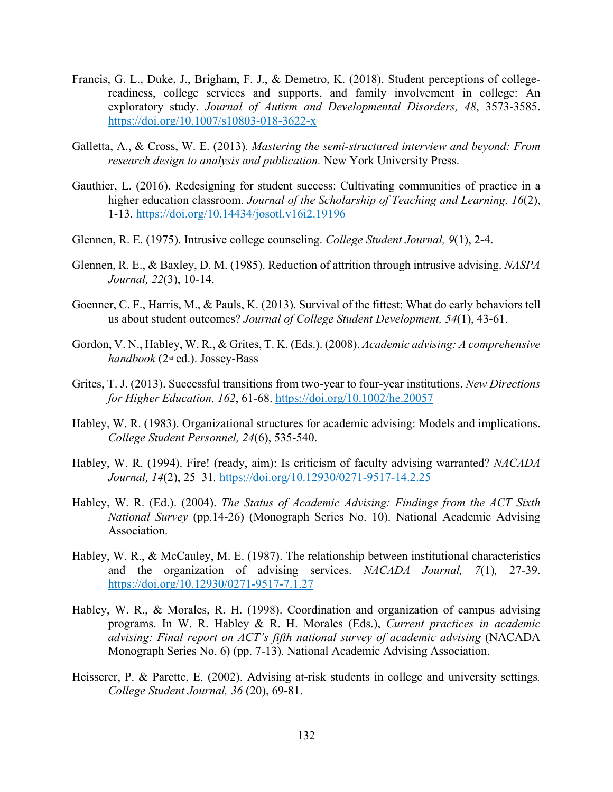- Francis, G. L., Duke, J., Brigham, F. J., & Demetro, K. (2018). Student perceptions of collegereadiness, college services and supports, and family involvement in college: An exploratory study. *Journal of Autism and Developmental Disorders, 48*, 3573-3585. <https://doi.org/10.1007/s10803-018-3622-x>
- Galletta, A., & Cross, W. E. (2013). *Mastering the semi-structured interview and beyond: From research design to analysis and publication.* New York University Press.
- Gauthier, L. (2016). Redesigning for student success: Cultivating communities of practice in a higher education classroom. *Journal of the Scholarship of Teaching and Learning, 16*(2), 1-13.<https://doi.org/10.14434/josotl.v16i2.19196>
- Glennen, R. E. (1975). Intrusive college counseling. *College Student Journal, 9*(1), 2-4.
- Glennen, R. E., & Baxley, D. M. (1985). Reduction of attrition through intrusive advising. *NASPA Journal, 22*(3), 10-14.
- Goenner, C. F., Harris, M., & Pauls, K. (2013). Survival of the fittest: What do early behaviors tell us about student outcomes? *Journal of College Student Development, 54*(1), 43-61.
- Gordon, V. N., Habley, W. R., & Grites, T. K. (Eds.). (2008). *Academic advising: A comprehensive handbook* (2nd ed.). Jossey-Bass
- Grites, T. J. (2013). Successful transitions from two-year to four-year institutions. *New Directions for Higher Education, 162*, 61-68.<https://doi.org/10.1002/he.20057>
- Habley, W. R. (1983). Organizational structures for academic advising: Models and implications. *College Student Personnel, 24*(6), 535-540.
- Habley, W. R. (1994). Fire! (ready, aim): Is criticism of faculty advising warranted? *NACADA Journal, 14*(2), 25–31*.* <https://doi.org/10.12930/0271-9517-14.2.25>
- Habley, W. R. (Ed.). (2004). *The Status of Academic Advising: Findings from the ACT Sixth National Survey* (pp.14-26) (Monograph Series No. 10). National Academic Advising Association.
- Habley, W. R., & McCauley, M. E. (1987). The relationship between institutional characteristics and the organization of advising services. *NACADA Journal, 7*(1)*,* 27-39. <https://doi.org/10.12930/0271-9517-7.1.27>
- Habley, W. R., & Morales, R. H. (1998). Coordination and organization of campus advising programs. In W. R. Habley & R. H. Morales (Eds.), *Current practices in academic advising: Final report on ACT's fifth national survey of academic advising* (NACADA Monograph Series No. 6) (pp. 7-13). National Academic Advising Association.
- Heisserer, P. & Parette, E. (2002). Advising at-risk students in college and university settings*. College Student Journal, 36* (20), 69-81.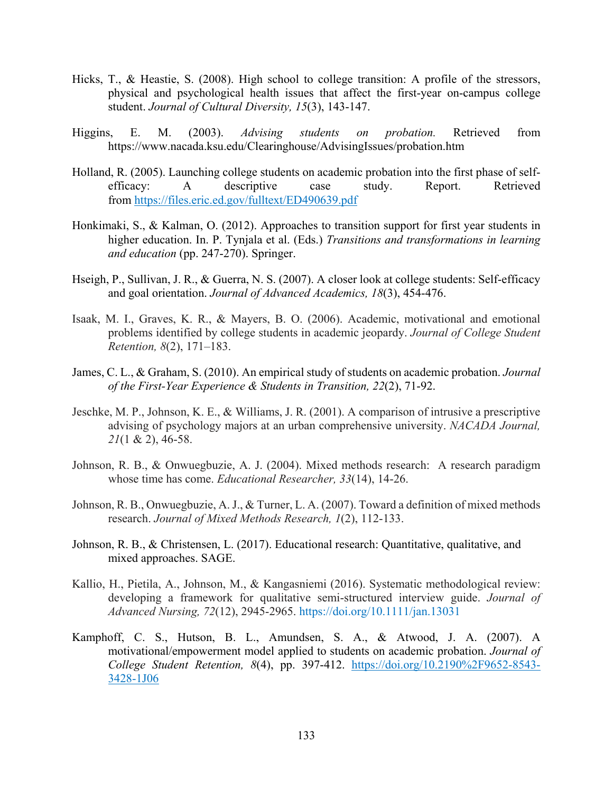- Hicks, T., & Heastie, S. (2008). High school to college transition: A profile of the stressors, physical and psychological health issues that affect the first-year on-campus college student. *Journal of Cultural Diversity, 15*(3), 143-147.
- Higgins, E. M. (2003). *Advising students on probation.* Retrieved from https://www.nacada.ksu.edu/Clearinghouse/AdvisingIssues/probation.htm
- Holland, R. (2005). Launching college students on academic probation into the first phase of selfefficacy: A descriptive case study. Report. Retrieved from <https://files.eric.ed.gov/fulltext/ED490639.pdf>
- Honkimaki, S., & Kalman, O. (2012). Approaches to transition support for first year students in higher education. In. P. Tynjala et al. (Eds.) *Transitions and transformations in learning and education* (pp. 247-270). Springer.
- Hseigh, P., Sullivan, J. R., & Guerra, N. S. (2007). A closer look at college students: Self-efficacy and goal orientation. *Journal of Advanced Academics, 18*(3), 454-476.
- Isaak, M. I., Graves, K. R., & Mayers, B. O. (2006). Academic, motivational and emotional problems identified by college students in academic jeopardy. *Journal of College Student Retention, 8*(2), 171–183.
- James, C. L., & Graham, S. (2010). An empirical study of students on academic probation. *Journal of the First-Year Experience & Students in Transition, 22*(2), 71-92.
- Jeschke, M. P., Johnson, K. E., & Williams, J. R. (2001). A comparison of intrusive a prescriptive advising of psychology majors at an urban comprehensive university. *NACADA Journal, 21*(1 & 2), 46-58.
- Johnson, R. B., & Onwuegbuzie, A. J. (2004). Mixed methods research: A research paradigm whose time has come. *Educational Researcher, 33*(14), 14-26.
- Johnson, R. B., Onwuegbuzie, A. J., & Turner, L. A. (2007). Toward a definition of mixed methods research. *Journal of Mixed Methods Research, 1*(2), 112-133.
- Johnson, R. B., & Christensen, L. (2017). Educational research: Quantitative, qualitative, and mixed approaches. SAGE.
- Kallio, H., Pietila, A., Johnson, M., & Kangasniemi (2016). Systematic methodological review: developing a framework for qualitative semi-structured interview guide. *Journal of Advanced Nursing, 72*(12), 2945-2965. <https://doi.org/10.1111/jan.13031>
- Kamphoff, C. S., Hutson, B. L., Amundsen, S. A., & Atwood, J. A. (2007). A motivational/empowerment model applied to students on academic probation. *Journal of College Student Retention, 8*(4), pp. 397-412. [https://doi.org/10.2190%2F9652-8543-](https://doi.org/10.2190%2F9652-8543-3428-1J06) [3428-1J06](https://doi.org/10.2190%2F9652-8543-3428-1J06)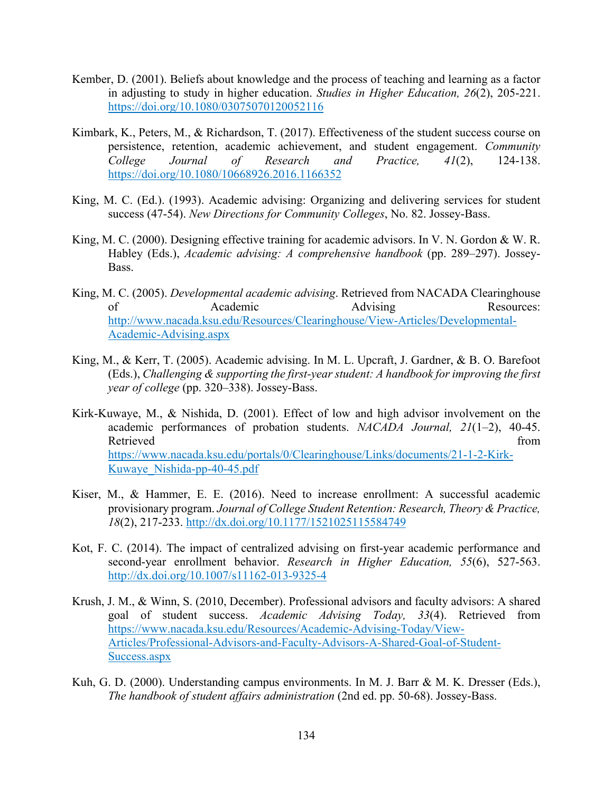- Kember, D. (2001). Beliefs about knowledge and the process of teaching and learning as a factor in adjusting to study in higher education. *Studies in Higher Education, 26*(2), 205-221. <https://doi.org/10.1080/03075070120052116>
- Kimbark, K., Peters, M., & Richardson, T. (2017). Effectiveness of the student success course on persistence, retention, academic achievement, and student engagement. *Community College Journal of Research and Practice, 41*(2), 124-138. <https://doi.org/10.1080/10668926.2016.1166352>
- King, M. C. (Ed.). (1993). Academic advising: Organizing and delivering services for student success (47-54). *New Directions for Community Colleges*, No. 82. Jossey-Bass.
- King, M. C. (2000). Designing effective training for academic advisors. In V. N. Gordon & W. R. Habley (Eds.), *Academic advising: A comprehensive handbook* (pp. 289–297). Jossey-Bass.
- King, M. C. (2005). *Developmental academic advising*. Retrieved from NACADA Clearinghouse of Academic Advising Resources: [http://www.nacada.ksu.edu/Resources/Clearinghouse/View-Articles/Developmental-](http://www.nacada.ksu.edu/Resources/Clearinghouse/View-Articles/Developmental-Academic-Advising.aspx)[Academic-Advising.aspx](http://www.nacada.ksu.edu/Resources/Clearinghouse/View-Articles/Developmental-Academic-Advising.aspx)
- King, M., & Kerr, T. (2005). Academic advising. In M. L. Upcraft, J. Gardner, & B. O. Barefoot (Eds.), *Challenging & supporting the first-year student: A handbook for improving the first year of college* (pp. 320–338). Jossey-Bass.
- Kirk-Kuwaye, M., & Nishida, D. (2001). Effect of low and high advisor involvement on the academic performances of probation students. *NACADA Journal, 21*(1–2), 40-45. Retrieved from the set of the set of the set of the set of the set of the set of the set of the set of the set of the set of the set of the set of the set of the set of the set of the set of the set of the set of the set o [https://www.nacada.ksu.edu/portals/0/Clearinghouse/Links/documents/21-1-2-Kirk-](https://www.nacada.ksu.edu/portals/0/Clearinghouse/Links/documents/21-1-2-Kirk-Kuwaye_Nishida-pp-40-45.pdf)[Kuwaye\\_Nishida-pp-40-45.pdf](https://www.nacada.ksu.edu/portals/0/Clearinghouse/Links/documents/21-1-2-Kirk-Kuwaye_Nishida-pp-40-45.pdf)
- Kiser, M., & Hammer, E. E. (2016). Need to increase enrollment: A successful academic provisionary program. *Journal of College Student Retention: Research, Theory & Practice, 18*(2), 217-233.<http://dx.doi.org/10.1177/1521025115584749>
- Kot, F. C. (2014). The impact of centralized advising on first-year academic performance and second-year enrollment behavior. *Research in Higher Education, 55*(6), 527-563. <http://dx.doi.org/10.1007/s11162-013-9325-4>
- Krush, J. M., & Winn, S. (2010, December). Professional advisors and faculty advisors: A shared goal of student success. *Academic Advising Today, 33*(4). Retrieved from [https://www.nacada.ksu.edu/Resources/Academic-Advising-Today/View-](https://www.nacada.ksu.edu/Resources/Academic-Advising-Today/View-Articles/Professional-Advisors-and-Faculty-Advisors-A-Shared-Goal-of-Student-Success.aspx)[Articles/Professional-Advisors-and-Faculty-Advisors-A-Shared-Goal-of-Student-](https://www.nacada.ksu.edu/Resources/Academic-Advising-Today/View-Articles/Professional-Advisors-and-Faculty-Advisors-A-Shared-Goal-of-Student-Success.aspx)[Success.aspx](https://www.nacada.ksu.edu/Resources/Academic-Advising-Today/View-Articles/Professional-Advisors-and-Faculty-Advisors-A-Shared-Goal-of-Student-Success.aspx)
- Kuh, G. D. (2000). Understanding campus environments. In M. J. Barr & M. K. Dresser (Eds.), *The handbook of student affairs administration* (2nd ed. pp. 50-68). Jossey-Bass.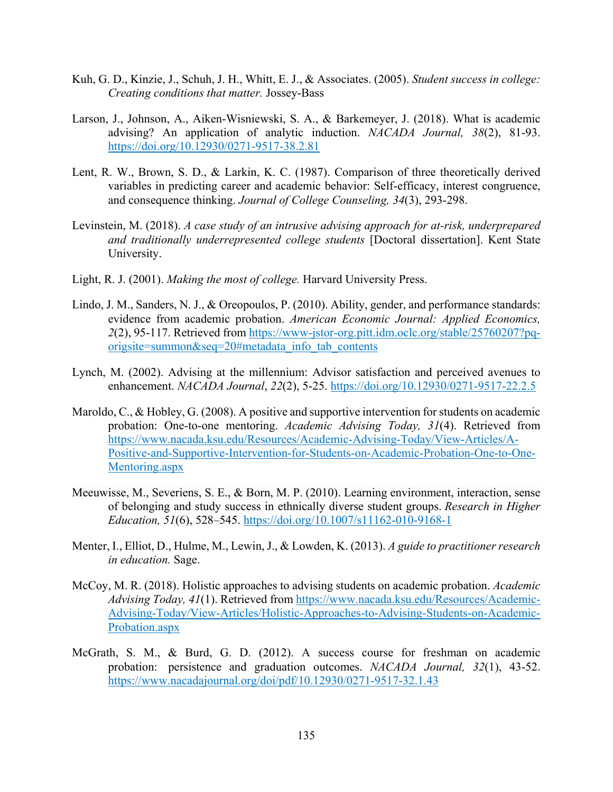- Kuh, G. D., Kinzie, J., Schuh, J. H., Whitt, E. J., & Associates. (2005). *Student success in college: Creating conditions that matter.* Jossey-Bass
- Larson, J., Johnson, A., Aiken-Wisniewski, S. A., & Barkemeyer, J. (2018). What is academic advising? An application of analytic induction. *NACADA Journal, 38*(2), 81-93. <https://doi.org/10.12930/0271-9517-38.2.81>
- Lent, R. W., Brown, S. D., & Larkin, K. C. (1987). Comparison of three theoretically derived variables in predicting career and academic behavior: Self-efficacy, interest congruence, and consequence thinking. *Journal of College Counseling, 34*(3), 293-298.
- Levinstein, M. (2018). *A case study of an intrusive advising approach for at-risk, underprepared and traditionally underrepresented college students* [Doctoral dissertation]. Kent State University.
- Light, R. J. (2001). *Making the most of college.* Harvard University Press.
- Lindo, J. M., Sanders, N. J., & Oreopoulos, P. (2010). Ability, gender, and performance standards: evidence from academic probation. *American Economic Journal: Applied Economics, 2*(2), 95-117. Retrieved fro[m https://www-jstor-org.pitt.idm.oclc.org/stable/25760207?pq](https://www-jstor-org.pitt.idm.oclc.org/stable/25760207?pq-origsite=summon&seq=20#metadata_info_tab_contents)[origsite=summon&seq=20#metadata\\_info\\_tab\\_contents](https://www-jstor-org.pitt.idm.oclc.org/stable/25760207?pq-origsite=summon&seq=20#metadata_info_tab_contents)
- Lynch, M. (2002). Advising at the millennium: Advisor satisfaction and perceived avenues to enhancement. *NACADA Journal*, *22*(2), 5-25.<https://doi.org/10.12930/0271-9517-22.2.5>
- Maroldo, C., & Hobley, G. (2008). A positive and supportive intervention for students on academic probation: One-to-one mentoring. *Academic Advising Today, 31*(4). Retrieved from [https://www.nacada.ksu.edu/Resources/Academic-Advising-Today/View-Articles/A-](https://www.nacada.ksu.edu/Resources/Academic-Advising-Today/View-Articles/A-Positive-and-Supportive-Intervention-for-Students-on-Academic-Probation-One-to-One-Mentoring.aspx)[Positive-and-Supportive-Intervention-for-Students-on-Academic-Probation-One-to-One-](https://www.nacada.ksu.edu/Resources/Academic-Advising-Today/View-Articles/A-Positive-and-Supportive-Intervention-for-Students-on-Academic-Probation-One-to-One-Mentoring.aspx)[Mentoring.aspx](https://www.nacada.ksu.edu/Resources/Academic-Advising-Today/View-Articles/A-Positive-and-Supportive-Intervention-for-Students-on-Academic-Probation-One-to-One-Mentoring.aspx)
- Meeuwisse, M., Severiens, S. E., & Born, M. P. (2010). Learning environment, interaction, sense of belonging and study success in ethnically diverse student groups. *Research in Higher Education, 51*(6), 528–545. <https://doi.org/10.1007/s11162-010-9168-1>
- Menter, I., Elliot, D., Hulme, M., Lewin, J., & Lowden, K. (2013). *A guide to practitioner research in education.* Sage.
- McCoy, M. R. (2018). Holistic approaches to advising students on academic probation. *Academic Advising Today, 41*(1). Retrieved fro[m https://www.nacada.ksu.edu/Resources/Academic-](https://www.nacada.ksu.edu/Resources/Academic-Advising-Today/View-Articles/Holistic-Approaches-to-Advising-Students-on-Academic-Probation.aspx)[Advising-Today/View-Articles/Holistic-Approaches-to-Advising-Students-on-Academic-](https://www.nacada.ksu.edu/Resources/Academic-Advising-Today/View-Articles/Holistic-Approaches-to-Advising-Students-on-Academic-Probation.aspx)[Probation.aspx](https://www.nacada.ksu.edu/Resources/Academic-Advising-Today/View-Articles/Holistic-Approaches-to-Advising-Students-on-Academic-Probation.aspx)
- McGrath, S. M., & Burd, G. D. (2012). A success course for freshman on academic probation: persistence and graduation outcomes. *NACADA Journal, 32*(1), 43-52. <https://www.nacadajournal.org/doi/pdf/10.12930/0271-9517-32.1.43>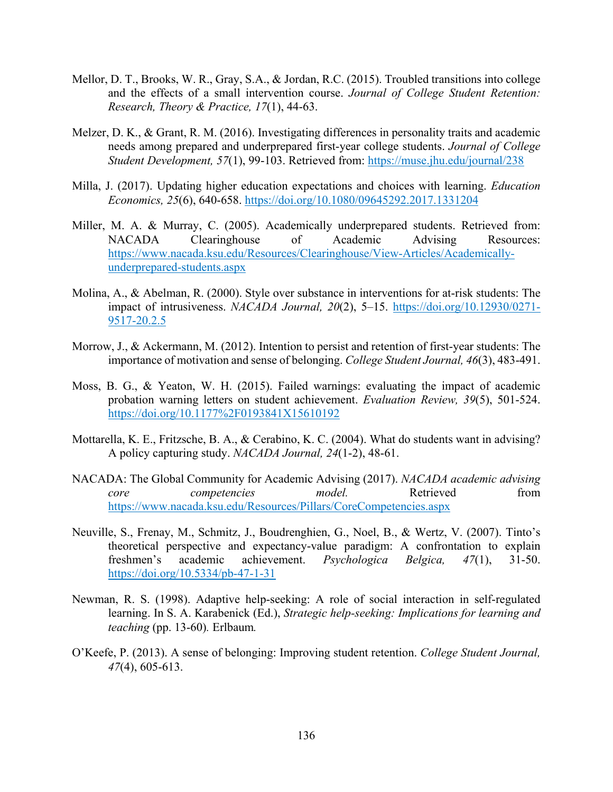- Mellor, D. T., Brooks, W. R., Gray, S.A., & Jordan, R.C. (2015). Troubled transitions into college and the effects of a small intervention course. *Journal of College Student Retention: Research, Theory & Practice, 17*(1), 44-63.
- Melzer, D. K., & Grant, R. M. (2016). Investigating differences in personality traits and academic needs among prepared and underprepared first-year college students. *Journal of College Student Development, 57*(1), 99-103. Retrieved from:<https://muse.jhu.edu/journal/238>
- Milla, J. (2017). Updating higher education expectations and choices with learning. *Education Economics, 25*(6), 640-658.<https://doi.org/10.1080/09645292.2017.1331204>
- Miller, M. A. & Murray, C. (2005). Academically underprepared students. Retrieved from: NACADA Clearinghouse of Academic Advising Resources: [https://www.nacada.ksu.edu/Resources/Clearinghouse/View-Articles/Academically](https://www.nacada.ksu.edu/Resources/Clearinghouse/View-Articles/Academically-underprepared-students.aspx)[underprepared-students.aspx](https://www.nacada.ksu.edu/Resources/Clearinghouse/View-Articles/Academically-underprepared-students.aspx)
- Molina, A., & Abelman, R. (2000). Style over substance in interventions for at-risk students: The impact of intrusiveness. *NACADA Journal, 20*(2), 5–15. [https://doi.org/10.12930/0271-](https://doi.org/10.12930/0271-9517-20.2.5) [9517-20.2.5](https://doi.org/10.12930/0271-9517-20.2.5)
- Morrow, J., & Ackermann, M. (2012). Intention to persist and retention of first-year students: The importance of motivation and sense of belonging. *College Student Journal, 46*(3), 483-491.
- Moss, B. G., & Yeaton, W. H. (2015). Failed warnings: evaluating the impact of academic probation warning letters on student achievement. *Evaluation Review, 39*(5), 501-524. <https://doi.org/10.1177%2F0193841X15610192>
- Mottarella, K. E., Fritzsche, B. A., & Cerabino, K. C. (2004). What do students want in advising? A policy capturing study. *NACADA Journal, 24*(1-2), 48-61.
- NACADA: The Global Community for Academic Advising (2017). *NACADA academic advising core competencies model.* Retrieved from <https://www.nacada.ksu.edu/Resources/Pillars/CoreCompetencies.aspx>
- Neuville, S., Frenay, M., Schmitz, J., Boudrenghien, G., Noel, B., & Wertz, V. (2007). Tinto's theoretical perspective and expectancy-value paradigm: A confrontation to explain freshmen's academic achievement. *Psychologica Belgica, 47*(1), 31-50. <https://doi.org/10.5334/pb-47-1-31>
- Newman, R. S. (1998). Adaptive help-seeking: A role of social interaction in self-regulated learning. In S. A. Karabenick (Ed.), *Strategic help-seeking: Implications for learning and teaching* (pp. 13-60)*.* Erlbaum*.*
- O'Keefe, P. (2013). A sense of belonging: Improving student retention. *College Student Journal, 47*(4), 605-613.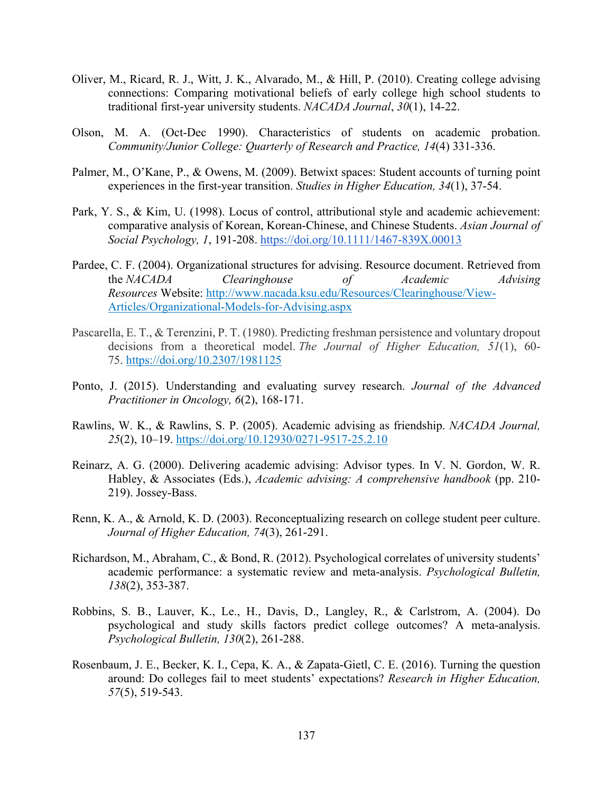- Oliver, M., Ricard, R. J., Witt, J. K., Alvarado, M., & Hill, P. (2010). Creating college advising connections: Comparing motivational beliefs of early college high school students to traditional first-year university students. *NACADA Journal*, *30*(1), 14-22.
- Olson, M. A. (Oct-Dec 1990). Characteristics of students on academic probation. *Community/Junior College: Quarterly of Research and Practice, 14*(4) 331-336.
- Palmer, M., O'Kane, P., & Owens, M. (2009). Betwixt spaces: Student accounts of turning point experiences in the first-year transition. *Studies in Higher Education, 34*(1), 37-54.
- Park, Y. S., & Kim, U. (1998). Locus of control, attributional style and academic achievement: comparative analysis of Korean, Korean-Chinese, and Chinese Students. *Asian Journal of Social Psychology, 1*, 191-208.<https://doi.org/10.1111/1467-839X.00013>
- Pardee, C. F. (2004). Organizational structures for advising. Resource document. Retrieved from the *NACADA Clearinghouse of Academic Advising Resources* Website: [http://www.nacada.ksu.edu/Resources/Clearinghouse/View-](http://www.nacada.ksu.edu/Resources/Clearinghouse/View-Articles/Organizational-Models-for-Advising.aspx)[Articles/Organizational-Models-for-Advising.aspx](http://www.nacada.ksu.edu/Resources/Clearinghouse/View-Articles/Organizational-Models-for-Advising.aspx)
- Pascarella, E. T., & Terenzini, P. T. (1980). Predicting freshman persistence and voluntary dropout decisions from a theoretical model. *The Journal of Higher Education, 51*(1), 60- 75.<https://doi.org/10.2307/1981125>
- Ponto, J. (2015). Understanding and evaluating survey research. *Journal of the Advanced Practitioner in Oncology, 6*(2), 168-171.
- Rawlins, W. K., & Rawlins, S. P. (2005). Academic advising as friendship. *NACADA Journal, 25*(2), 10–19.<https://doi.org/10.12930/0271-9517-25.2.10>
- Reinarz, A. G. (2000). Delivering academic advising: Advisor types. In V. N. Gordon, W. R. Habley, & Associates (Eds.), *Academic advising: A comprehensive handbook* (pp. 210- 219). Jossey-Bass.
- Renn, K. A., & Arnold, K. D. (2003). Reconceptualizing research on college student peer culture. *Journal of Higher Education, 74*(3), 261-291.
- Richardson, M., Abraham, C., & Bond, R. (2012). Psychological correlates of university students' academic performance: a systematic review and meta-analysis. *Psychological Bulletin, 138*(2), 353-387.
- Robbins, S. B., Lauver, K., Le., H., Davis, D., Langley, R., & Carlstrom, A. (2004). Do psychological and study skills factors predict college outcomes? A meta-analysis. *Psychological Bulletin, 130*(2), 261-288.
- Rosenbaum, J. E., Becker, K. I., Cepa, K. A., & Zapata-Gietl, C. E. (2016). Turning the question around: Do colleges fail to meet students' expectations? *Research in Higher Education, 57*(5), 519-543.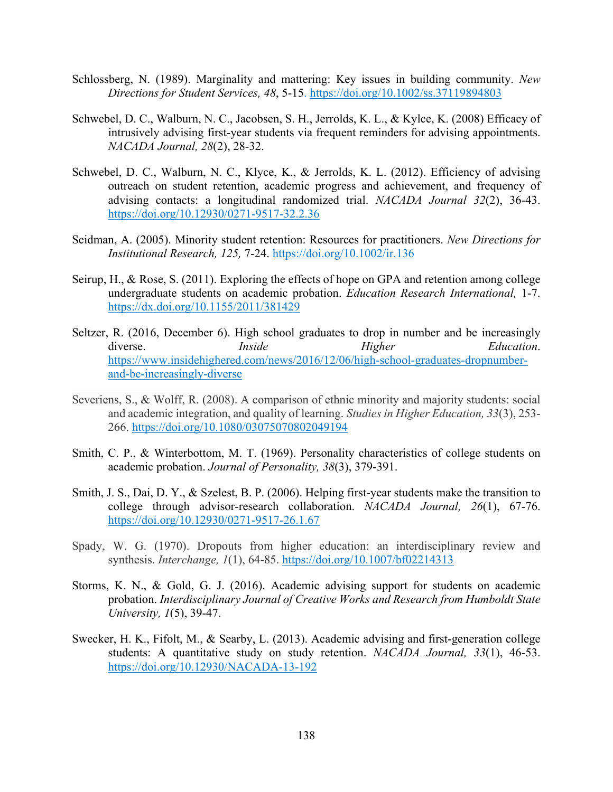- Schlossberg, N. (1989). Marginality and mattering: Key issues in building community. *New Directions for Student Services, 48*, 5-15.<https://doi.org/10.1002/ss.37119894803>
- Schwebel, D. C., Walburn, N. C., Jacobsen, S. H., Jerrolds, K. L., & Kylce, K. (2008) Efficacy of intrusively advising first-year students via frequent reminders for advising appointments. *NACADA Journal, 28*(2), 28-32.
- Schwebel, D. C., Walburn, N. C., Klyce, K., & Jerrolds, K. L. (2012). Efficiency of advising outreach on student retention, academic progress and achievement, and frequency of advising contacts: a longitudinal randomized trial. *NACADA Journal 32*(2), 36-43. <https://doi.org/10.12930/0271-9517-32.2.36>
- Seidman, A. (2005). Minority student retention: Resources for practitioners. *New Directions for Institutional Research, 125,* 7-24.<https://doi.org/10.1002/ir.136>
- Seirup, H., & Rose, S. (2011). Exploring the effects of hope on GPA and retention among college undergraduate students on academic probation. *Education Research International,* 1-7. <https://dx.doi.org/10.1155/2011/381429>
- Seltzer, R. (2016, December 6). High school graduates to drop in number and be increasingly diverse. *Inside Higher Education*. [https://www.insidehighered.com/news/2016/12/06/high-school-graduates-dropnumber](https://www.insidehighered.com/news/2016/12/06/high-school-graduates-dropnumber-and-be-increasingly-diverse)[and-be-increasingly-diverse](https://www.insidehighered.com/news/2016/12/06/high-school-graduates-dropnumber-and-be-increasingly-diverse)
- Severiens, S., & Wolff, R. (2008). A comparison of ethnic minority and majority students: social and academic integration, and quality of learning. *Studies in Higher Education, 33*(3), 253- 266.<https://doi.org/10.1080/03075070802049194>
- Smith, C. P., & Winterbottom, M. T. (1969). Personality characteristics of college students on academic probation. *Journal of Personality, 38*(3), 379-391.
- Smith, J. S., Dai, D. Y., & Szelest, B. P. (2006). Helping first-year students make the transition to college through advisor-research collaboration. *NACADA Journal, 26*(1), 67-76. <https://doi.org/10.12930/0271-9517-26.1.67>
- Spady, W. G. (1970). Dropouts from higher education: an interdisciplinary review and synthesis. *Interchange, 1*(1), 64-85.<https://doi.org/10.1007/bf02214313>
- Storms, K. N., & Gold, G. J. (2016). Academic advising support for students on academic probation. *Interdisciplinary Journal of Creative Works and Research from Humboldt State University, 1*(5), 39-47.
- Swecker, H. K., Fifolt, M., & Searby, L. (2013). Academic advising and first-generation college students: A quantitative study on study retention. *NACADA Journal, 33*(1), 46-53. <https://doi.org/10.12930/NACADA-13-192>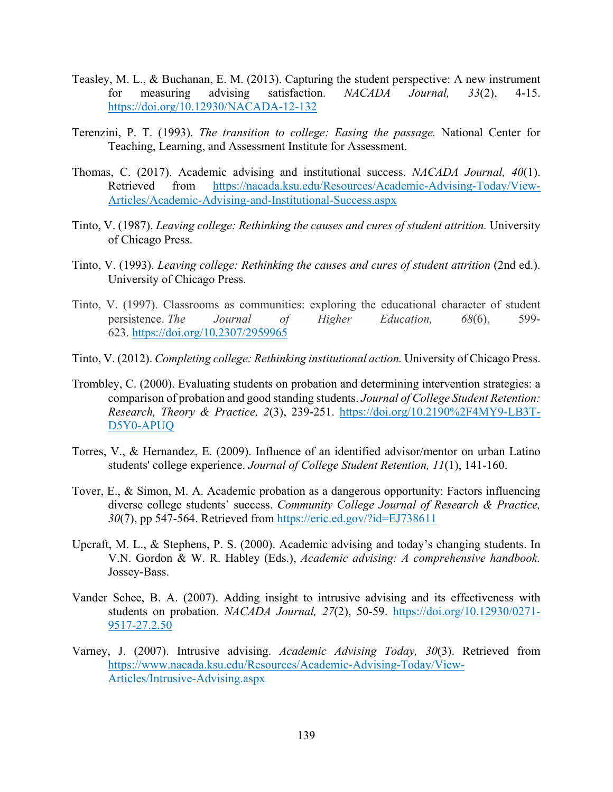- Teasley, M. L., & Buchanan, E. M. (2013). Capturing the student perspective: A new instrument for measuring advising satisfaction. *NACADA Journal, 33*(2), 4-15. <https://doi.org/10.12930/NACADA-12-132>
- Terenzini, P. T. (1993). *The transition to college: Easing the passage.* National Center for Teaching, Learning, and Assessment Institute for Assessment.
- Thomas, C. (2017). Academic advising and institutional success. *NACADA Journal, 40*(1). Retrieved from [https://nacada.ksu.edu/Resources/Academic-Advising-Today/View-](https://nacada.ksu.edu/Resources/Academic-Advising-Today/View-Articles/Academic-Advising-and-Institutional-Success.aspx)[Articles/Academic-Advising-and-Institutional-Success.aspx](https://nacada.ksu.edu/Resources/Academic-Advising-Today/View-Articles/Academic-Advising-and-Institutional-Success.aspx)
- Tinto, V. (1987). *Leaving college: Rethinking the causes and cures of student attrition.* University of Chicago Press.
- Tinto, V. (1993). *Leaving college: Rethinking the causes and cures of student attrition* (2nd ed.). University of Chicago Press.
- Tinto, V. (1997). Classrooms as communities: exploring the educational character of student persistence. *The Journal of Higher Education, 68*(6), 599- 623.<https://doi.org/10.2307/2959965>
- Tinto, V. (2012). *Completing college: Rethinking institutional action.* University of Chicago Press.
- Trombley, C. (2000). Evaluating students on probation and determining intervention strategies: a comparison of probation and good standing students. *Journal of College Student Retention: Research, Theory & Practice, 2*(3), 239-251. [https://doi.org/10.2190%2F4MY9-LB3T-](https://doi.org/10.2190%2F4MY9-LB3T-D5Y0-APUQ)[D5Y0-APUQ](https://doi.org/10.2190%2F4MY9-LB3T-D5Y0-APUQ)
- Torres, V., & Hernandez, E. (2009). Influence of an identified advisor/mentor on urban Latino students' college experience. *Journal of College Student Retention, 11*(1), 141-160.
- Tover, E., & Simon, M. A. Academic probation as a dangerous opportunity: Factors influencing diverse college students' success. *Community College Journal of Research & Practice, 30*(7), pp 547-564. Retrieved from<https://eric.ed.gov/?id=EJ738611>
- Upcraft, M. L., & Stephens, P. S. (2000). Academic advising and today's changing students. In V.N. Gordon & W. R. Habley (Eds.), *Academic advising: A comprehensive handbook.* Jossey-Bass.
- Vander Schee, B. A. (2007). Adding insight to intrusive advising and its effectiveness with students on probation. *NACADA Journal, 27*(2), 50-59. [https://doi.org/10.12930/0271-](https://doi.org/10.12930/0271-9517-27.2.50) [9517-27.2.50](https://doi.org/10.12930/0271-9517-27.2.50)
- Varney, J. (2007). Intrusive advising. *Academic Advising Today, 30*(3). Retrieved from [https://www.nacada.ksu.edu/Resources/Academic-Advising-Today/View-](https://www.nacada.ksu.edu/Resources/Academic-Advising-Today/View-Articles/Intrusive-Advising.aspx)[Articles/Intrusive-Advising.aspx](https://www.nacada.ksu.edu/Resources/Academic-Advising-Today/View-Articles/Intrusive-Advising.aspx)